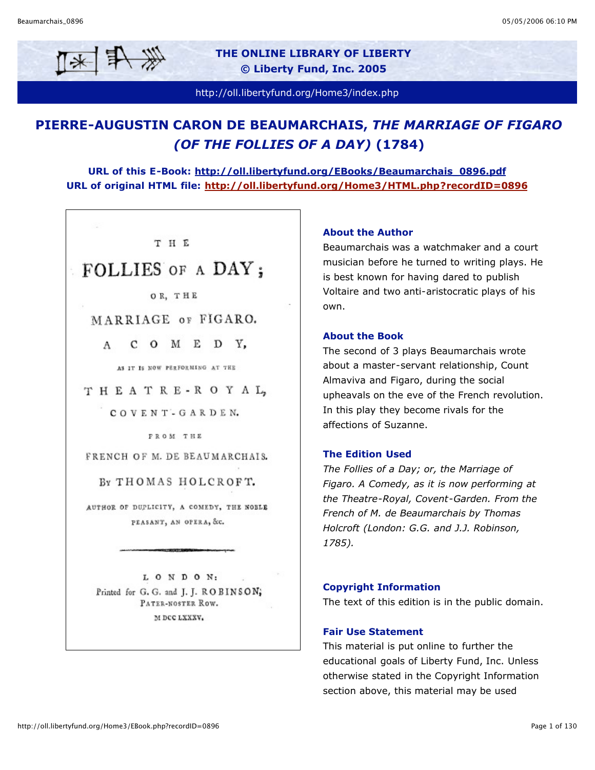

**THE ONLINE LIBRARY OF LIBERTY © Liberty Fund, Inc. 2005**

http://oll.libertyfund.org/Home3/index.php

## **PIERRE-AUGUSTIN CARON DE BEAUMARCHAIS,** *THE MARRIAGE OF FIGARO (OF THE FOLLIES OF A DAY)* **(1784)**

**URL of this E-Book: http://oll.libertyfund.org/EBooks/Beaumarchais\_0896.pdf URL of original HTML file: http://oll.libertyfund.org/Home3/HTML.php?recordID=0896**

# THE FOLLIES OF A DAY;

OR. THE

MARRIAGE OF FIGARO.

COMEDY.  $\mathsf{A}$ 

AS IT IS NOW PERFORMING AT THE

THEATRE-ROYAL,

COVENT-GARDEN.

FROM THE

FRENCH OF M. DE BEAUMARCHAIS.

BY THOMAS HOLCROFT.

AUTHOR OF DUPLICITY, A COMEDY, THE NOBLE PEASANT, AN OPERA, &c.

LONDON: Printed for G. G. and J. J. ROBINSON; PATER-NOSTER ROW. M DCC LXXXV.

#### **About the Author**

Beaumarchais was a watchmaker and a court musician before he turned to writing plays. He is best known for having dared to publish Voltaire and two anti-aristocratic plays of his own.

#### **About the Book**

The second of 3 plays Beaumarchais wrote about a master-servant relationship, Count Almaviva and Figaro, during the social upheavals on the eve of the French revolution. In this play they become rivals for the affections of Suzanne.

#### **The Edition Used**

*The Follies of a Day; or, the Marriage of Figaro. A Comedy, as it is now performing at the Theatre-Royal, Covent-Garden. From the French of M. de Beaumarchais by Thomas Holcroft (London: G.G. and J.J. Robinson, 1785).*

#### **Copyright Information**

The text of this edition is in the public domain.

#### **Fair Use Statement**

This material is put online to further the educational goals of Liberty Fund, Inc. Unless otherwise stated in the Copyright Information section above, this material may be used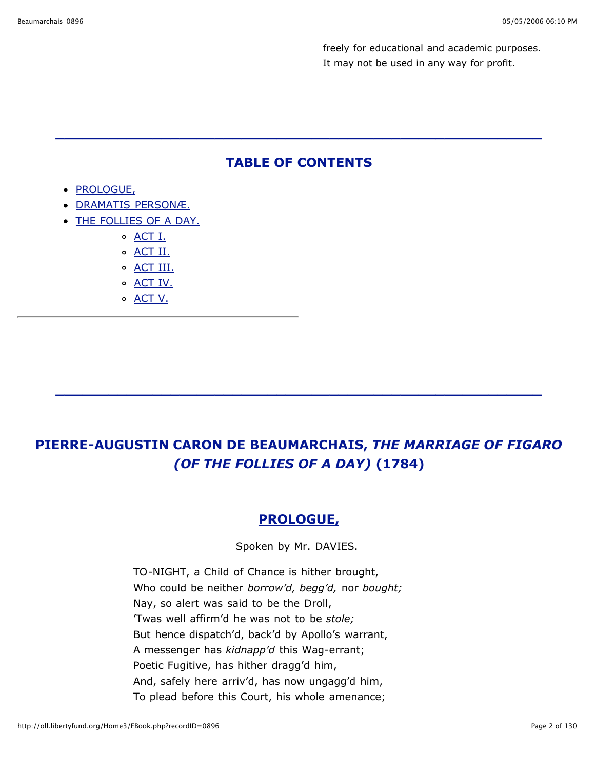freely for educational and academic purposes. It may not be used in any way for profit.

## **TABLE OF CONTENTS**

**\_\_\_\_\_\_\_\_\_\_\_\_\_\_\_\_\_\_\_\_\_\_\_\_\_\_\_\_\_\_\_\_\_\_\_\_\_\_\_\_\_\_\_\_\_\_\_\_\_\_\_\_\_\_\_**

- PROLOGUE,
- DRAMATIS PERSONÆ.
- THE FOLLIES OF A DAY.
	- ACT I.
	- o **ACT II.**
	- o ACT III.
	- o **ACT IV.**
	- o <u>ACT V.</u>

# **PIERRE-AUGUSTIN CARON DE BEAUMARCHAIS,** *THE MARRIAGE OF FIGARO (OF THE FOLLIES OF A DAY)* **(1784)**

**\_\_\_\_\_\_\_\_\_\_\_\_\_\_\_\_\_\_\_\_\_\_\_\_\_\_\_\_\_\_\_\_\_\_\_\_\_\_\_\_\_\_\_\_\_\_\_\_\_\_\_\_\_\_\_**

## **PROLOGUE,**

Spoken by Mr. DAVIES.

TO-NIGHT, a Child of Chance is hither brought, Who could be neither *borrow'd, begg'd,* nor *bought;* Nay, so alert was said to be the Droll, 'Twas well affirm'd he was not to be *stole;* But hence dispatch'd, back'd by Apollo's warrant, A messenger has *kidnapp'd* this Wag-errant; Poetic Fugitive, has hither dragg'd him, And, safely here arriv'd, has now ungagg'd him, To plead before this Court, his whole amenance;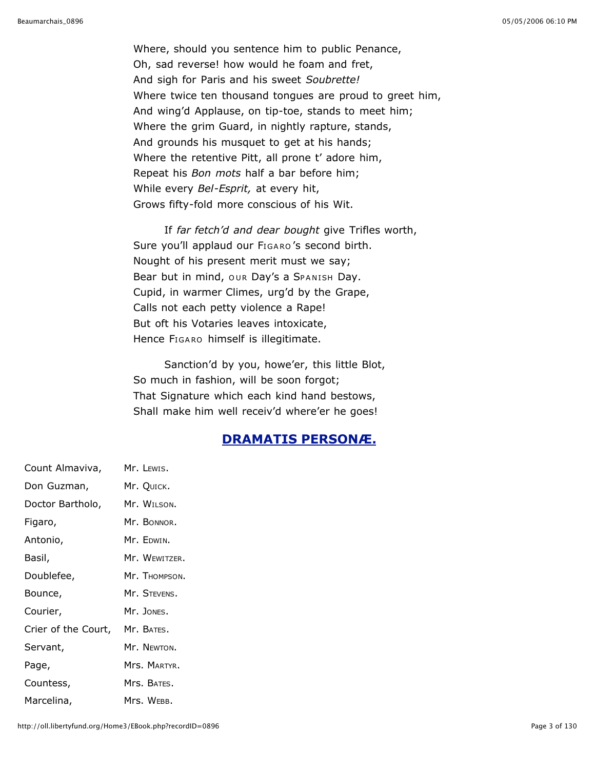Where, should you sentence him to public Penance, Oh, sad reverse! how would he foam and fret, And sigh for Paris and his sweet *Soubrette!* Where twice ten thousand tongues are proud to greet him, And wing'd Applause, on tip-toe, stands to meet him; Where the grim Guard, in nightly rapture, stands, And grounds his musquet to get at his hands; Where the retentive Pitt, all prone t' adore him, Repeat his *Bon mots* half a bar before him; While every *Bel-Esprit,* at every hit, Grows fifty-fold more conscious of his Wit.

If *far fetch'd and dear bought* give Trifles worth, Sure you'll applaud our FIGARO's second birth. Nought of his present merit must we say; Bear but in mind, our Day's a SPANISH Day. Cupid, in warmer Climes, urg'd by the Grape, Calls not each petty violence a Rape! But oft his Votaries leaves intoxicate, Hence FIGARO himself is illegitimate.

Sanction'd by you, howe'er, this little Blot, So much in fashion, will be soon forgot; That Signature which each kind hand bestows, Shall make him well receiv'd where'er he goes!

## **DRAMATIS PERSONÆ.**

Count Almaviva, Mr. LEWIS. Don Guzman, Mr. QUICK. Doctor Bartholo, Mr. WILSON. Figaro, Mr. BONNOR. Antonio, Mr. EDWIN. Basil, Mr. WEWITZER. Doublefee, Mr. THOMPSON. Bounce, Mr. STEVENS. Courier, Mr. JONES. Crier of the Court, Mr. BATES. Servant, Mr. NEWTON. Page, Mrs. MARTYR. Countess, Mrs. BATES. Marcelina, Mrs. WEBB.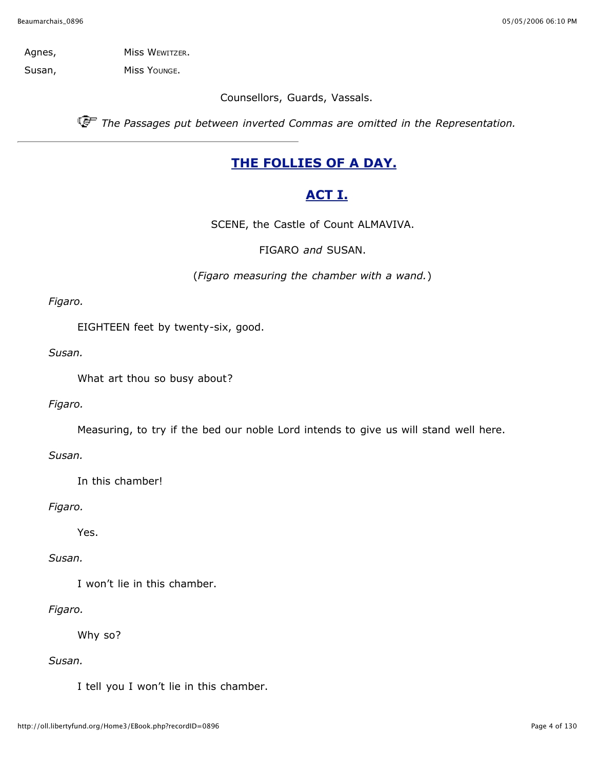Agnes, Miss WEWITZER.

Susan, Miss Younge.

Counsellors, Guards, Vassals.

*The Passages put between inverted Commas are omitted in the Representation.*

## **THE FOLLIES OF A DAY.**

## **ACT I.**

SCENE, the Castle of Count ALMAVIVA.

FIGARO *and* SUSAN.

(*Figaro measuring the chamber with a wand.*)

*Figaro.*

EIGHTEEN feet by twenty-six, good.

*Susan.*

What art thou so busy about?

*Figaro.*

Measuring, to try if the bed our noble Lord intends to give us will stand well here.

*Susan.*

In this chamber!

*Figaro.*

Yes.

*Susan.*

I won't lie in this chamber.

*Figaro.*

Why so?

*Susan.*

I tell you I won't lie in this chamber.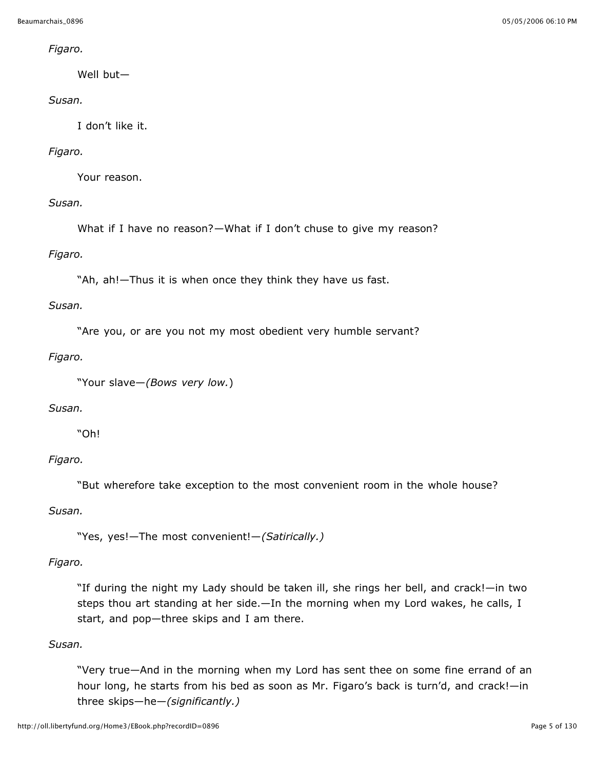*Figaro.*

Well but—

## *Susan.*

I don't like it.

## *Figaro.*

Your reason.

*Susan.*

What if I have no reason?—What if I don't chuse to give my reason?

*Figaro.*

"Ah, ah!—Thus it is when once they think they have us fast.

*Susan.*

"Are you, or are you not my most obedient very humble servant?

*Figaro.*

```
"Your slave—(Bows very low.)
```
#### *Susan.*

"Oh!

#### *Figaro.*

"But wherefore take exception to the most convenient room in the whole house?

*Susan.*

"Yes, yes!—The most convenient!—*(Satirically.)*

*Figaro.*

"If during the night my Lady should be taken ill, she rings her bell, and crack!—in two steps thou art standing at her side.—In the morning when my Lord wakes, he calls, I start, and pop—three skips and I am there.

#### *Susan.*

"Very true—And in the morning when my Lord has sent thee on some fine errand of an hour long, he starts from his bed as soon as Mr. Figaro's back is turn'd, and crack!—in three skips—he—*(significantly.)*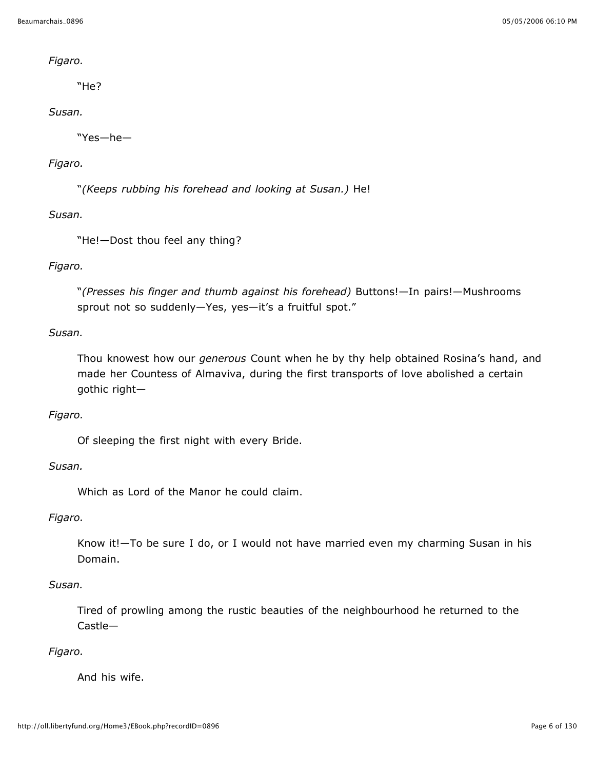#### *Figaro.*

"He?

## *Susan.*

"Yes—he—

## *Figaro.*

"*(Keeps rubbing his forehead and looking at Susan.)* He!

*Susan.*

"He!—Dost thou feel any thing?

## *Figaro.*

"*(Presses his finger and thumb against his forehead)* Buttons!—In pairs!—Mushrooms sprout not so suddenly—Yes, yes—it's a fruitful spot."

## *Susan.*

Thou knowest how our *generous* Count when he by thy help obtained Rosina's hand, and made her Countess of Almaviva, during the first transports of love abolished a certain gothic right—

#### *Figaro.*

Of sleeping the first night with every Bride.

## *Susan.*

Which as Lord of the Manor he could claim.

*Figaro.*

Know it!—To be sure I do, or I would not have married even my charming Susan in his Domain.

#### *Susan.*

Tired of prowling among the rustic beauties of the neighbourhood he returned to the Castle—

## *Figaro.*

And his wife.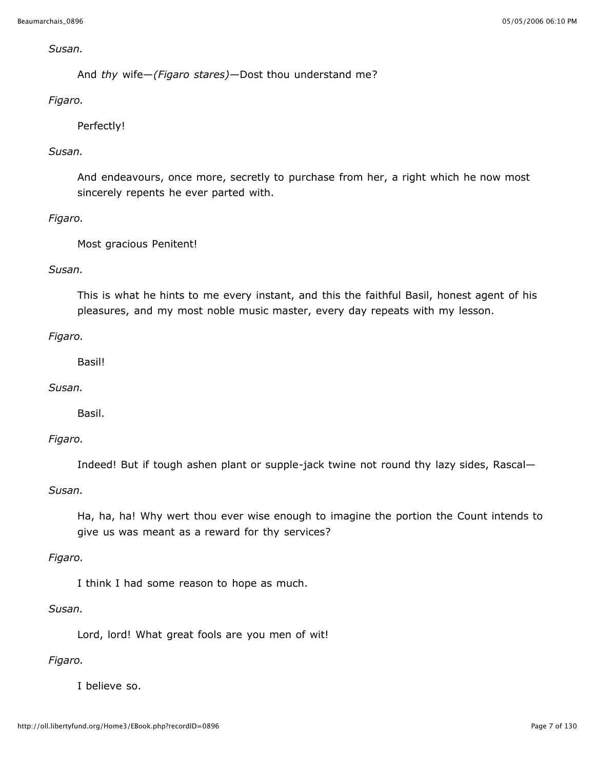#### *Susan.*

And *thy* wife—*(Figaro stares)*—Dost thou understand me?

## *Figaro.*

Perfectly!

## *Susan.*

And endeavours, once more, secretly to purchase from her, a right which he now most sincerely repents he ever parted with.

## *Figaro.*

Most gracious Penitent!

## *Susan.*

This is what he hints to me every instant, and this the faithful Basil, honest agent of his pleasures, and my most noble music master, every day repeats with my lesson.

## *Figaro.*

Basil!

## *Susan.*

Basil.

#### *Figaro.*

Indeed! But if tough ashen plant or supple-jack twine not round thy lazy sides, Rascal—

#### *Susan.*

Ha, ha, ha! Why wert thou ever wise enough to imagine the portion the Count intends to give us was meant as a reward for thy services?

#### *Figaro.*

I think I had some reason to hope as much.

#### *Susan.*

Lord, lord! What great fools are you men of wit!

#### *Figaro.*

I believe so.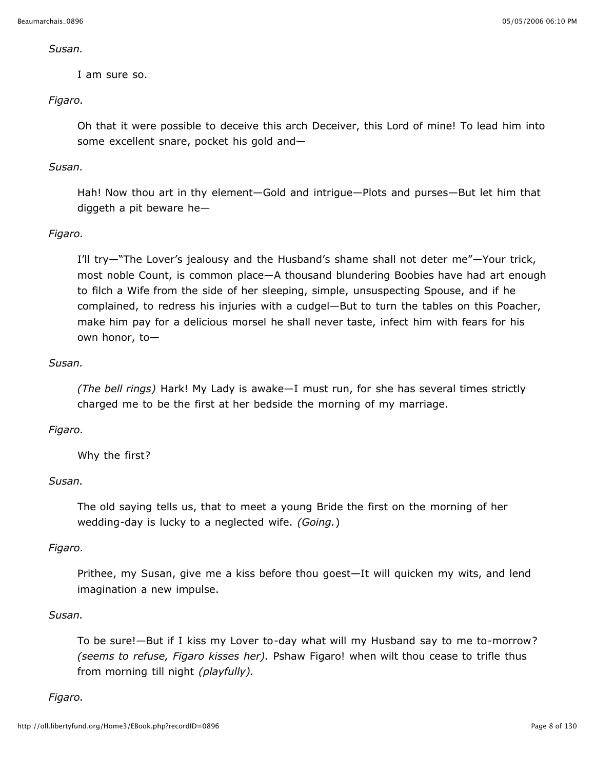#### *Susan.*

I am sure so.

## *Figaro.*

Oh that it were possible to deceive this arch Deceiver, this Lord of mine! To lead him into some excellent snare, pocket his gold and—

## *Susan.*

Hah! Now thou art in thy element—Gold and intrigue—Plots and purses—But let him that diggeth a pit beware he—

## *Figaro.*

I'll try—"The Lover's jealousy and the Husband's shame shall not deter me"—Your trick, most noble Count, is common place—A thousand blundering Boobies have had art enough to filch a Wife from the side of her sleeping, simple, unsuspecting Spouse, and if he complained, to redress his injuries with a cudgel—But to turn the tables on this Poacher, make him pay for a delicious morsel he shall never taste, infect him with fears for his own honor, to—

## *Susan.*

*(The bell rings)* Hark! My Lady is awake—I must run, for she has several times strictly charged me to be the first at her bedside the morning of my marriage.

## *Figaro.*

Why the first?

#### *Susan.*

The old saying tells us, that to meet a young Bride the first on the morning of her wedding-day is lucky to a neglected wife. *(Going.*)

#### *Figaro.*

Prithee, my Susan, give me a kiss before thou goest—It will quicken my wits, and lend imagination a new impulse.

## *Susan.*

To be sure!—But if I kiss my Lover to-day what will my Husband say to me to-morrow? *(seems to refuse, Figaro kisses her).* Pshaw Figaro! when wilt thou cease to trifle thus from morning till night *(playfully).*

## *Figaro.*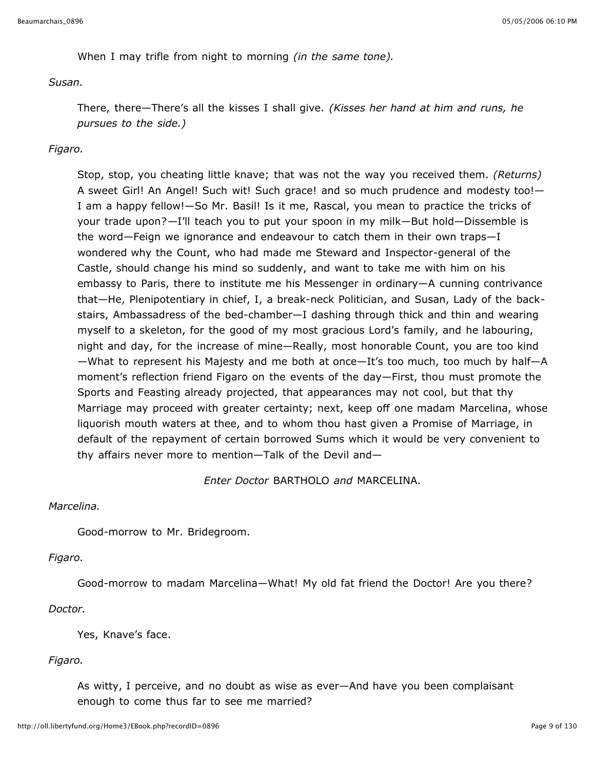When I may trifle from night to morning *(in the same tone).*

#### *Susan.*

There, there—There's all the kisses I shall give. *(Kisses her hand at him and runs, he pursues to the side.)*

## *Figaro.*

Stop, stop, you cheating little knave; that was not the way you received them. *(Returns)* A sweet Girl! An Angel! Such wit! Such grace! and so much prudence and modesty too!— I am a happy fellow!—So Mr. Basil! Is it me, Rascal, you mean to practice the tricks of your trade upon?—I'll teach you to put your spoon in my milk—But hold—Dissemble is the word—Feign we ignorance and endeavour to catch them in their own traps—I wondered why the Count, who had made me Steward and Inspector-general of the Castle, should change his mind so suddenly, and want to take me with him on his embassy to Paris, there to institute me his Messenger in ordinary—A cunning contrivance that—He, Plenipotentiary in chief, I, a break-neck Politician, and Susan, Lady of the backstairs, Ambassadress of the bed-chamber—I dashing through thick and thin and wearing myself to a skeleton, for the good of my most gracious Lord's family, and he labouring, night and day, for the increase of mine—Really, most honorable Count, you are too kind —What to represent his Majesty and me both at once—It's too much, too much by half—A moment's reflection friend Figaro on the events of the day—First, thou must promote the Sports and Feasting already projected, that appearances may not cool, but that thy Marriage may proceed with greater certainty; next, keep off one madam Marcelina, whose liquorish mouth waters at thee, and to whom thou hast given a Promise of Marriage, in default of the repayment of certain borrowed Sums which it would be very convenient to thy affairs never more to mention—Talk of the Devil and—

*Enter Doctor* BARTHOLO *and* MARCELINA.

#### *Marcelina.*

Good-morrow to Mr. Bridegroom.

#### *Figaro.*

Good-morrow to madam Marcelina—What! My old fat friend the Doctor! Are you there? *Doctor.*

Yes, Knave's face.

## *Figaro.*

As witty, I perceive, and no doubt as wise as ever—And have you been complaisant enough to come thus far to see me married?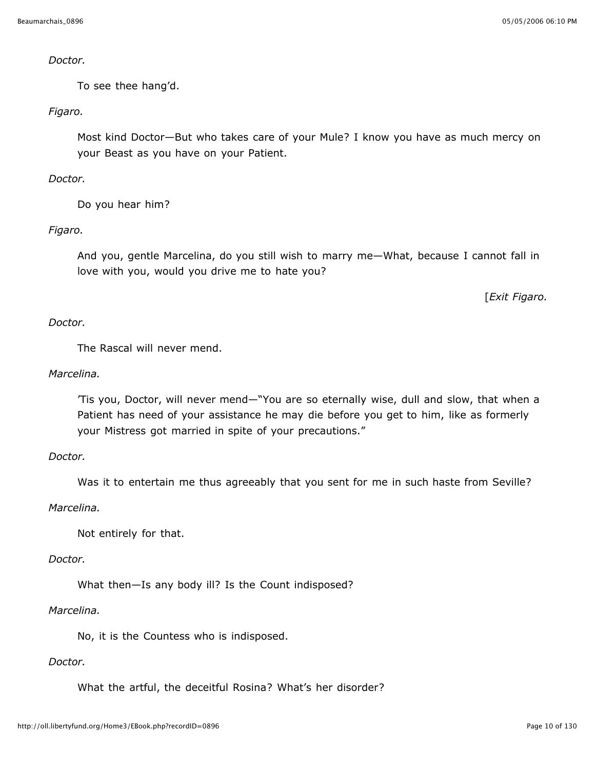#### *Doctor.*

To see thee hang'd.

## *Figaro.*

Most kind Doctor—But who takes care of your Mule? I know you have as much mercy on your Beast as you have on your Patient.

## *Doctor.*

Do you hear him?

## *Figaro.*

And you, gentle Marcelina, do you still wish to marry me—What, because I cannot fall in love with you, would you drive me to hate you?

[*Exit Figaro.*

## *Doctor.*

The Rascal will never mend.

## *Marcelina.*

'Tis you, Doctor, will never mend—"You are so eternally wise, dull and slow, that when a Patient has need of your assistance he may die before you get to him, like as formerly your Mistress got married in spite of your precautions."

#### *Doctor.*

Was it to entertain me thus agreeably that you sent for me in such haste from Seville?

#### *Marcelina.*

Not entirely for that.

#### *Doctor.*

What then—Is any body ill? Is the Count indisposed?

## *Marcelina.*

No, it is the Countess who is indisposed.

## *Doctor.*

What the artful, the deceitful Rosina? What's her disorder?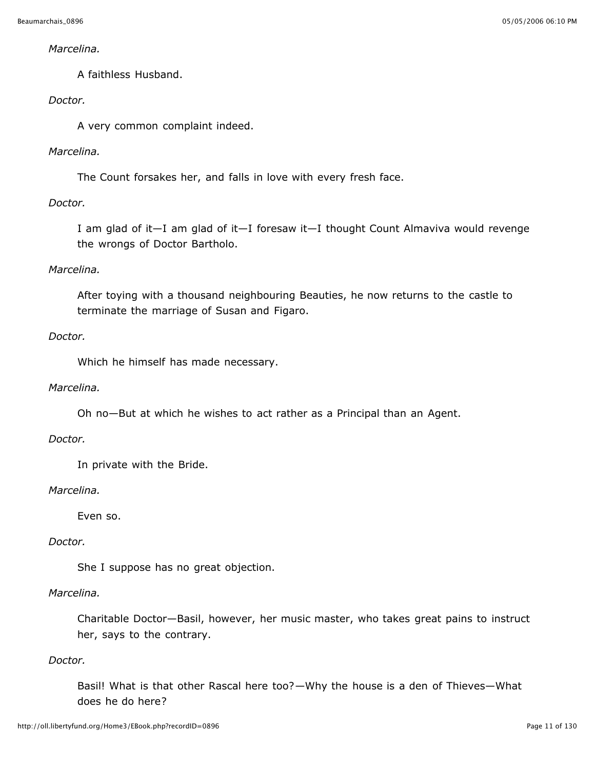#### *Marcelina.*

A faithless Husband.

## *Doctor.*

A very common complaint indeed.

## *Marcelina.*

The Count forsakes her, and falls in love with every fresh face.

## *Doctor.*

I am glad of it—I am glad of it—I foresaw it—I thought Count Almaviva would revenge the wrongs of Doctor Bartholo.

## *Marcelina.*

After toying with a thousand neighbouring Beauties, he now returns to the castle to terminate the marriage of Susan and Figaro.

#### *Doctor.*

Which he himself has made necessary.

#### *Marcelina.*

Oh no—But at which he wishes to act rather as a Principal than an Agent.

#### *Doctor.*

In private with the Bride.

#### *Marcelina.*

Even so.

#### *Doctor.*

She I suppose has no great objection.

## *Marcelina.*

Charitable Doctor—Basil, however, her music master, who takes great pains to instruct her, says to the contrary.

#### *Doctor.*

Basil! What is that other Rascal here too?—Why the house is a den of Thieves—What does he do here?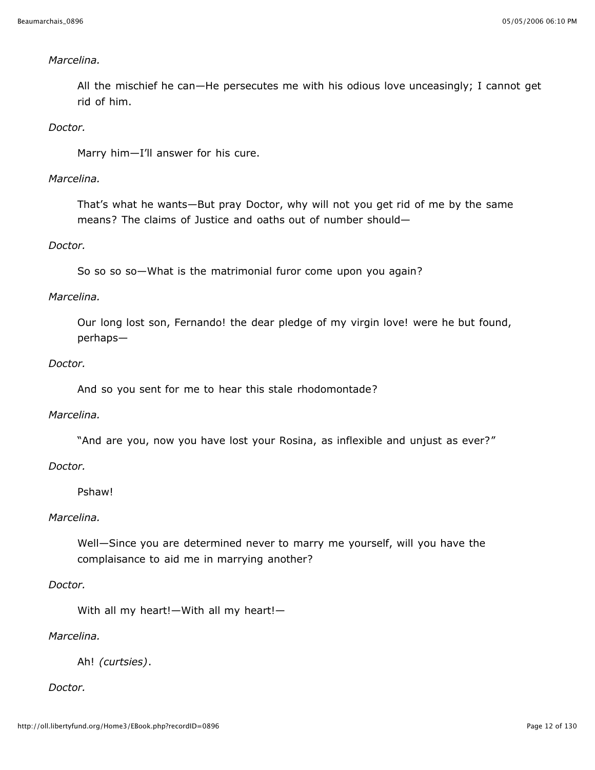#### *Marcelina.*

All the mischief he can—He persecutes me with his odious love unceasingly; I cannot get rid of him.

*Doctor.*

Marry him—I'll answer for his cure.

## *Marcelina.*

That's what he wants—But pray Doctor, why will not you get rid of me by the same means? The claims of Justice and oaths out of number should—

#### *Doctor.*

So so so so—What is the matrimonial furor come upon you again?

## *Marcelina.*

Our long lost son, Fernando! the dear pledge of my virgin love! were he but found, perhaps—

#### *Doctor.*

And so you sent for me to hear this stale rhodomontade?

#### *Marcelina.*

"And are you, now you have lost your Rosina, as inflexible and unjust as ever?"

#### *Doctor.*

## Pshaw!

#### *Marcelina.*

Well—Since you are determined never to marry me yourself, will you have the complaisance to aid me in marrying another?

#### *Doctor.*

With all my heart!—With all my heart!—

#### *Marcelina.*

Ah! *(curtsies)*.

#### *Doctor.*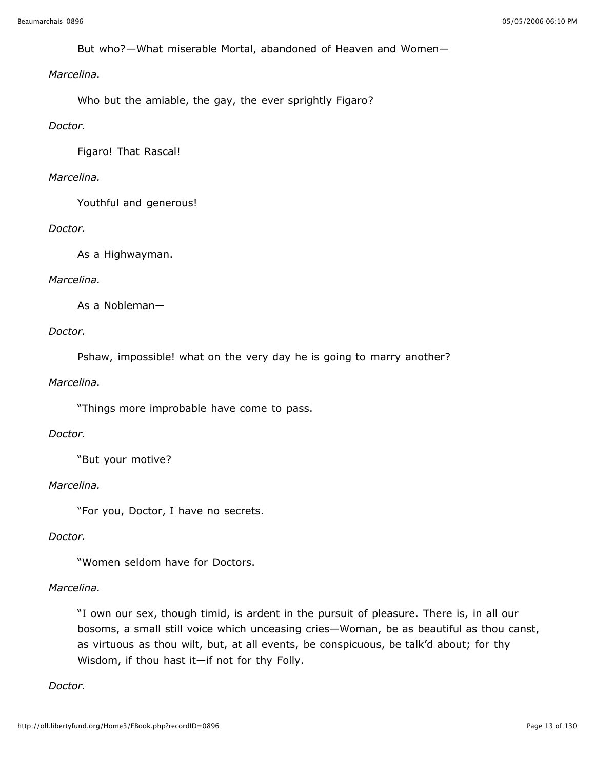But who?—What miserable Mortal, abandoned of Heaven and Women—

## *Marcelina.*

Who but the amiable, the gay, the ever sprightly Figaro?

#### *Doctor.*

Figaro! That Rascal!

#### *Marcelina.*

Youthful and generous!

#### *Doctor.*

As a Highwayman.

#### *Marcelina.*

As a Nobleman—

#### *Doctor.*

Pshaw, impossible! what on the very day he is going to marry another?

#### *Marcelina.*

"Things more improbable have come to pass.

#### *Doctor.*

"But your motive?

#### *Marcelina.*

"For you, Doctor, I have no secrets.

#### *Doctor.*

"Women seldom have for Doctors.

#### *Marcelina.*

"I own our sex, though timid, is ardent in the pursuit of pleasure. There is, in all our bosoms, a small still voice which unceasing cries—Woman, be as beautiful as thou canst, as virtuous as thou wilt, but, at all events, be conspicuous, be talk'd about; for thy Wisdom, if thou hast it—if not for thy Folly.

#### *Doctor.*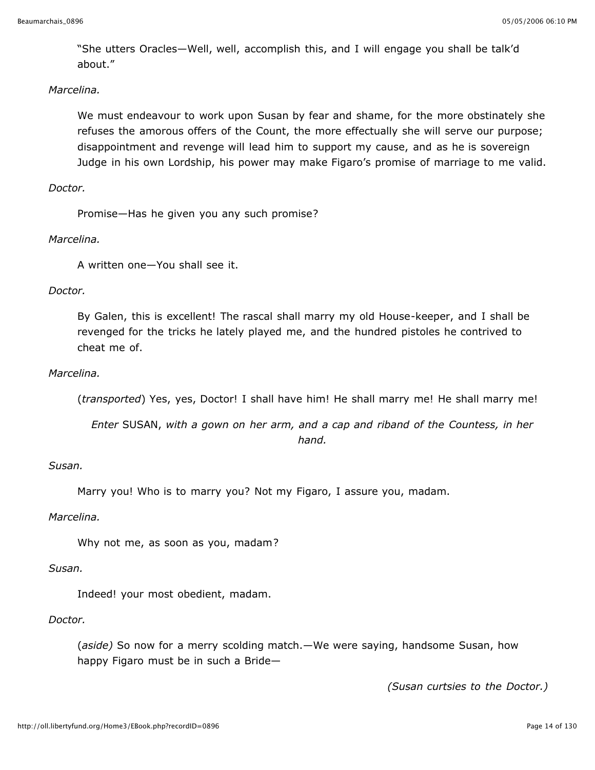"She utters Oracles—Well, well, accomplish this, and I will engage you shall be talk'd about."

### *Marcelina.*

We must endeavour to work upon Susan by fear and shame, for the more obstinately she refuses the amorous offers of the Count, the more effectually she will serve our purpose; disappointment and revenge will lead him to support my cause, and as he is sovereign Judge in his own Lordship, his power may make Figaro's promise of marriage to me valid.

#### *Doctor.*

Promise—Has he given you any such promise?

## *Marcelina.*

A written one—You shall see it.

#### *Doctor.*

By Galen, this is excellent! The rascal shall marry my old House-keeper, and I shall be revenged for the tricks he lately played me, and the hundred pistoles he contrived to cheat me of.

#### *Marcelina.*

(*transported*) Yes, yes, Doctor! I shall have him! He shall marry me! He shall marry me!

*Enter* SUSAN, *with a gown on her arm, and a cap and riband of the Countess, in her hand.*

## *Susan.*

Marry you! Who is to marry you? Not my Figaro, I assure you, madam.

#### *Marcelina.*

Why not me, as soon as you, madam?

#### *Susan.*

Indeed! your most obedient, madam.

#### *Doctor.*

(*aside)* So now for a merry scolding match.—We were saying, handsome Susan, how happy Figaro must be in such a Bride—

*(Susan curtsies to the Doctor.)*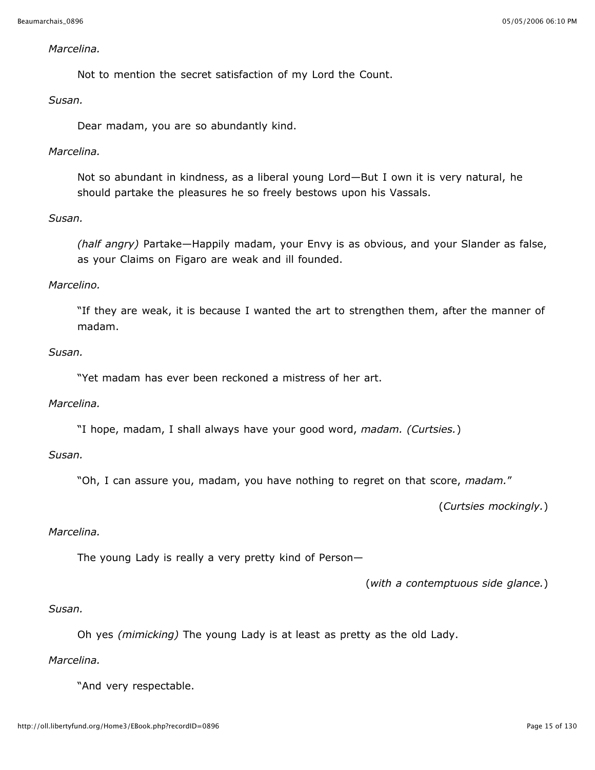#### *Marcelina.*

Not to mention the secret satisfaction of my Lord the Count.

#### *Susan.*

Dear madam, you are so abundantly kind.

#### *Marcelina.*

Not so abundant in kindness, as a liberal young Lord—But I own it is very natural, he should partake the pleasures he so freely bestows upon his Vassals.

#### *Susan.*

*(half angry)* Partake—Happily madam, your Envy is as obvious, and your Slander as false, as your Claims on Figaro are weak and ill founded.

#### *Marcelino.*

"If they are weak, it is because I wanted the art to strengthen them, after the manner of madam.

### *Susan.*

"Yet madam has ever been reckoned a mistress of her art.

#### *Marcelina.*

"I hope, madam, I shall always have your good word, *madam. (Curtsies.*)

#### *Susan.*

"Oh, I can assure you, madam, you have nothing to regret on that score, *madam.*"

(*Curtsies mockingly.*)

#### *Marcelina.*

The young Lady is really a very pretty kind of Person—

(*with a contemptuous side glance.*)

#### *Susan.*

Oh yes *(mimicking)* The young Lady is at least as pretty as the old Lady.

#### *Marcelina.*

"And very respectable.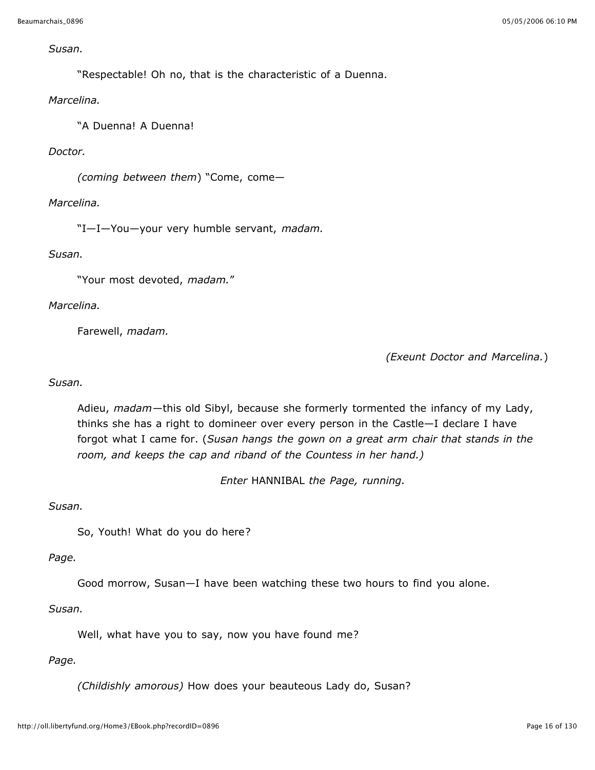#### *Susan.*

"Respectable! Oh no, that is the characteristic of a Duenna.

#### *Marcelina.*

"A Duenna! A Duenna!

## *Doctor.*

*(coming between them*) "Come, come—

## *Marcelina.*

"I—I—You—your very humble servant, *madam.*

#### *Susan.*

"Your most devoted, *madam.*"

## *Marcelina.*

Farewell, *madam.*

*(Exeunt Doctor and Marcelina.*)

## *Susan.*

Adieu, *madam*—this old Sibyl, because she formerly tormented the infancy of my Lady, thinks she has a right to domineer over every person in the Castle—I declare I have forgot what I came for. (*Susan hangs the gown on a great arm chair that stands in the room, and keeps the cap and riband of the Countess in her hand.)*

*Enter* HANNIBAL *the Page, running.*

#### *Susan.*

So, Youth! What do you do here?

#### *Page.*

Good morrow, Susan—I have been watching these two hours to find you alone.

#### *Susan.*

Well, what have you to say, now you have found me?

#### *Page.*

*(Childishly amorous)* How does your beauteous Lady do, Susan?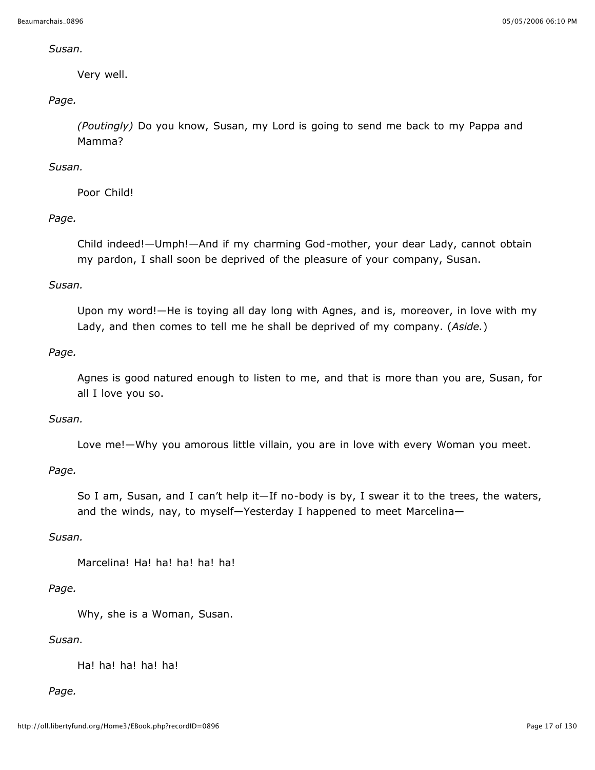#### *Susan.*

Very well.

## *Page.*

*(Poutingly)* Do you know, Susan, my Lord is going to send me back to my Pappa and Mamma?

## *Susan.*

Poor Child!

## *Page.*

Child indeed!—Umph!—And if my charming God-mother, your dear Lady, cannot obtain my pardon, I shall soon be deprived of the pleasure of your company, Susan.

## *Susan.*

Upon my word!—He is toying all day long with Agnes, and is, moreover, in love with my Lady, and then comes to tell me he shall be deprived of my company. (*Aside.*)

## *Page.*

Agnes is good natured enough to listen to me, and that is more than you are, Susan, for all I love you so.

#### *Susan.*

Love me!—Why you amorous little villain, you are in love with every Woman you meet.

## *Page.*

So I am, Susan, and I can't help it—If no-body is by, I swear it to the trees, the waters, and the winds, nay, to myself—Yesterday I happened to meet Marcelina—

#### *Susan.*

Marcelina! Ha! ha! ha! ha! ha!

## *Page.*

Why, she is a Woman, Susan.

## *Susan.*

Ha! ha! ha! ha! ha!

#### *Page.*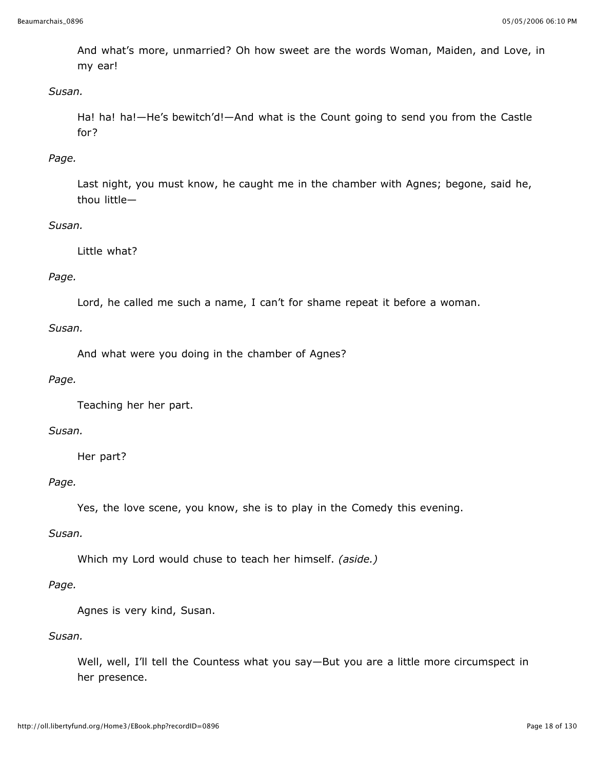And what's more, unmarried? Oh how sweet are the words Woman, Maiden, and Love, in my ear!

## *Susan.*

Ha! ha! ha!—He's bewitch'd!—And what is the Count going to send you from the Castle for?

## *Page.*

Last night, you must know, he caught me in the chamber with Agnes; begone, said he, thou little—

## *Susan.*

Little what?

## *Page.*

Lord, he called me such a name, I can't for shame repeat it before a woman.

## *Susan.*

And what were you doing in the chamber of Agnes?

## *Page.*

Teaching her her part.

### *Susan.*

Her part?

#### *Page.*

Yes, the love scene, you know, she is to play in the Comedy this evening.

#### *Susan.*

Which my Lord would chuse to teach her himself. *(aside.)*

#### *Page.*

Agnes is very kind, Susan.

### *Susan.*

Well, well, I'll tell the Countess what you say—But you are a little more circumspect in her presence.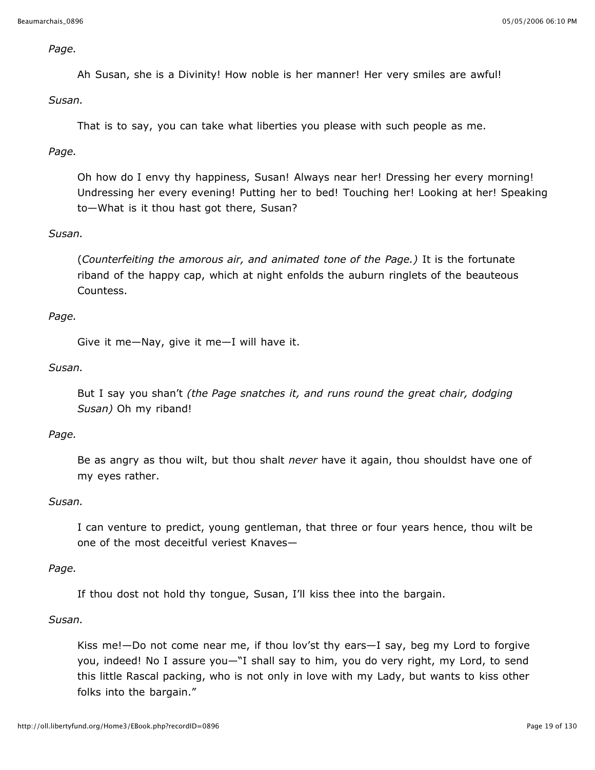#### *Page.*

Ah Susan, she is a Divinity! How noble is her manner! Her very smiles are awful!

*Susan.*

That is to say, you can take what liberties you please with such people as me.

## *Page.*

Oh how do I envy thy happiness, Susan! Always near her! Dressing her every morning! Undressing her every evening! Putting her to bed! Touching her! Looking at her! Speaking to—What is it thou hast got there, Susan?

#### *Susan.*

(*Counterfeiting the amorous air, and animated tone of the Page.)* It is the fortunate riband of the happy cap, which at night enfolds the auburn ringlets of the beauteous Countess.

#### *Page.*

Give it me—Nay, give it me—I will have it.

#### *Susan.*

But I say you shan't *(the Page snatches it, and runs round the great chair, dodging Susan)* Oh my riband!

#### *Page.*

Be as angry as thou wilt, but thou shalt *never* have it again, thou shouldst have one of my eyes rather.

#### *Susan.*

I can venture to predict, young gentleman, that three or four years hence, thou wilt be one of the most deceitful veriest Knaves—

#### *Page.*

If thou dost not hold thy tongue, Susan, I'll kiss thee into the bargain.

#### *Susan.*

Kiss me!—Do not come near me, if thou lov'st thy ears—I say, beg my Lord to forgive you, indeed! No I assure you—"I shall say to him, you do very right, my Lord, to send this little Rascal packing, who is not only in love with my Lady, but wants to kiss other folks into the bargain."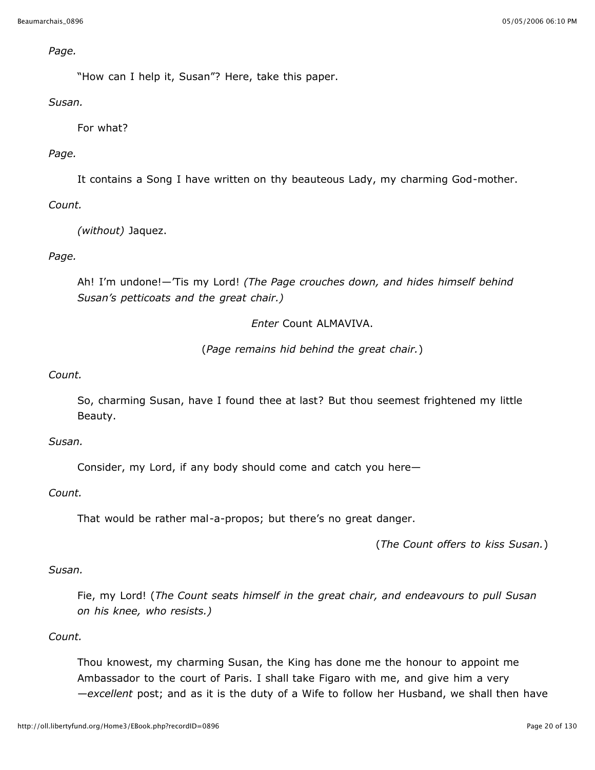#### *Page.*

"How can I help it, Susan"? Here, take this paper.

## *Susan.*

For what?

## *Page.*

It contains a Song I have written on thy beauteous Lady, my charming God-mother.

## *Count.*

*(without)* Jaquez.

## *Page.*

Ah! I'm undone!—'Tis my Lord! *(The Page crouches down, and hides himself behind Susan's petticoats and the great chair.)*

## *Enter* Count ALMAVIVA.

(*Page remains hid behind the great chair.*)

## *Count.*

So, charming Susan, have I found thee at last? But thou seemest frightened my little Beauty.

#### *Susan.*

Consider, my Lord, if any body should come and catch you here—

## *Count.*

That would be rather mal-a-propos; but there's no great danger.

(*The Count offers to kiss Susan.*)

#### *Susan.*

Fie, my Lord! (*The Count seats himself in the great chair, and endeavours to pull Susan on his knee, who resists.)*

## *Count.*

Thou knowest, my charming Susan, the King has done me the honour to appoint me Ambassador to the court of Paris. I shall take Figaro with me, and give him a very —*excellent* post; and as it is the duty of a Wife to follow her Husband, we shall then have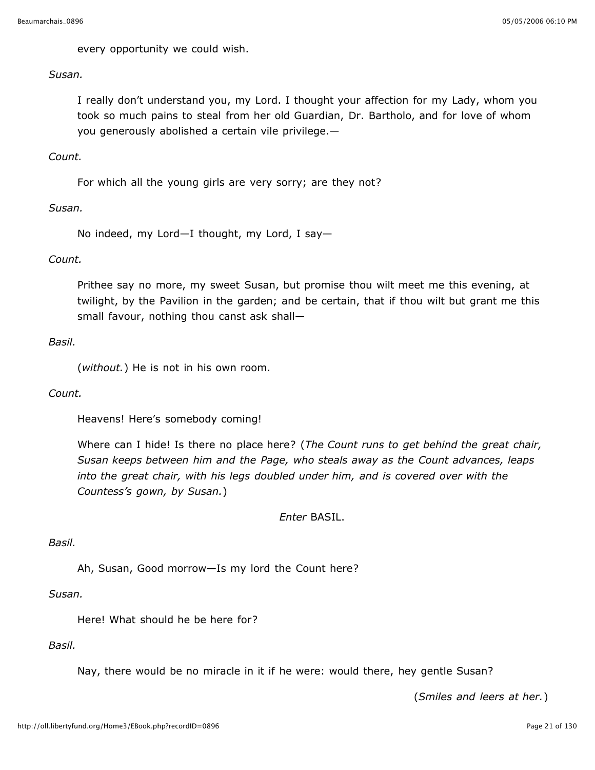every opportunity we could wish.

*Susan.*

I really don't understand you, my Lord. I thought your affection for my Lady, whom you took so much pains to steal from her old Guardian, Dr. Bartholo, and for love of whom you generously abolished a certain vile privilege.—

#### *Count.*

For which all the young girls are very sorry; are they not?

#### *Susan.*

No indeed, my Lord—I thought, my Lord, I say—

#### *Count.*

Prithee say no more, my sweet Susan, but promise thou wilt meet me this evening, at twilight, by the Pavilion in the garden; and be certain, that if thou wilt but grant me this small favour, nothing thou canst ask shall—

#### *Basil.*

(*without.*) He is not in his own room.

#### *Count.*

Heavens! Here's somebody coming!

Where can I hide! Is there no place here? (*The Count runs to get behind the great chair, Susan keeps between him and the Page, who steals away as the Count advances, leaps into the great chair, with his legs doubled under him, and is covered over with the Countess's gown, by Susan.*)

*Enter* BASIL.

#### *Basil.*

Ah, Susan, Good morrow—Is my lord the Count here?

*Susan.*

Here! What should he be here for?

*Basil.*

Nay, there would be no miracle in it if he were: would there, hey gentle Susan?

(*Smiles and leers at her.*)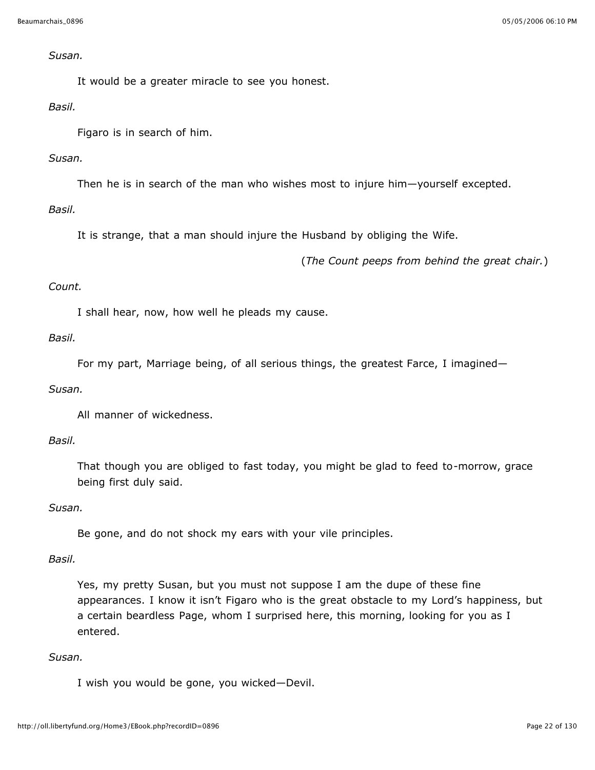#### *Susan.*

It would be a greater miracle to see you honest.

#### *Basil.*

Figaro is in search of him.

## *Susan.*

Then he is in search of the man who wishes most to injure him—yourself excepted.

## *Basil.*

It is strange, that a man should injure the Husband by obliging the Wife.

(*The Count peeps from behind the great chair.*)

## *Count.*

I shall hear, now, how well he pleads my cause.

## *Basil.*

For my part, Marriage being, of all serious things, the greatest Farce, I imagined—

#### *Susan.*

All manner of wickedness.

#### *Basil.*

That though you are obliged to fast today, you might be glad to feed to-morrow, grace being first duly said.

#### *Susan.*

Be gone, and do not shock my ears with your vile principles.

## *Basil.*

Yes, my pretty Susan, but you must not suppose I am the dupe of these fine appearances. I know it isn't Figaro who is the great obstacle to my Lord's happiness, but a certain beardless Page, whom I surprised here, this morning, looking for you as I entered.

#### *Susan.*

I wish you would be gone, you wicked—Devil.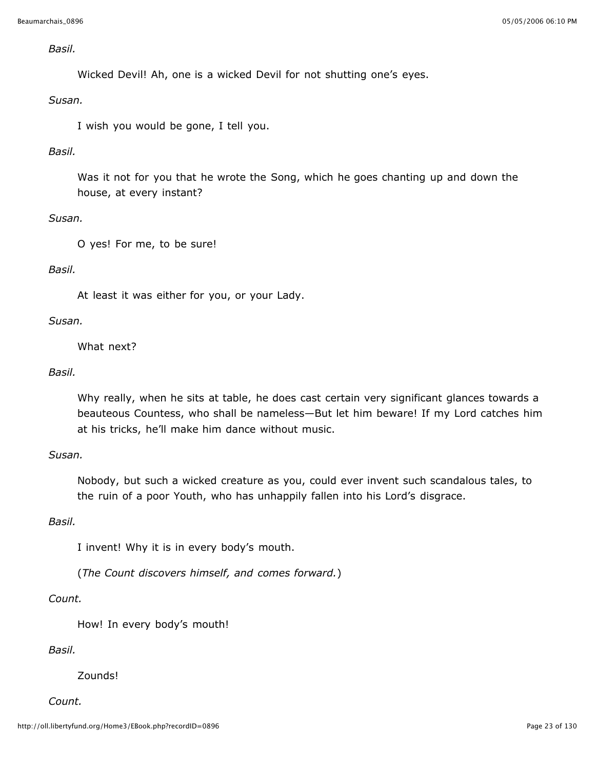#### *Basil.*

Wicked Devil! Ah, one is a wicked Devil for not shutting one's eyes.

#### *Susan.*

I wish you would be gone, I tell you.

## *Basil.*

Was it not for you that he wrote the Song, which he goes chanting up and down the house, at every instant?

## *Susan.*

O yes! For me, to be sure!

## *Basil.*

At least it was either for you, or your Lady.

#### *Susan.*

What next?

#### *Basil.*

Why really, when he sits at table, he does cast certain very significant glances towards a beauteous Countess, who shall be nameless—But let him beware! If my Lord catches him at his tricks, he'll make him dance without music.

### *Susan.*

Nobody, but such a wicked creature as you, could ever invent such scandalous tales, to the ruin of a poor Youth, who has unhappily fallen into his Lord's disgrace.

#### *Basil.*

I invent! Why it is in every body's mouth.

(*The Count discovers himself, and comes forward.*)

## *Count.*

How! In every body's mouth!

#### *Basil.*

Zounds!

#### *Count.*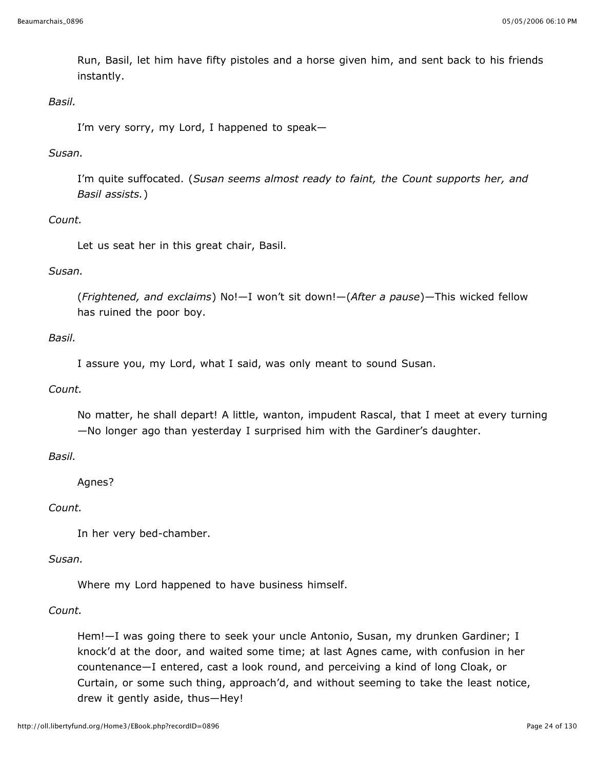Run, Basil, let him have fifty pistoles and a horse given him, and sent back to his friends instantly.

## *Basil.*

I'm very sorry, my Lord, I happened to speak—

#### *Susan.*

I'm quite suffocated. (*Susan seems almost ready to faint, the Count supports her, and Basil assists.*)

#### *Count.*

Let us seat her in this great chair, Basil.

## *Susan.*

(*Frightened, and exclaims*) No!—I won't sit down!—(*After a pause*)—This wicked fellow has ruined the poor boy.

## *Basil.*

I assure you, my Lord, what I said, was only meant to sound Susan.

#### *Count.*

No matter, he shall depart! A little, wanton, impudent Rascal, that I meet at every turning —No longer ago than yesterday I surprised him with the Gardiner's daughter.

## *Basil.*

Agnes?

#### *Count.*

In her very bed-chamber.

#### *Susan.*

Where my Lord happened to have business himself.

#### *Count.*

Hem!—I was going there to seek your uncle Antonio, Susan, my drunken Gardiner; I knock'd at the door, and waited some time; at last Agnes came, with confusion in her countenance—I entered, cast a look round, and perceiving a kind of long Cloak, or Curtain, or some such thing, approach'd, and without seeming to take the least notice, drew it gently aside, thus—Hey!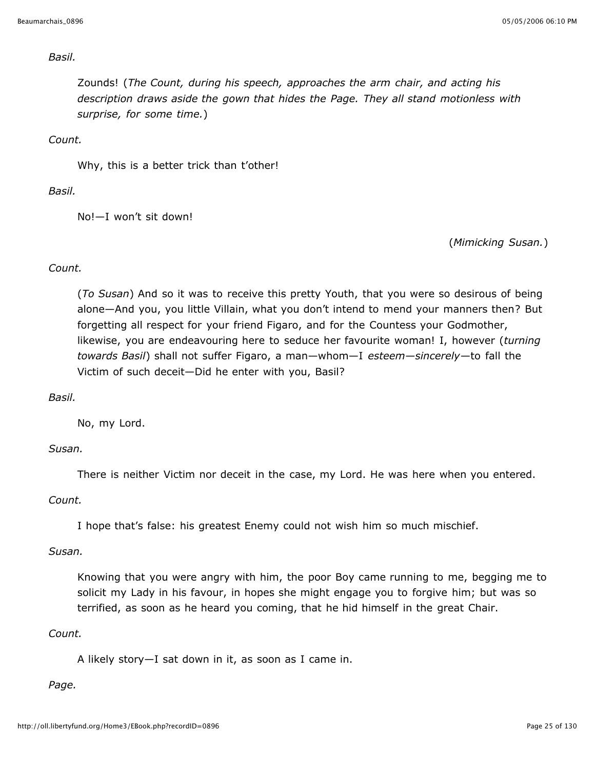#### *Basil.*

Zounds! (*The Count, during his speech, approaches the arm chair, and acting his description draws aside the gown that hides the Page. They all stand motionless with surprise, for some time.*)

*Count.*

Why, this is a better trick than t'other!

*Basil.*

No!—I won't sit down!

(*Mimicking Susan.*)

## *Count.*

(*To Susan*) And so it was to receive this pretty Youth, that you were so desirous of being alone—And you, you little Villain, what you don't intend to mend your manners then? But forgetting all respect for your friend Figaro, and for the Countess your Godmother, likewise, you are endeavouring here to seduce her favourite woman! I, however (*turning towards Basil*) shall not suffer Figaro, a man—whom—I *esteem—sincerely*—to fall the Victim of such deceit—Did he enter with you, Basil?

*Basil.*

No, my Lord.

#### *Susan.*

There is neither Victim nor deceit in the case, my Lord. He was here when you entered.

#### *Count.*

I hope that's false: his greatest Enemy could not wish him so much mischief.

#### *Susan.*

Knowing that you were angry with him, the poor Boy came running to me, begging me to solicit my Lady in his favour, in hopes she might engage you to forgive him; but was so terrified, as soon as he heard you coming, that he hid himself in the great Chair.

#### *Count.*

A likely story—I sat down in it, as soon as I came in.

#### *Page.*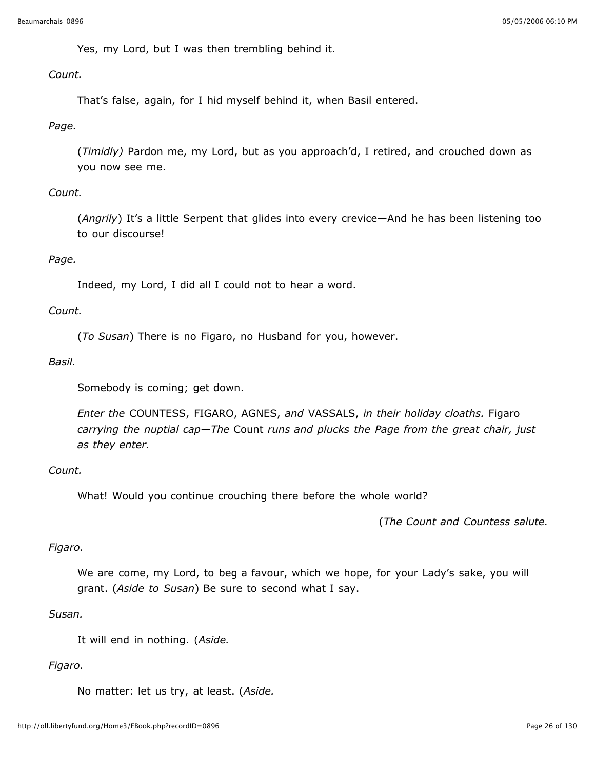Yes, my Lord, but I was then trembling behind it.

## *Count.*

That's false, again, for I hid myself behind it, when Basil entered.

## *Page.*

(*Timidly)* Pardon me, my Lord, but as you approach'd, I retired, and crouched down as you now see me.

## *Count.*

(*Angrily*) It's a little Serpent that glides into every crevice—And he has been listening too to our discourse!

## *Page.*

Indeed, my Lord, I did all I could not to hear a word.

## *Count.*

(*To Susan*) There is no Figaro, no Husband for you, however.

## *Basil.*

Somebody is coming; get down.

*Enter the* COUNTESS, FIGARO, AGNES, *and* VASSALS, *in their holiday cloaths.* Figaro *carrying the nuptial cap—The* Count *runs and plucks the Page from the great chair, just as they enter.*

## *Count.*

What! Would you continue crouching there before the whole world?

(*The Count and Countess salute.*

## *Figaro.*

We are come, my Lord, to beg a favour, which we hope, for your Lady's sake, you will grant. (*Aside to Susan*) Be sure to second what I say.

#### *Susan.*

It will end in nothing. (*Aside.*

## *Figaro.*

No matter: let us try, at least. (*Aside.*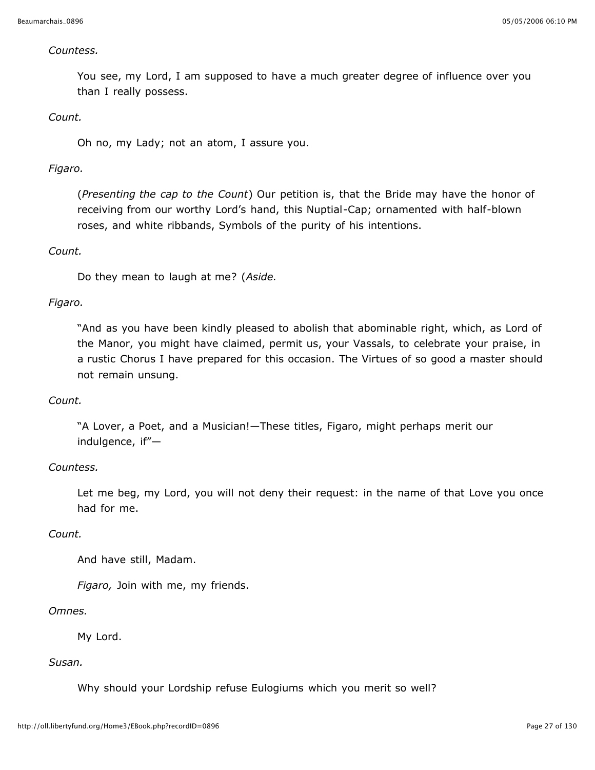#### *Countess.*

You see, my Lord, I am supposed to have a much greater degree of influence over you than I really possess.

#### *Count.*

Oh no, my Lady; not an atom, I assure you.

## *Figaro.*

(*Presenting the cap to the Count*) Our petition is, that the Bride may have the honor of receiving from our worthy Lord's hand, this Nuptial-Cap; ornamented with half-blown roses, and white ribbands, Symbols of the purity of his intentions.

#### *Count.*

Do they mean to laugh at me? (*Aside.*

## *Figaro.*

"And as you have been kindly pleased to abolish that abominable right, which, as Lord of the Manor, you might have claimed, permit us, your Vassals, to celebrate your praise, in a rustic Chorus I have prepared for this occasion. The Virtues of so good a master should not remain unsung.

#### *Count.*

"A Lover, a Poet, and a Musician!—These titles, Figaro, might perhaps merit our indulgence, if"—

#### *Countess.*

Let me beg, my Lord, you will not deny their request: in the name of that Love you once had for me.

#### *Count.*

And have still, Madam.

*Figaro,* Join with me, my friends.

#### *Omnes.*

My Lord.

## *Susan.*

Why should your Lordship refuse Eulogiums which you merit so well?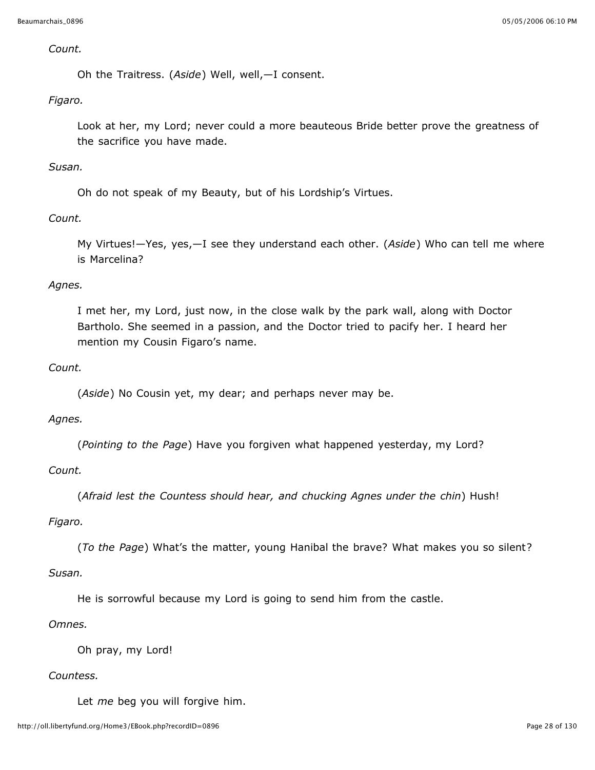#### *Count.*

Oh the Traitress. (*Aside*) Well, well,—I consent.

## *Figaro.*

Look at her, my Lord; never could a more beauteous Bride better prove the greatness of the sacrifice you have made.

#### *Susan.*

Oh do not speak of my Beauty, but of his Lordship's Virtues.

#### *Count.*

My Virtues!—Yes, yes,—I see they understand each other. (*Aside*) Who can tell me where is Marcelina?

#### *Agnes.*

I met her, my Lord, just now, in the close walk by the park wall, along with Doctor Bartholo. She seemed in a passion, and the Doctor tried to pacify her. I heard her mention my Cousin Figaro's name.

## *Count.*

(*Aside*) No Cousin yet, my dear; and perhaps never may be.

#### *Agnes.*

(*Pointing to the Page*) Have you forgiven what happened yesterday, my Lord?

## *Count.*

(*Afraid lest the Countess should hear, and chucking Agnes under the chin*) Hush!

#### *Figaro.*

(*To the Page*) What's the matter, young Hanibal the brave? What makes you so silent?

#### *Susan.*

He is sorrowful because my Lord is going to send him from the castle.

#### *Omnes.*

Oh pray, my Lord!

#### *Countess.*

Let *me* beg you will forgive him.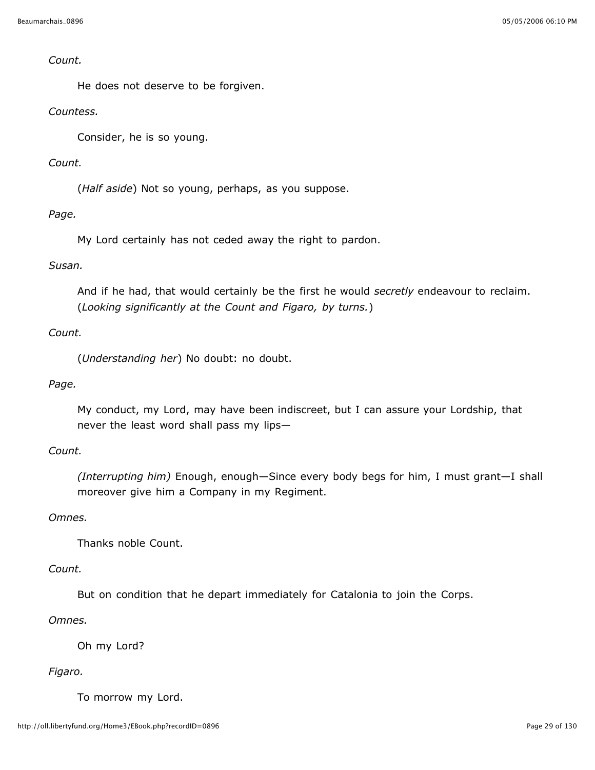#### *Count.*

He does not deserve to be forgiven.

## *Countess.*

Consider, he is so young.

## *Count.*

(*Half aside*) Not so young, perhaps, as you suppose.

## *Page.*

My Lord certainly has not ceded away the right to pardon.

## *Susan.*

And if he had, that would certainly be the first he would *secretly* endeavour to reclaim. (*Looking significantly at the Count and Figaro, by turns.*)

## *Count.*

(*Understanding her*) No doubt: no doubt.

## *Page.*

My conduct, my Lord, may have been indiscreet, but I can assure your Lordship, that never the least word shall pass my lips—

## *Count.*

*(Interrupting him)* Enough, enough—Since every body begs for him, I must grant—I shall moreover give him a Company in my Regiment.

#### *Omnes.*

Thanks noble Count.

#### *Count.*

But on condition that he depart immediately for Catalonia to join the Corps.

## *Omnes.*

Oh my Lord?

#### *Figaro.*

To morrow my Lord.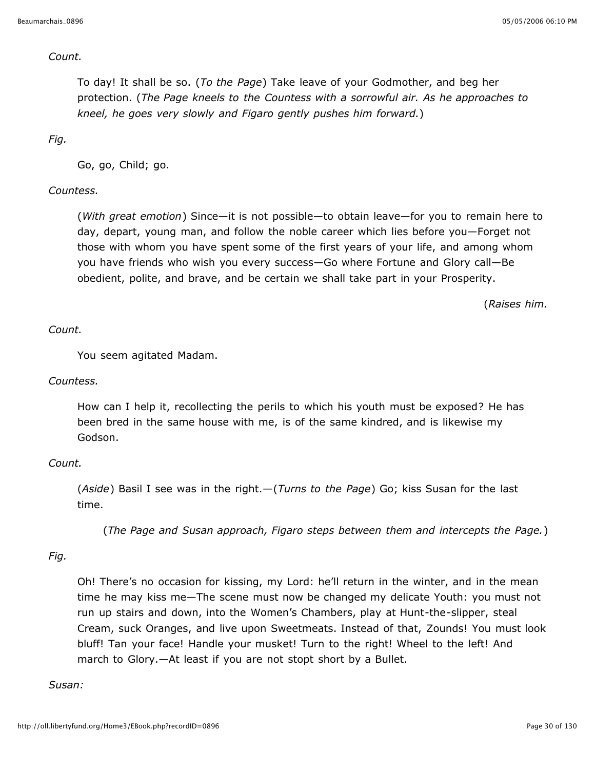#### *Count.*

To day! It shall be so. (*To the Page*) Take leave of your Godmother, and beg her protection. (*The Page kneels to the Countess with a sorrowful air. As he approaches to kneel, he goes very slowly and Figaro gently pushes him forward.*)

*Fig.*

Go, go, Child; go.

## *Countess.*

(*With great emotion*) Since—it is not possible—to obtain leave—for you to remain here to day, depart, young man, and follow the noble career which lies before you—Forget not those with whom you have spent some of the first years of your life, and among whom you have friends who wish you every success—Go where Fortune and Glory call—Be obedient, polite, and brave, and be certain we shall take part in your Prosperity.

(*Raises him.*

#### *Count.*

You seem agitated Madam.

#### *Countess.*

How can I help it, recollecting the perils to which his youth must be exposed? He has been bred in the same house with me, is of the same kindred, and is likewise my Godson.

#### *Count.*

(*Aside*) Basil I see was in the right.—(*Turns to the Page*) Go; kiss Susan for the last time.

(*The Page and Susan approach, Figaro steps between them and intercepts the Page.*)

## *Fig.*

Oh! There's no occasion for kissing, my Lord: he'll return in the winter, and in the mean time he may kiss me—The scene must now be changed my delicate Youth: you must not run up stairs and down, into the Women's Chambers, play at Hunt-the-slipper, steal Cream, suck Oranges, and live upon Sweetmeats. Instead of that, Zounds! You must look bluff! Tan your face! Handle your musket! Turn to the right! Wheel to the left! And march to Glory.—At least if you are not stopt short by a Bullet.

#### *Susan:*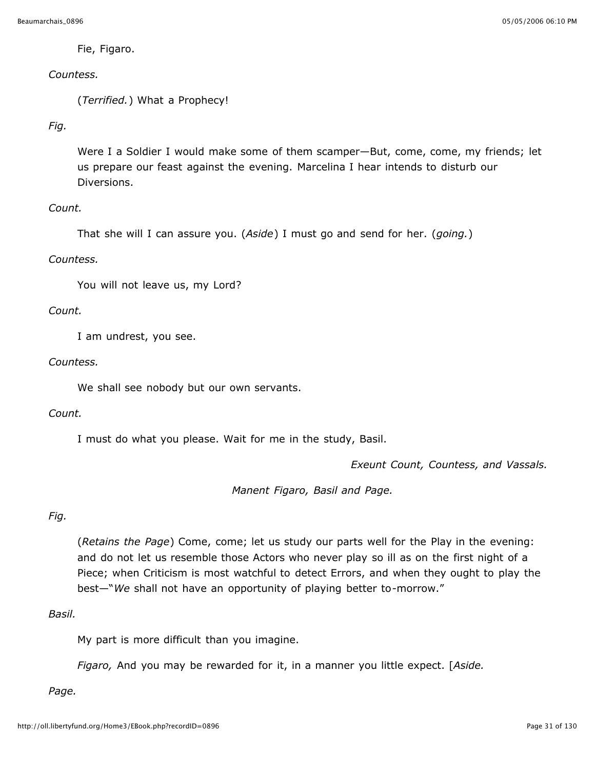Fie, Figaro.

## *Countess.*

(*Terrified.*) What a Prophecy!

## *Fig.*

Were I a Soldier I would make some of them scamper—But, come, come, my friends; let us prepare our feast against the evening. Marcelina I hear intends to disturb our Diversions.

## *Count.*

```
That she will I can assure you. (Aside) I must go and send for her. (going.)
```
## *Countess.*

You will not leave us, my Lord?

## *Count.*

I am undrest, you see.

## *Countess.*

We shall see nobody but our own servants.

#### *Count.*

I must do what you please. Wait for me in the study, Basil.

*Exeunt Count, Countess, and Vassals.*

*Manent Figaro, Basil and Page.*

## *Fig.*

(*Retains the Page*) Come, come; let us study our parts well for the Play in the evening: and do not let us resemble those Actors who never play so ill as on the first night of a Piece; when Criticism is most watchful to detect Errors, and when they ought to play the best—"*We* shall not have an opportunity of playing better to-morrow."

#### *Basil.*

My part is more difficult than you imagine.

*Figaro,* And you may be rewarded for it, in a manner you little expect. [*Aside.*

#### *Page.*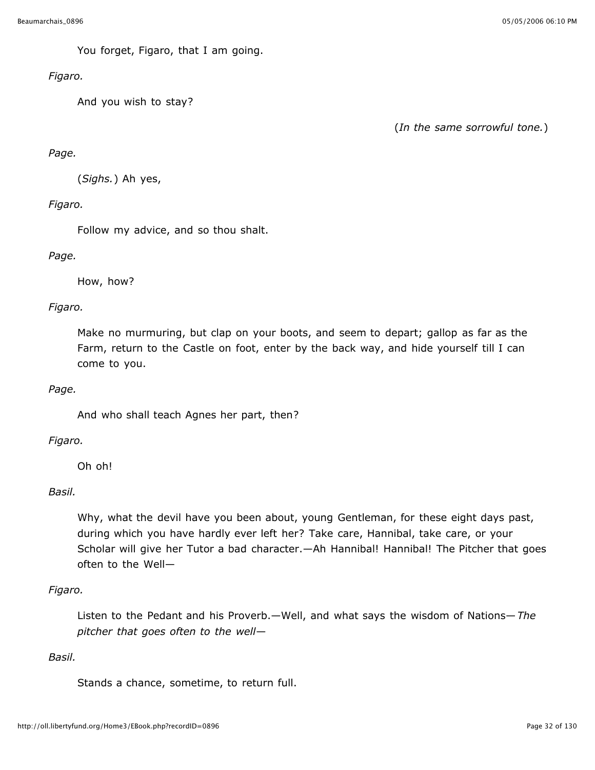You forget, Figaro, that I am going.

## *Figaro.*

And you wish to stay?

(*In the same sorrowful tone.*)

## *Page.*

(*Sighs.*) Ah yes,

## *Figaro.*

Follow my advice, and so thou shalt.

## *Page.*

How, how?

## *Figaro.*

Make no murmuring, but clap on your boots, and seem to depart; gallop as far as the Farm, return to the Castle on foot, enter by the back way, and hide yourself till I can come to you.

## *Page.*

And who shall teach Agnes her part, then?

## *Figaro.*

Oh oh!

## *Basil.*

Why, what the devil have you been about, young Gentleman, for these eight days past, during which you have hardly ever left her? Take care, Hannibal, take care, or your Scholar will give her Tutor a bad character.—Ah Hannibal! Hannibal! The Pitcher that goes often to the Well—

## *Figaro.*

Listen to the Pedant and his Proverb.—Well, and what says the wisdom of Nations—*The pitcher that goes often to the well*—

## *Basil.*

Stands a chance, sometime, to return full.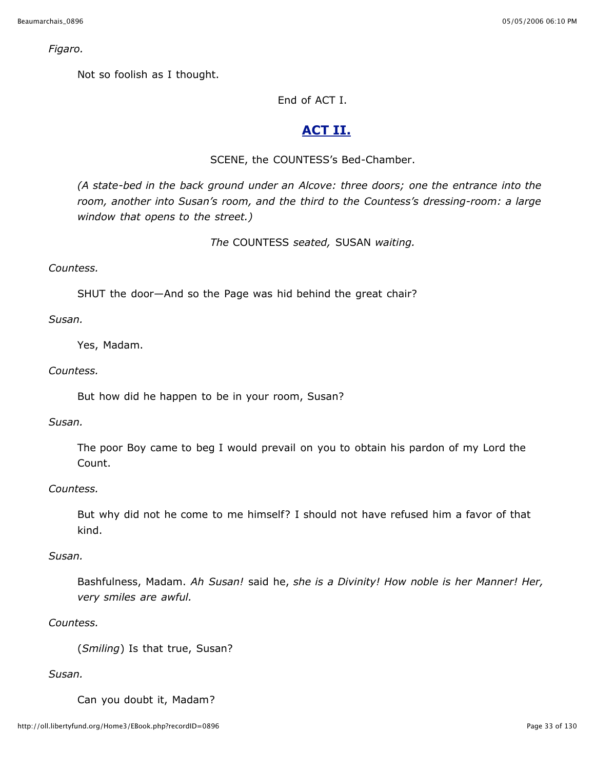*Figaro.*

Not so foolish as I thought.

End of ACT I.

## **ACT II.**

## SCENE, the COUNTESS's Bed-Chamber.

*(A state-bed in the back ground under an Alcove: three doors; one the entrance into the room, another into Susan's room, and the third to the Countess's dressing-room: a large window that opens to the street.)*

*The* COUNTESS *seated,* SUSAN *waiting.*

## *Countess.*

SHUT the door—And so the Page was hid behind the great chair?

#### *Susan.*

Yes, Madam.

## *Countess.*

But how did he happen to be in your room, Susan?

## *Susan.*

The poor Boy came to beg I would prevail on you to obtain his pardon of my Lord the Count.

#### *Countess.*

But why did not he come to me himself? I should not have refused him a favor of that kind.

#### *Susan.*

Bashfulness, Madam. *Ah Susan!* said he, *she is a Divinity! How noble is her Manner! Her, very smiles are awful.*

## *Countess.*

(*Smiling*) Is that true, Susan?

## *Susan.*

Can you doubt it, Madam?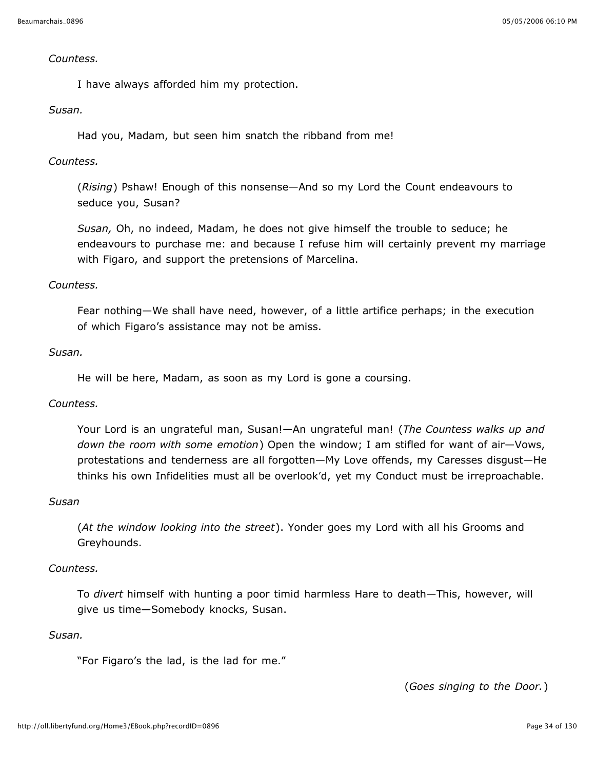#### *Countess.*

I have always afforded him my protection.

#### *Susan.*

Had you, Madam, but seen him snatch the ribband from me!

## *Countess.*

(*Rising*) Pshaw! Enough of this nonsense—And so my Lord the Count endeavours to seduce you, Susan?

*Susan,* Oh, no indeed, Madam, he does not give himself the trouble to seduce; he endeavours to purchase me: and because I refuse him will certainly prevent my marriage with Figaro, and support the pretensions of Marcelina.

#### *Countess.*

Fear nothing—We shall have need, however, of a little artifice perhaps; in the execution of which Figaro's assistance may not be amiss.

#### *Susan.*

He will be here, Madam, as soon as my Lord is gone a coursing.

#### *Countess.*

Your Lord is an ungrateful man, Susan!—An ungrateful man! (*The Countess walks up and down the room with some emotion*) Open the window; I am stifled for want of air—Vows, protestations and tenderness are all forgotten—My Love offends, my Caresses disgust—He thinks his own Infidelities must all be overlook'd, yet my Conduct must be irreproachable.

#### *Susan*

(*At the window looking into the street*). Yonder goes my Lord with all his Grooms and Greyhounds.

#### *Countess.*

To *divert* himself with hunting a poor timid harmless Hare to death—This, however, will give us time—Somebody knocks, Susan.

### *Susan.*

"For Figaro's the lad, is the lad for me."

(*Goes singing to the Door.*)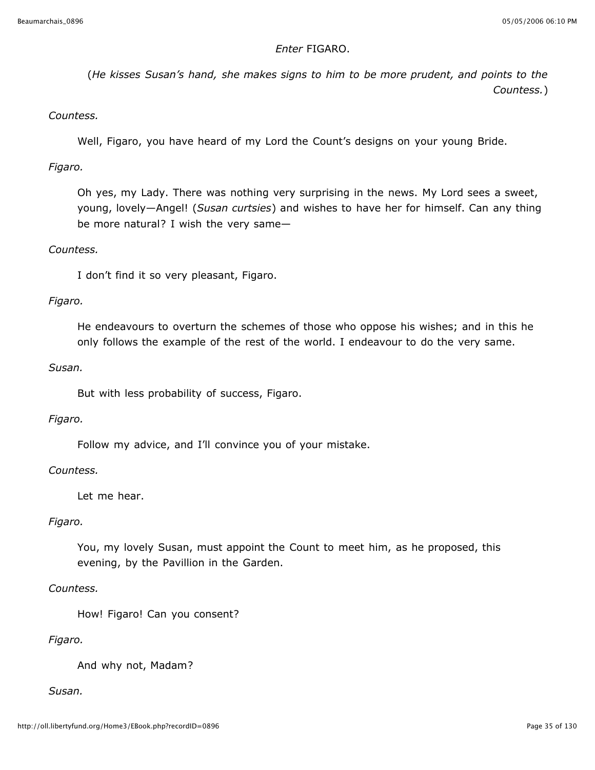## *Enter* FIGARO.

(*He kisses Susan's hand, she makes signs to him to be more prudent, and points to the Countess.*)

#### *Countess.*

Well, Figaro, you have heard of my Lord the Count's designs on your young Bride.

#### *Figaro.*

Oh yes, my Lady. There was nothing very surprising in the news. My Lord sees a sweet, young, lovely—Angel! (*Susan curtsies*) and wishes to have her for himself. Can any thing be more natural? I wish the very same—

#### *Countess.*

I don't find it so very pleasant, Figaro.

#### *Figaro.*

He endeavours to overturn the schemes of those who oppose his wishes; and in this he only follows the example of the rest of the world. I endeavour to do the very same.

## *Susan.*

But with less probability of success, Figaro.

#### *Figaro.*

Follow my advice, and I'll convince you of your mistake.

#### *Countess.*

Let me hear.

#### *Figaro.*

You, my lovely Susan, must appoint the Count to meet him, as he proposed, this evening, by the Pavillion in the Garden.

#### *Countess.*

How! Figaro! Can you consent?

#### *Figaro.*

And why not, Madam?

## *Susan.*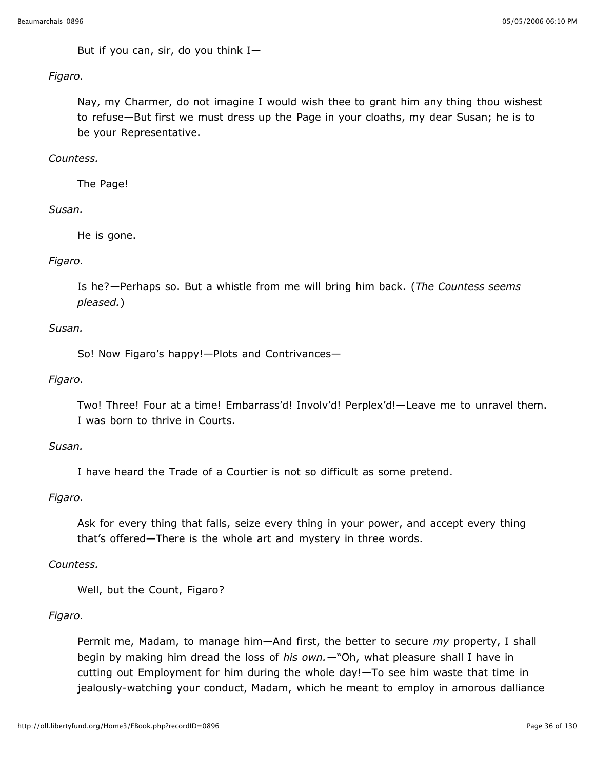But if you can, sir, do you think  $I-$ 

#### *Figaro.*

Nay, my Charmer, do not imagine I would wish thee to grant him any thing thou wishest to refuse—But first we must dress up the Page in your cloaths, my dear Susan; he is to be your Representative.

## *Countess.*

The Page!

## *Susan.*

He is gone.

## *Figaro.*

Is he?—Perhaps so. But a whistle from me will bring him back. (*The Countess seems pleased.*)

## *Susan.*

So! Now Figaro's happy!—Plots and Contrivances—

## *Figaro.*

Two! Three! Four at a time! Embarrass'd! Involv'd! Perplex'd!—Leave me to unravel them. I was born to thrive in Courts.

#### *Susan.*

I have heard the Trade of a Courtier is not so difficult as some pretend.

#### *Figaro.*

Ask for every thing that falls, seize every thing in your power, and accept every thing that's offered—There is the whole art and mystery in three words.

#### *Countess.*

Well, but the Count, Figaro?

## *Figaro.*

Permit me, Madam, to manage him—And first, the better to secure *my* property, I shall begin by making him dread the loss of *his own.*—"Oh, what pleasure shall I have in cutting out Employment for him during the whole day!—To see him waste that time in jealously-watching your conduct, Madam, which he meant to employ in amorous dalliance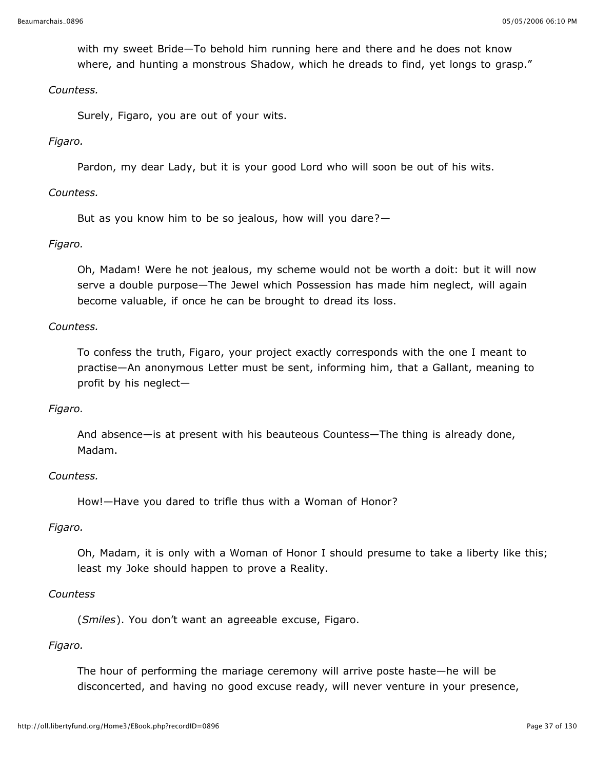with my sweet Bride—To behold him running here and there and he does not know where, and hunting a monstrous Shadow, which he dreads to find, yet longs to grasp."

#### *Countess.*

Surely, Figaro, you are out of your wits.

### *Figaro.*

Pardon, my dear Lady, but it is your good Lord who will soon be out of his wits.

### *Countess.*

But as you know him to be so jealous, how will you dare?—

### *Figaro.*

Oh, Madam! Were he not jealous, my scheme would not be worth a doit: but it will now serve a double purpose—The Jewel which Possession has made him neglect, will again become valuable, if once he can be brought to dread its loss.

### *Countess.*

To confess the truth, Figaro, your project exactly corresponds with the one I meant to practise—An anonymous Letter must be sent, informing him, that a Gallant, meaning to profit by his neglect—

#### *Figaro.*

And absence—is at present with his beauteous Countess—The thing is already done, Madam.

#### *Countess.*

How!—Have you dared to trifle thus with a Woman of Honor?

#### *Figaro.*

Oh, Madam, it is only with a Woman of Honor I should presume to take a liberty like this; least my Joke should happen to prove a Reality.

#### *Countess*

(*Smiles*). You don't want an agreeable excuse, Figaro.

### *Figaro.*

The hour of performing the mariage ceremony will arrive poste haste—he will be disconcerted, and having no good excuse ready, will never venture in your presence,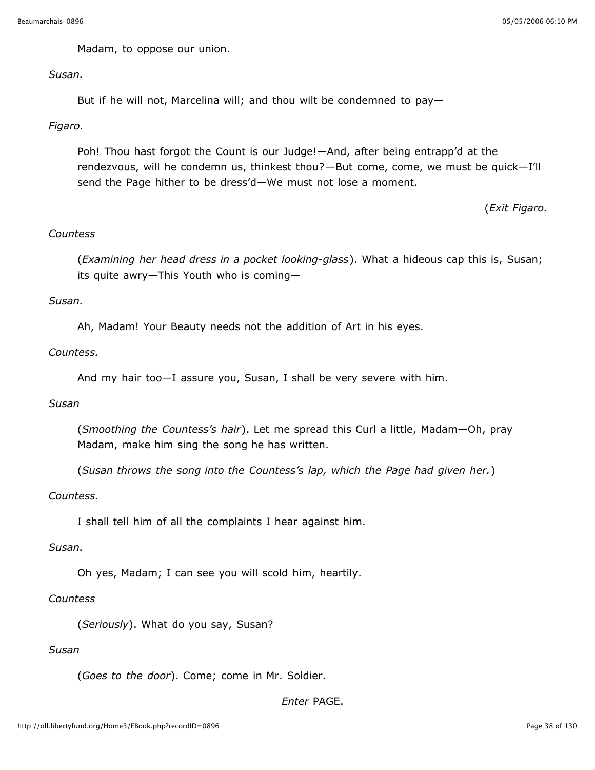Madam, to oppose our union.

#### *Susan.*

But if he will not, Marcelina will; and thou wilt be condemned to pay—

### *Figaro.*

Poh! Thou hast forgot the Count is our Judge!—And, after being entrapp'd at the rendezvous, will he condemn us, thinkest thou?—But come, come, we must be quick—I'll send the Page hither to be dress'd—We must not lose a moment.

(*Exit Figaro.*

## *Countess*

(*Examining her head dress in a pocket looking-glass*). What a hideous cap this is, Susan; its quite awry—This Youth who is coming—

### *Susan.*

Ah, Madam! Your Beauty needs not the addition of Art in his eyes.

### *Countess.*

And my hair too—I assure you, Susan, I shall be very severe with him.

#### *Susan*

(*Smoothing the Countess's hair*). Let me spread this Curl a little, Madam—Oh, pray Madam, make him sing the song he has written.

(*Susan throws the song into the Countess's lap, which the Page had given her.*)

### *Countess.*

I shall tell him of all the complaints I hear against him.

#### *Susan.*

Oh yes, Madam; I can see you will scold him, heartily.

## *Countess*

(*Seriously*). What do you say, Susan?

# *Susan*

(*Goes to the door*). Come; come in Mr. Soldier.

*Enter* PAGE.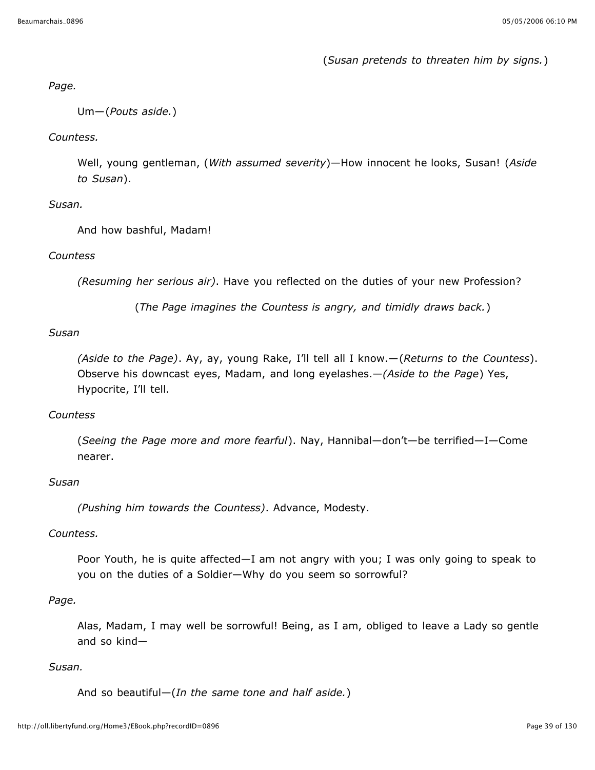(*Susan pretends to threaten him by signs.*)

#### *Page.*

Um—(*Pouts aside.*)

## *Countess.*

Well, young gentleman, (*With assumed severity*)—How innocent he looks, Susan! (*Aside to Susan*).

## *Susan.*

And how bashful, Madam!

## *Countess*

*(Resuming her serious air)*. Have you reflected on the duties of your new Profession?

(*The Page imagines the Countess is angry, and timidly draws back.*)

## *Susan*

*(Aside to the Page)*. Ay, ay, young Rake, I'll tell all I know.—(*Returns to the Countess*). Observe his downcast eyes, Madam, and long eyelashes.—*(Aside to the Page*) Yes, Hypocrite, I'll tell.

## *Countess*

(*Seeing the Page more and more fearful*). Nay, Hannibal—don't—be terrified—I—Come nearer.

### *Susan*

*(Pushing him towards the Countess)*. Advance, Modesty.

### *Countess.*

Poor Youth, he is quite affected—I am not angry with you; I was only going to speak to you on the duties of a Soldier—Why do you seem so sorrowful?

### *Page.*

Alas, Madam, I may well be sorrowful! Being, as I am, obliged to leave a Lady so gentle and so kind—

### *Susan.*

And so beautiful—(*In the same tone and half aside.*)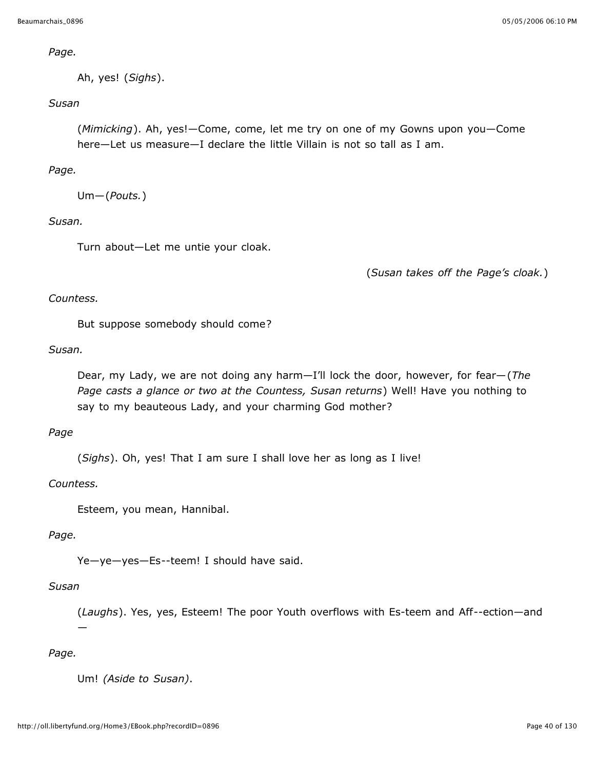*Page.*

Ah, yes! (*Sighs*).

## *Susan*

(*Mimicking*). Ah, yes!—Come, come, let me try on one of my Gowns upon you—Come here—Let us measure—I declare the little Villain is not so tall as I am.

## *Page.*

Um—(*Pouts.*)

### *Susan.*

Turn about—Let me untie your cloak.

(*Susan takes off the Page's cloak.*)

### *Countess.*

But suppose somebody should come?

### *Susan.*

Dear, my Lady, we are not doing any harm—I'll lock the door, however, for fear—(*The Page casts a glance or two at the Countess, Susan returns*) Well! Have you nothing to say to my beauteous Lady, and your charming God mother?

### *Page*

(*Sighs*). Oh, yes! That I am sure I shall love her as long as I live!

### *Countess.*

Esteem, you mean, Hannibal.

### *Page.*

Ye-ye-yes-Es--teem! I should have said.

### *Susan*

—

(*Laughs*). Yes, yes, Esteem! The poor Youth overflows with Es-teem and Aff--ection—and

## *Page.*

Um! *(Aside to Susan)*.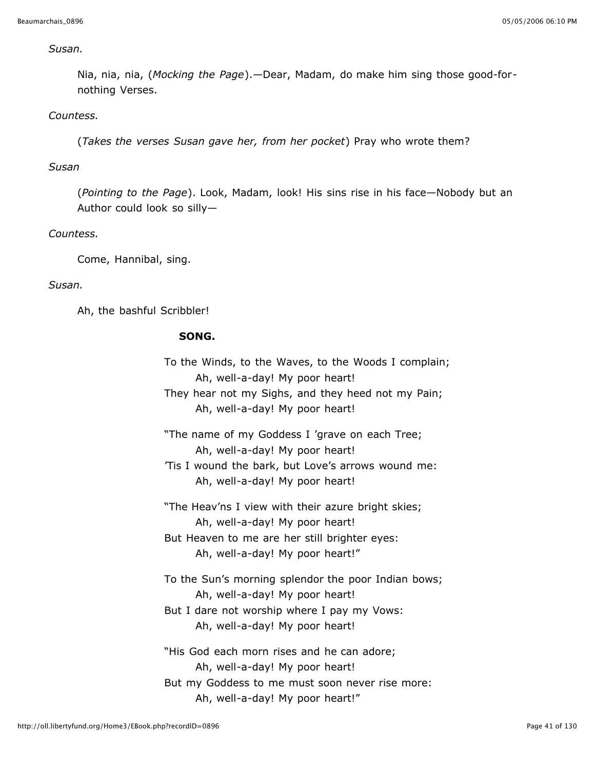#### *Susan.*

Nia, nia, nia, (*Mocking the Page*).—Dear, Madam, do make him sing those good-fornothing Verses.

### *Countess.*

(*Takes the verses Susan gave her, from her pocket*) Pray who wrote them?

#### *Susan*

(*Pointing to the Page*). Look, Madam, look! His sins rise in his face—Nobody but an Author could look so silly—

#### *Countess.*

Come, Hannibal, sing.

### *Susan.*

Ah, the bashful Scribbler!

### **SONG.**

To the Winds, to the Waves, to the Woods I complain; Ah, well-a-day! My poor heart! They hear not my Sighs, and they heed not my Pain; Ah, well-a-day! My poor heart! "The name of my Goddess I 'grave on each Tree; Ah, well-a-day! My poor heart! 'Tis I wound the bark, but Love's arrows wound me: Ah, well-a-day! My poor heart! "The Heav'ns I view with their azure bright skies; Ah, well-a-day! My poor heart! But Heaven to me are her still brighter eyes: Ah, well-a-day! My poor heart!" To the Sun's morning splendor the poor Indian bows; Ah, well-a-day! My poor heart! But I dare not worship where I pay my Vows: Ah, well-a-day! My poor heart! "His God each morn rises and he can adore; Ah, well-a-day! My poor heart! But my Goddess to me must soon never rise more: Ah, well-a-day! My poor heart!"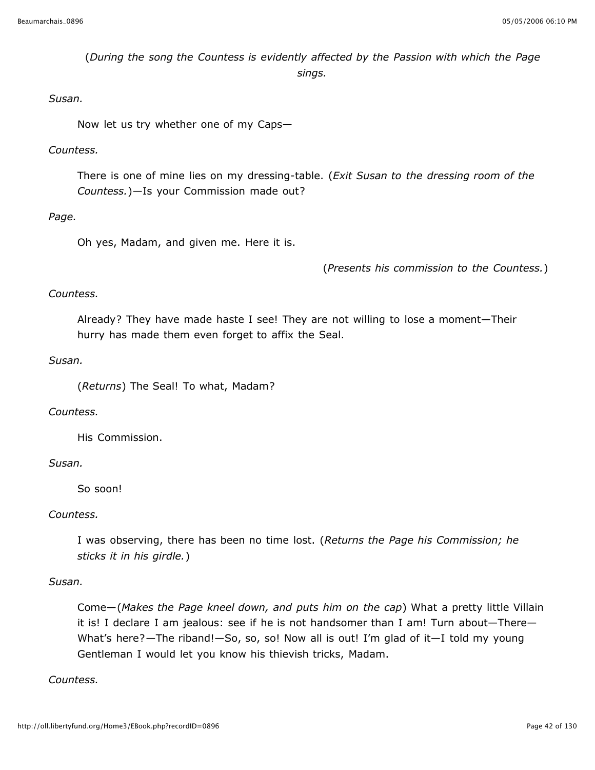(*During the song the Countess is evidently affected by the Passion with which the Page sings.*

### *Susan.*

Now let us try whether one of my Caps—

### *Countess.*

There is one of mine lies on my dressing-table. (*Exit Susan to the dressing room of the Countess.*)—Is your Commission made out?

### *Page.*

Oh yes, Madam, and given me. Here it is.

(*Presents his commission to the Countess.*)

### *Countess.*

Already? They have made haste I see! They are not willing to lose a moment—Their hurry has made them even forget to affix the Seal.

### *Susan.*

(*Returns*) The Seal! To what, Madam?

### *Countess.*

His Commission.

### *Susan.*

So soon!

### *Countess.*

I was observing, there has been no time lost. (*Returns the Page his Commission; he sticks it in his girdle.*)

### *Susan.*

Come—(*Makes the Page kneel down, and puts him on the cap*) What a pretty little Villain it is! I declare I am jealous: see if he is not handsomer than I am! Turn about—There— What's here?—The riband!—So, so, so! Now all is out! I'm glad of it—I told my young Gentleman I would let you know his thievish tricks, Madam.

### *Countess.*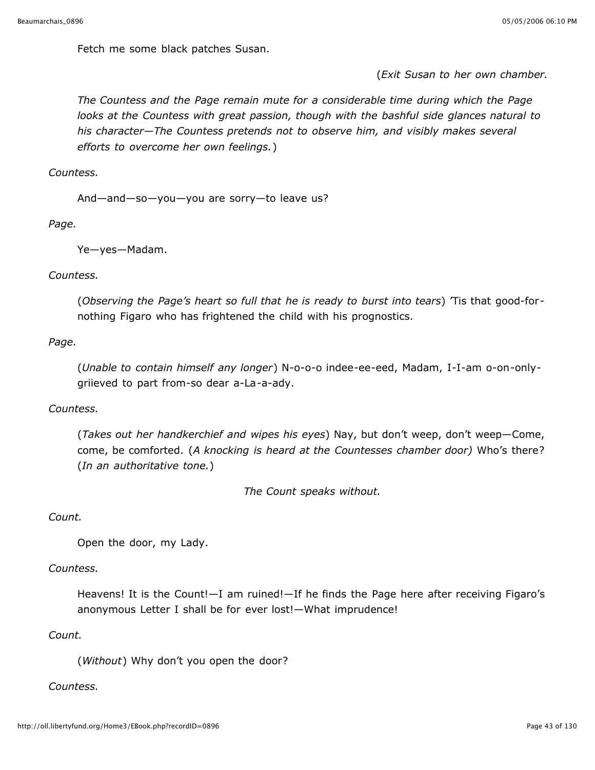Fetch me some black patches Susan.

(*Exit Susan to her own chamber.*

*The Countess and the Page remain mute for a considerable time during which the Page looks at the Countess with great passion, though with the bashful side glances natural to his character—The Countess pretends not to observe him, and visibly makes several efforts to overcome her own feelings.*)

*Countess.*

And—and—so—you—you are sorry—to leave us?

*Page.*

Ye—yes—Madam.

*Countess.*

(*Observing the Page's heart so full that he is ready to burst into tears*) 'Tis that good-fornothing Figaro who has frightened the child with his prognostics.

*Page.*

(*Unable to contain himself any longer*) N-o-o-o indee-ee-eed, Madam, I-I-am o-on-onlygriieved to part from-so dear a-La-a-ady.

#### *Countess.*

(*Takes out her handkerchief and wipes his eyes*) Nay, but don't weep, don't weep—Come, come, be comforted. (*A knocking is heard at the Countesses chamber door)* Who's there? (*In an authoritative tone.*)

*The Count speaks without.*

*Count.*

Open the door, my Lady.

#### *Countess.*

Heavens! It is the Count!—I am ruined!—If he finds the Page here after receiving Figaro's anonymous Letter I shall be for ever lost!—What imprudence!

*Count.*

(*Without*) Why don't you open the door?

#### *Countess.*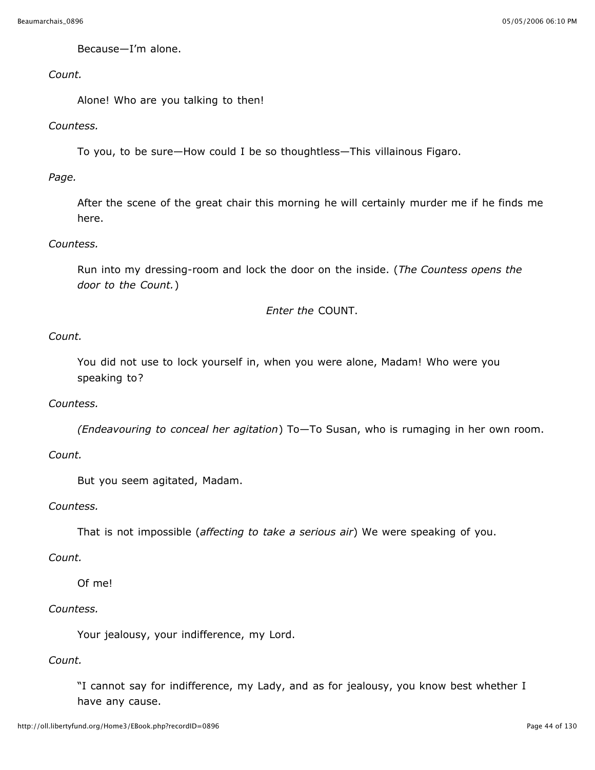Because—I'm alone.

## *Count.*

Alone! Who are you talking to then!

## *Countess.*

To you, to be sure—How could I be so thoughtless—This villainous Figaro.

*Page.*

After the scene of the great chair this morning he will certainly murder me if he finds me here.

### *Countess.*

Run into my dressing-room and lock the door on the inside. (*The Countess opens the door to the Count.*)

*Enter the* COUNT.

## *Count.*

You did not use to lock yourself in, when you were alone, Madam! Who were you speaking to?

### *Countess.*

*(Endeavouring to conceal her agitation*) To—To Susan, who is rumaging in her own room.

### *Count.*

But you seem agitated, Madam.

### *Countess.*

That is not impossible (*affecting to take a serious air*) We were speaking of you.

### *Count.*

Of me!

### *Countess.*

Your jealousy, your indifference, my Lord.

### *Count.*

"I cannot say for indifference, my Lady, and as for jealousy, you know best whether I have any cause.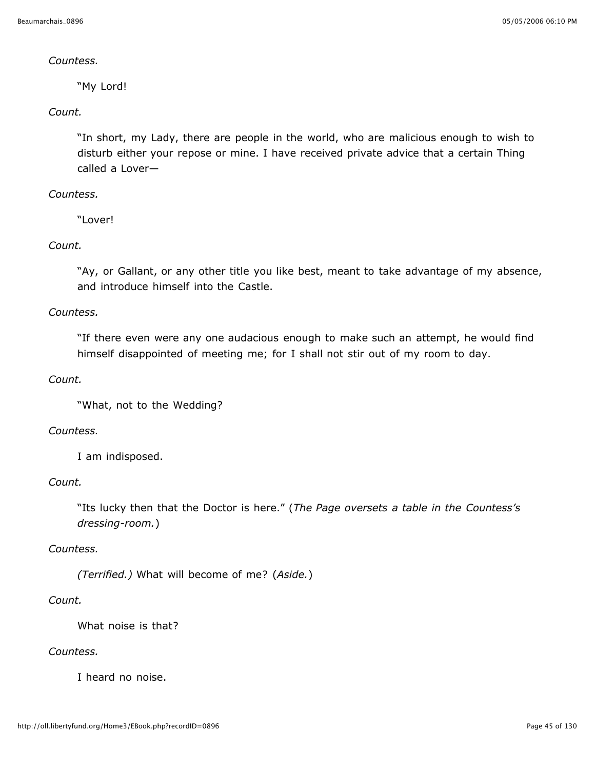### *Countess.*

"My Lord!

## *Count.*

"In short, my Lady, there are people in the world, who are malicious enough to wish to disturb either your repose or mine. I have received private advice that a certain Thing called a Lover—

## *Countess.*

"Lover!

## *Count.*

"Ay, or Gallant, or any other title you like best, meant to take advantage of my absence, and introduce himself into the Castle.

### *Countess.*

"If there even were any one audacious enough to make such an attempt, he would find himself disappointed of meeting me; for I shall not stir out of my room to day.

### *Count.*

"What, not to the Wedding?

### *Countess.*

I am indisposed.

### *Count.*

"Its lucky then that the Doctor is here." (*The Page oversets a table in the Countess's dressing-room.*)

### *Countess.*

*(Terrified.)* What will become of me? (*Aside.*)

## *Count.*

What noise is that?

### *Countess.*

I heard no noise.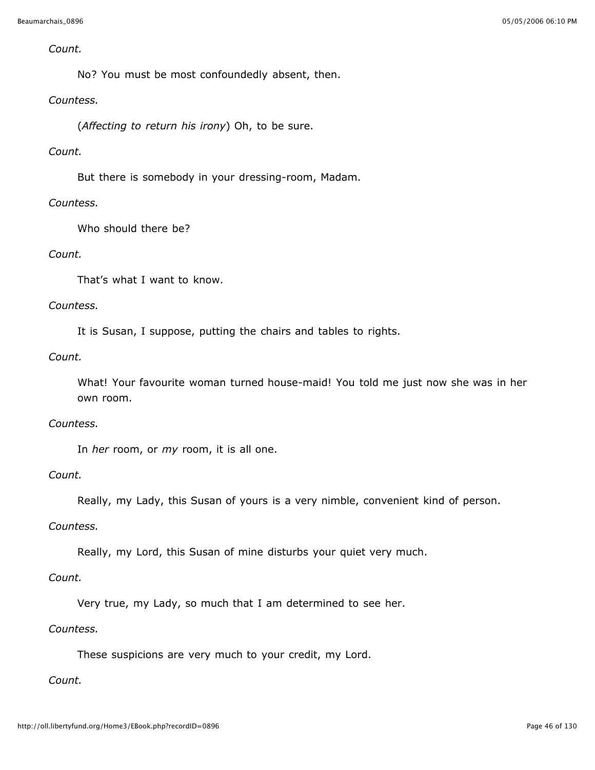#### *Count.*

No? You must be most confoundedly absent, then.

### *Countess.*

(*Affecting to return his irony*) Oh, to be sure.

## *Count.*

But there is somebody in your dressing-room, Madam.

## *Countess.*

Who should there be?

## *Count.*

That's what I want to know.

## *Countess.*

It is Susan, I suppose, putting the chairs and tables to rights.

## *Count.*

What! Your favourite woman turned house-maid! You told me just now she was in her own room.

### *Countess.*

In *her* room, or *my* room, it is all one.

### *Count.*

Really, my Lady, this Susan of yours is a very nimble, convenient kind of person.

### *Countess.*

Really, my Lord, this Susan of mine disturbs your quiet very much.

## *Count.*

Very true, my Lady, so much that I am determined to see her.

### *Countess.*

These suspicions are very much to your credit, my Lord.

## *Count.*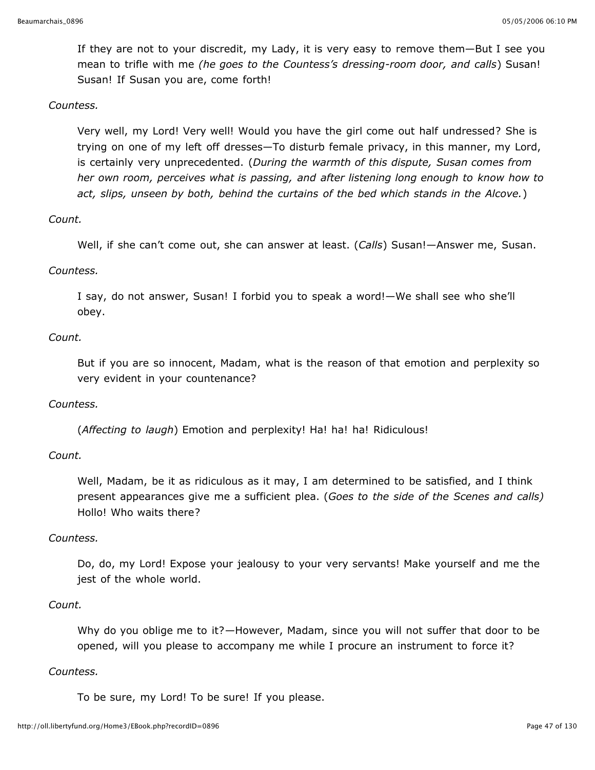If they are not to your discredit, my Lady, it is very easy to remove them—But I see you mean to trifle with me *(he goes to the Countess's dressing-room door, and calls*) Susan! Susan! If Susan you are, come forth!

### *Countess.*

Very well, my Lord! Very well! Would you have the girl come out half undressed? She is trying on one of my left off dresses—To disturb female privacy, in this manner, my Lord, is certainly very unprecedented. (*During the warmth of this dispute, Susan comes from her own room, perceives what is passing, and after listening long enough to know how to act, slips, unseen by both, behind the curtains of the bed which stands in the Alcove.*)

### *Count.*

Well, if she can't come out, she can answer at least. (*Calls*) Susan!—Answer me, Susan.

### *Countess.*

I say, do not answer, Susan! I forbid you to speak a word!—We shall see who she'll obey.

### *Count.*

But if you are so innocent, Madam, what is the reason of that emotion and perplexity so very evident in your countenance?

#### *Countess.*

(*Affecting to laugh*) Emotion and perplexity! Ha! ha! ha! Ridiculous!

#### *Count.*

Well, Madam, be it as ridiculous as it may, I am determined to be satisfied, and I think present appearances give me a sufficient plea. (*Goes to the side of the Scenes and calls)* Hollo! Who waits there?

#### *Countess.*

Do, do, my Lord! Expose your jealousy to your very servants! Make yourself and me the jest of the whole world.

#### *Count.*

Why do you oblige me to it?—However, Madam, since you will not suffer that door to be opened, will you please to accompany me while I procure an instrument to force it?

#### *Countess.*

To be sure, my Lord! To be sure! If you please.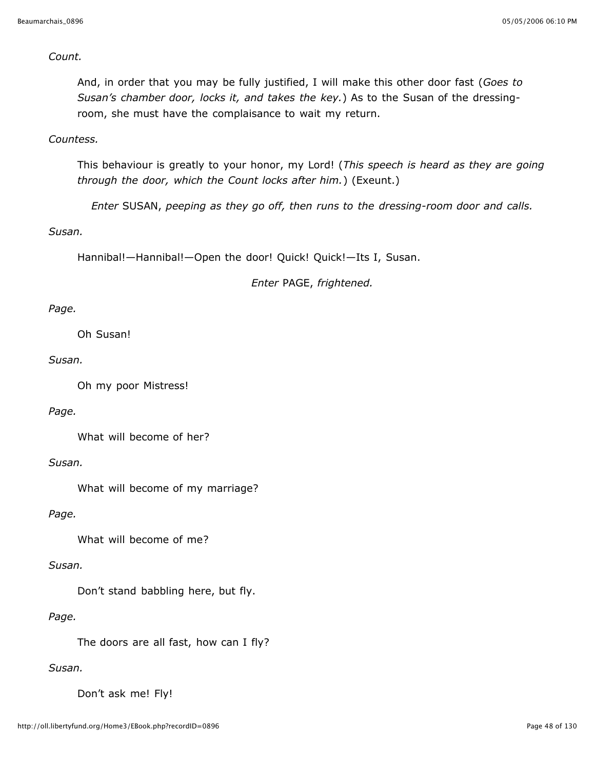*Count.*

And, in order that you may be fully justified, I will make this other door fast (*Goes to Susan's chamber door, locks it, and takes the key.*) As to the Susan of the dressingroom, she must have the complaisance to wait my return.

*Countess.*

This behaviour is greatly to your honor, my Lord! (*This speech is heard as they are going through the door, which the Count locks after him.*) (Exeunt.)

*Enter* SUSAN, *peeping as they go off, then runs to the dressing-room door and calls.*

*Susan.*

Hannibal!—Hannibal!—Open the door! Quick! Quick!—Its I, Susan.

*Enter* PAGE, *frightened.*

### *Page.*

Oh Susan!

*Susan.*

Oh my poor Mistress!

#### *Page.*

What will become of her?

*Susan.*

What will become of my marriage?

*Page.*

What will become of me?

#### *Susan.*

Don't stand babbling here, but fly.

### *Page.*

The doors are all fast, how can I fly?

#### *Susan.*

Don't ask me! Fly!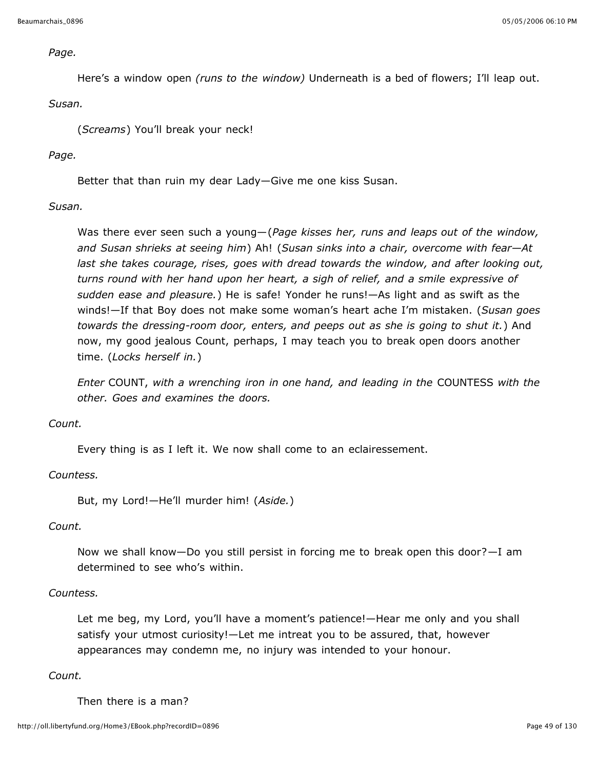#### *Page.*

Here's a window open *(runs to the window)* Underneath is a bed of flowers; I'll leap out.

#### *Susan.*

(*Screams*) You'll break your neck!

#### *Page.*

Better that than ruin my dear Lady—Give me one kiss Susan.

#### *Susan.*

Was there ever seen such a young—(*Page kisses her, runs and leaps out of the window, and Susan shrieks at seeing him*) Ah! (*Susan sinks into a chair, overcome with fear—At last she takes courage, rises, goes with dread towards the window, and after looking out, turns round with her hand upon her heart, a sigh of relief, and a smile expressive of sudden ease and pleasure.*) He is safe! Yonder he runs!—As light and as swift as the winds!—If that Boy does not make some woman's heart ache I'm mistaken. (*Susan goes towards the dressing-room door, enters, and peeps out as she is going to shut it.*) And now, my good jealous Count, perhaps, I may teach you to break open doors another time. (*Locks herself in.*)

*Enter* COUNT, *with a wrenching iron in one hand, and leading in the* COUNTESS *with the other. Goes and examines the doors.*

### *Count.*

Every thing is as I left it. We now shall come to an eclairessement.

#### *Countess.*

But, my Lord!—He'll murder him! (*Aside.*)

#### *Count.*

Now we shall know—Do you still persist in forcing me to break open this door?—I am determined to see who's within.

#### *Countess.*

Let me beg, my Lord, you'll have a moment's patience!—Hear me only and you shall satisfy your utmost curiosity!—Let me intreat you to be assured, that, however appearances may condemn me, no injury was intended to your honour.

#### *Count.*

Then there is a man?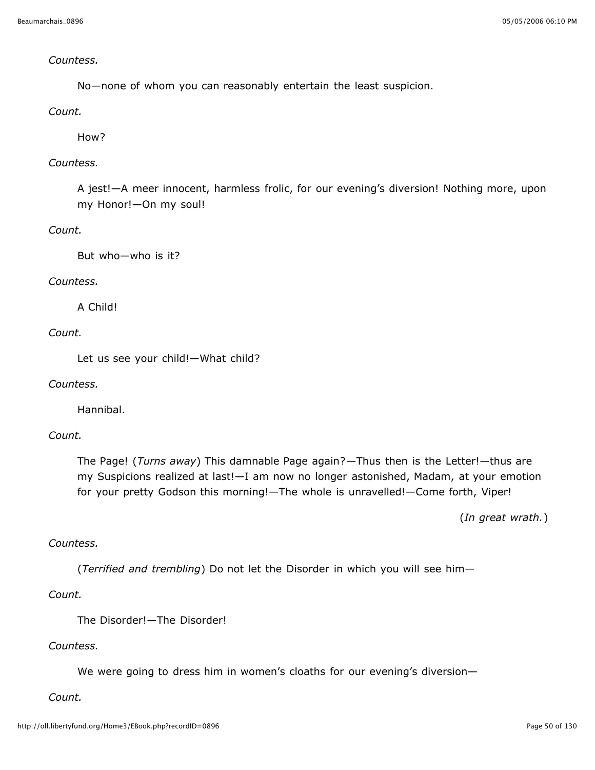### *Countess.*

No—none of whom you can reasonably entertain the least suspicion.

### *Count.*

How?

### *Countess.*

A jest!—A meer innocent, harmless frolic, for our evening's diversion! Nothing more, upon my Honor!—On my soul!

## *Count.*

But who—who is it?

#### *Countess.*

A Child!

## *Count.*

Let us see your child!—What child?

#### *Countess.*

Hannibal.

#### *Count.*

The Page! (*Turns away*) This damnable Page again?—Thus then is the Letter!—thus are my Suspicions realized at last!—I am now no longer astonished, Madam, at your emotion for your pretty Godson this morning!—The whole is unravelled!—Come forth, Viper!

(*In great wrath.*)

## *Countess.*

(*Terrified and trembling*) Do not let the Disorder in which you will see him—

## *Count.*

The Disorder!—The Disorder!

### *Countess.*

We were going to dress him in women's cloaths for our evening's diversion-

*Count.*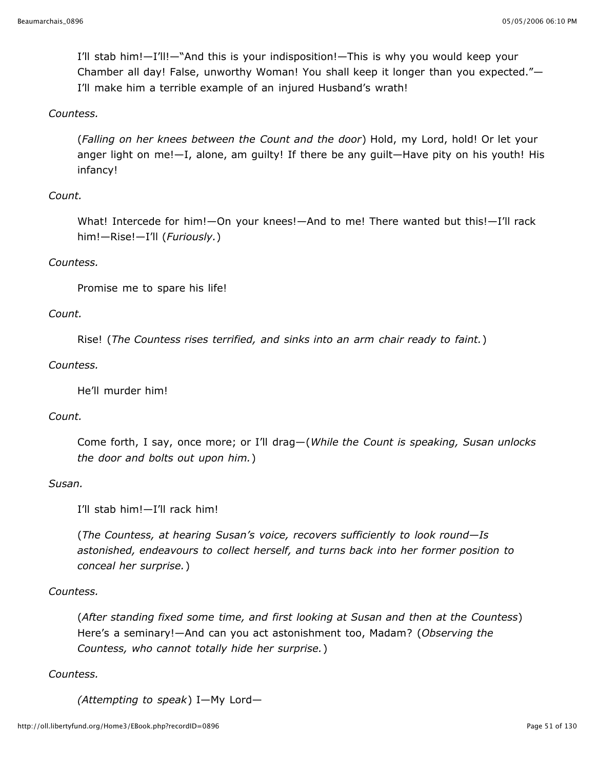I'll stab him!—I'll!—"And this is your indisposition!—This is why you would keep your Chamber all day! False, unworthy Woman! You shall keep it longer than you expected."— I'll make him a terrible example of an injured Husband's wrath!

### *Countess.*

(*Falling on her knees between the Count and the door*) Hold, my Lord, hold! Or let your anger light on me!—I, alone, am guilty! If there be any guilt—Have pity on his youth! His infancy!

#### *Count.*

What! Intercede for him!—On your knees!—And to me! There wanted but this!—I'll rack him!—Rise!—I'll (*Furiously.*)

### *Countess.*

Promise me to spare his life!

#### *Count.*

Rise! (*The Countess rises terrified, and sinks into an arm chair ready to faint.*)

#### *Countess.*

He'll murder him!

## *Count.*

Come forth, I say, once more; or I'll drag—(*While the Count is speaking, Susan unlocks the door and bolts out upon him.*)

#### *Susan.*

I'll stab him!—I'll rack him!

(*The Countess, at hearing Susan's voice, recovers sufficiently to look round—Is astonished, endeavours to collect herself, and turns back into her former position to conceal her surprise.*)

#### *Countess.*

(*After standing fixed some time, and first looking at Susan and then at the Countess*) Here's a seminary!—And can you act astonishment too, Madam? (*Observing the Countess, who cannot totally hide her surprise.*)

#### *Countess.*

*(Attempting to speak*) I—My Lord—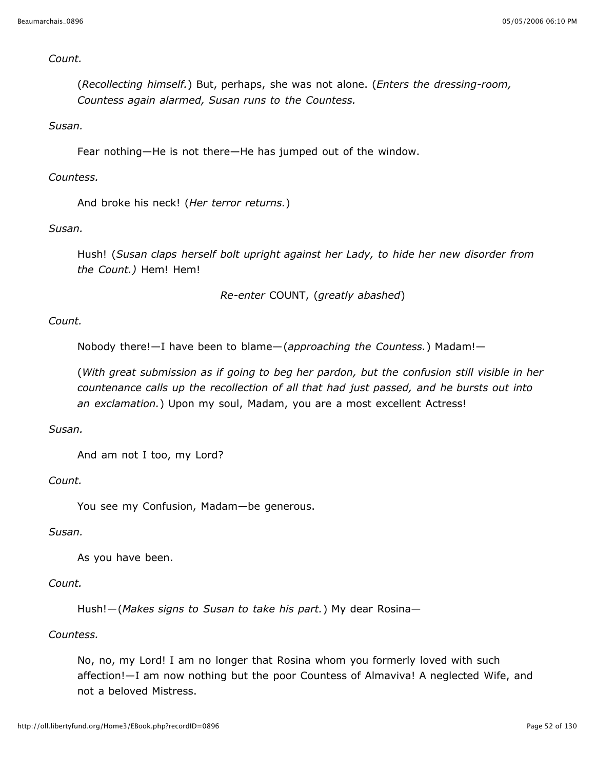### *Count.*

(*Recollecting himself.*) But, perhaps, she was not alone. (*Enters the dressing-room, Countess again alarmed, Susan runs to the Countess.*

### *Susan.*

Fear nothing—He is not there—He has jumped out of the window.

### *Countess.*

And broke his neck! (*Her terror returns.*)

### *Susan.*

Hush! (*Susan claps herself bolt upright against her Lady, to hide her new disorder from the Count.)* Hem! Hem!

*Re-enter* COUNT, (*greatly abashed*)

## *Count.*

Nobody there!—I have been to blame—(*approaching the Countess.*) Madam!—

(*With great submission as if going to beg her pardon, but the confusion still visible in her countenance calls up the recollection of all that had just passed, and he bursts out into an exclamation.*) Upon my soul, Madam, you are a most excellent Actress!

#### *Susan.*

And am not I too, my Lord?

#### *Count.*

You see my Confusion, Madam—be generous.

## *Susan.*

As you have been.

## *Count.*

Hush!—(*Makes signs to Susan to take his part.*) My dear Rosina—

#### *Countess.*

No, no, my Lord! I am no longer that Rosina whom you formerly loved with such affection!—I am now nothing but the poor Countess of Almaviva! A neglected Wife, and not a beloved Mistress.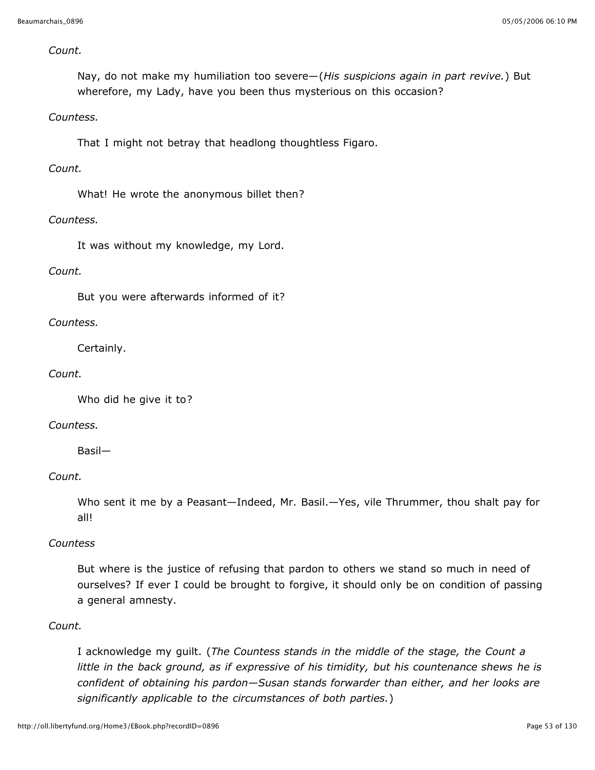### *Count.*

Nay, do not make my humiliation too severe—(*His suspicions again in part revive.*) But wherefore, my Lady, have you been thus mysterious on this occasion?

### *Countess.*

That I might not betray that headlong thoughtless Figaro.

### *Count.*

What! He wrote the anonymous billet then?

#### *Countess.*

It was without my knowledge, my Lord.

### *Count.*

But you were afterwards informed of it?

#### *Countess.*

Certainly.

#### *Count.*

Who did he give it to?

#### *Countess.*

Basil—

#### *Count.*

Who sent it me by a Peasant—Indeed, Mr. Basil.—Yes, vile Thrummer, thou shalt pay for all!

#### *Countess*

But where is the justice of refusing that pardon to others we stand so much in need of ourselves? If ever I could be brought to forgive, it should only be on condition of passing a general amnesty.

### *Count.*

I acknowledge my guilt. (*The Countess stands in the middle of the stage, the Count a little in the back ground, as if expressive of his timidity, but his countenance shews he is confident of obtaining his pardon—Susan stands forwarder than either, and her looks are significantly applicable to the circumstances of both parties.*)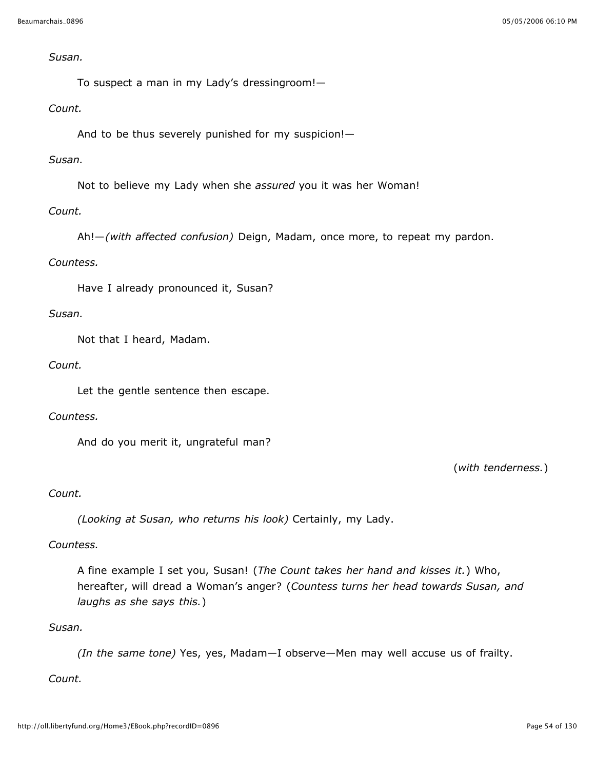#### *Susan.*

To suspect a man in my Lady's dressingroom!—

### *Count.*

And to be thus severely punished for my suspicion!—

## *Susan.*

Not to believe my Lady when she *assured* you it was her Woman!

## *Count.*

Ah!—*(with affected confusion)* Deign, Madam, once more, to repeat my pardon.

### *Countess.*

Have I already pronounced it, Susan?

### *Susan.*

Not that I heard, Madam.

### *Count.*

Let the gentle sentence then escape.

## *Countess.*

And do you merit it, ungrateful man?

(*with tenderness.*)

### *Count.*

*(Looking at Susan, who returns his look)* Certainly, my Lady.

## *Countess.*

A fine example I set you, Susan! (*The Count takes her hand and kisses it.*) Who, hereafter, will dread a Woman's anger? (*Countess turns her head towards Susan, and laughs as she says this.*)

### *Susan.*

*(In the same tone)* Yes, yes, Madam—I observe—Men may well accuse us of frailty.

## *Count.*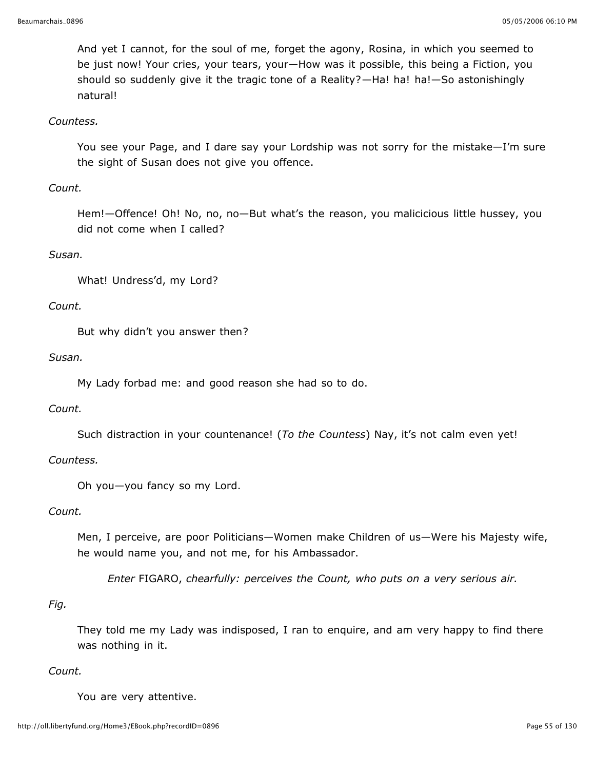And yet I cannot, for the soul of me, forget the agony, Rosina, in which you seemed to be just now! Your cries, your tears, your—How was it possible, this being a Fiction, you should so suddenly give it the tragic tone of a Reality?—Ha! ha! ha!—So astonishingly natural!

### *Countess.*

You see your Page, and I dare say your Lordship was not sorry for the mistake—I'm sure the sight of Susan does not give you offence.

### *Count.*

Hem!—Offence! Oh! No, no, no—But what's the reason, you malicicious little hussey, you did not come when I called?

### *Susan.*

What! Undress'd, my Lord?

#### *Count.*

But why didn't you answer then?

#### *Susan.*

My Lady forbad me: and good reason she had so to do.

### *Count.*

Such distraction in your countenance! (*To the Countess*) Nay, it's not calm even yet!

### *Countess.*

Oh you—you fancy so my Lord.

### *Count.*

Men, I perceive, are poor Politicians—Women make Children of us—Were his Majesty wife, he would name you, and not me, for his Ambassador.

*Enter* FIGARO, *chearfully: perceives the Count, who puts on a very serious air.*

### *Fig.*

They told me my Lady was indisposed, I ran to enquire, and am very happy to find there was nothing in it.

### *Count.*

You are very attentive.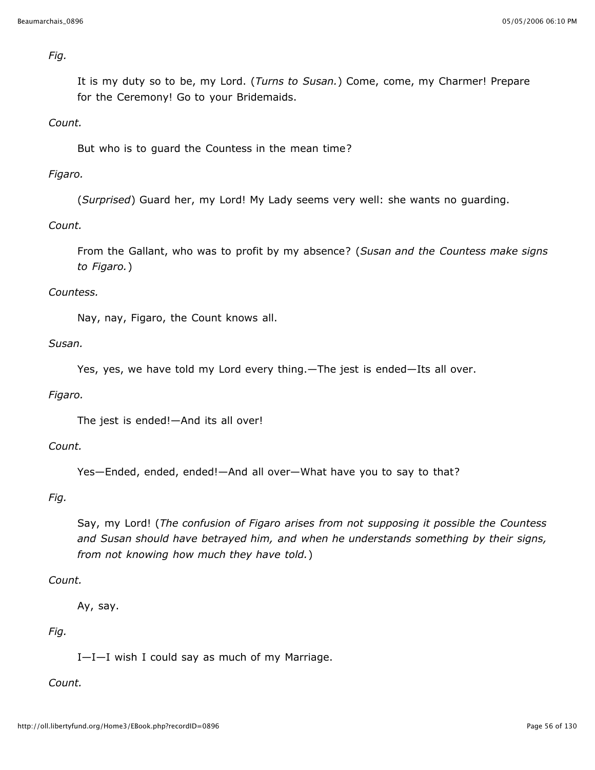*Fig.*

It is my duty so to be, my Lord. (*Turns to Susan.*) Come, come, my Charmer! Prepare for the Ceremony! Go to your Bridemaids.

### *Count.*

But who is to guard the Countess in the mean time?

### *Figaro.*

(*Surprised*) Guard her, my Lord! My Lady seems very well: she wants no guarding.

## *Count.*

From the Gallant, who was to profit by my absence? (*Susan and the Countess make signs to Figaro.*)

### *Countess.*

Nay, nay, Figaro, the Count knows all.

*Susan.*

Yes, yes, we have told my Lord every thing.—The jest is ended—Its all over.

### *Figaro.*

The jest is ended!—And its all over!

### *Count.*

Yes—Ended, ended, ended!—And all over—What have you to say to that?

### *Fig.*

Say, my Lord! (*The confusion of Figaro arises from not supposing it possible the Countess and Susan should have betrayed him, and when he understands something by their signs, from not knowing how much they have told.*)

### *Count.*

Ay, say.

### *Fig.*

I—I—I wish I could say as much of my Marriage.

### *Count.*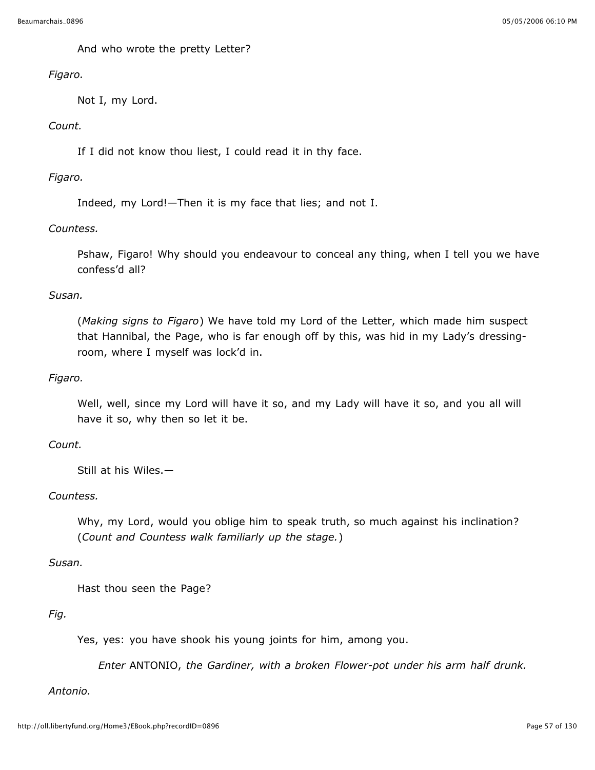And who wrote the pretty Letter?

## *Figaro.*

Not I, my Lord.

## *Count.*

If I did not know thou liest, I could read it in thy face.

## *Figaro.*

Indeed, my Lord!—Then it is my face that lies; and not I.

## *Countess.*

Pshaw, Figaro! Why should you endeavour to conceal any thing, when I tell you we have confess'd all?

### *Susan.*

(*Making signs to Figaro*) We have told my Lord of the Letter, which made him suspect that Hannibal, the Page, who is far enough off by this, was hid in my Lady's dressingroom, where I myself was lock'd in.

## *Figaro.*

Well, well, since my Lord will have it so, and my Lady will have it so, and you all will have it so, why then so let it be.

## *Count.*

Still at his Wiles.—

### *Countess.*

Why, my Lord, would you oblige him to speak truth, so much against his inclination? (*Count and Countess walk familiarly up the stage.*)

### *Susan.*

Hast thou seen the Page?

### *Fig.*

Yes, yes: you have shook his young joints for him, among you.

*Enter* ANTONIO, *the Gardiner, with a broken Flower-pot under his arm half drunk.*

### *Antonio.*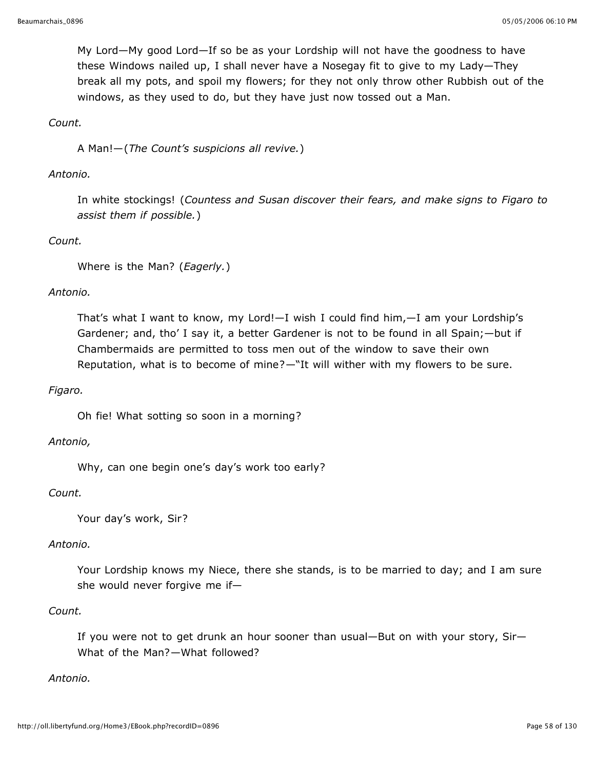My Lord—My good Lord—If so be as your Lordship will not have the goodness to have these Windows nailed up, I shall never have a Nosegay fit to give to my Lady—They break all my pots, and spoil my flowers; for they not only throw other Rubbish out of the windows, as they used to do, but they have just now tossed out a Man.

### *Count.*

A Man!—(*The Count's suspicions all revive.*)

#### *Antonio.*

In white stockings! (*Countess and Susan discover their fears, and make signs to Figaro to assist them if possible.*)

### *Count.*

Where is the Man? (*Eagerly.*)

#### *Antonio.*

That's what I want to know, my Lord!—I wish I could find him,—I am your Lordship's Gardener; and, tho' I say it, a better Gardener is not to be found in all Spain;—but if Chambermaids are permitted to toss men out of the window to save their own Reputation, what is to become of mine?—"It will wither with my flowers to be sure.

#### *Figaro.*

Oh fie! What sotting so soon in a morning?

#### *Antonio,*

Why, can one begin one's day's work too early?

#### *Count.*

Your day's work, Sir?

#### *Antonio.*

Your Lordship knows my Niece, there she stands, is to be married to day; and I am sure she would never forgive me if—

#### *Count.*

If you were not to get drunk an hour sooner than usual—But on with your story, Sir— What of the Man?—What followed?

#### *Antonio.*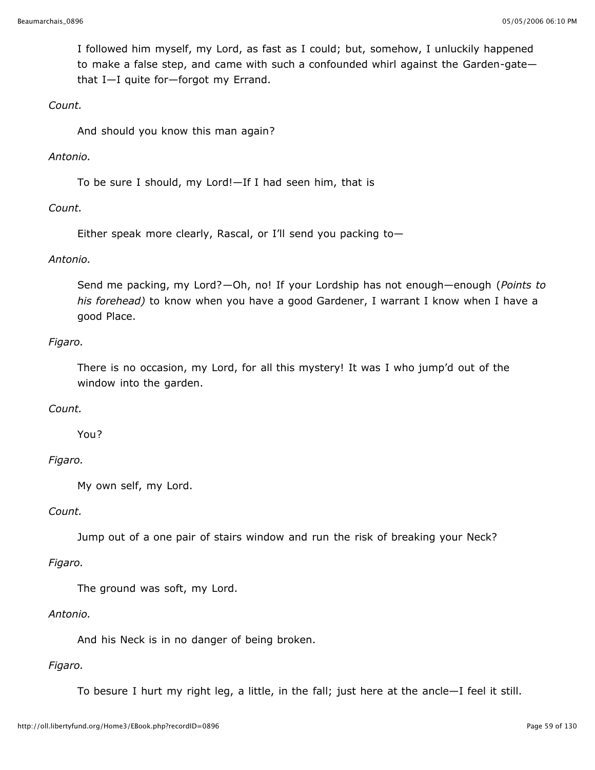I followed him myself, my Lord, as fast as I could; but, somehow, I unluckily happened to make a false step, and came with such a confounded whirl against the Garden-gate that I—I quite for—forgot my Errand.

### *Count.*

And should you know this man again?

### *Antonio.*

To be sure I should, my Lord!—If I had seen him, that is

## *Count.*

Either speak more clearly, Rascal, or I'll send you packing to—

## *Antonio.*

Send me packing, my Lord?—Oh, no! If your Lordship has not enough—enough (*Points to his forehead)* to know when you have a good Gardener, I warrant I know when I have a good Place.

## *Figaro.*

There is no occasion, my Lord, for all this mystery! It was I who jump'd out of the window into the garden.

## *Count.*

You?

## *Figaro.*

My own self, my Lord.

### *Count.*

Jump out of a one pair of stairs window and run the risk of breaking your Neck?

### *Figaro.*

The ground was soft, my Lord.

### *Antonio.*

And his Neck is in no danger of being broken.

### *Figaro.*

To besure I hurt my right leg, a little, in the fall; just here at the ancle—I feel it still.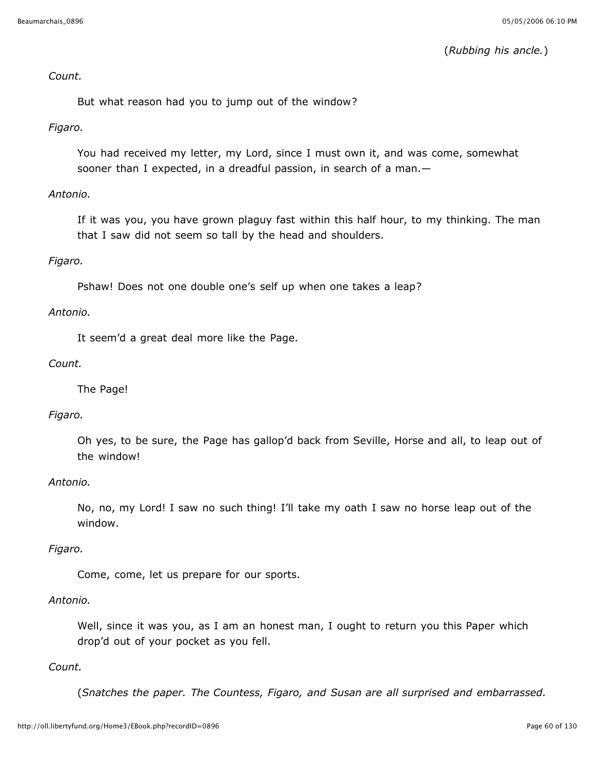(*Rubbing his ancle.*)

### *Count.*

But what reason had you to jump out of the window?

### *Figaro.*

You had received my letter, my Lord, since I must own it, and was come, somewhat sooner than I expected, in a dreadful passion, in search of a man.

### *Antonio.*

If it was you, you have grown plaguy fast within this half hour, to my thinking. The man that I saw did not seem so tall by the head and shoulders.

### *Figaro.*

Pshaw! Does not one double one's self up when one takes a leap?

#### *Antonio.*

It seem'd a great deal more like the Page.

#### *Count.*

The Page!

### *Figaro.*

Oh yes, to be sure, the Page has gallop'd back from Seville, Horse and all, to leap out of the window!

#### *Antonio.*

No, no, my Lord! I saw no such thing! I'll take my oath I saw no horse leap out of the window.

#### *Figaro.*

Come, come, let us prepare for our sports.

#### *Antonio.*

Well, since it was you, as I am an honest man, I ought to return you this Paper which drop'd out of your pocket as you fell.

#### *Count.*

(*Snatches the paper. The Countess, Figaro, and Susan are all surprised and embarrassed.*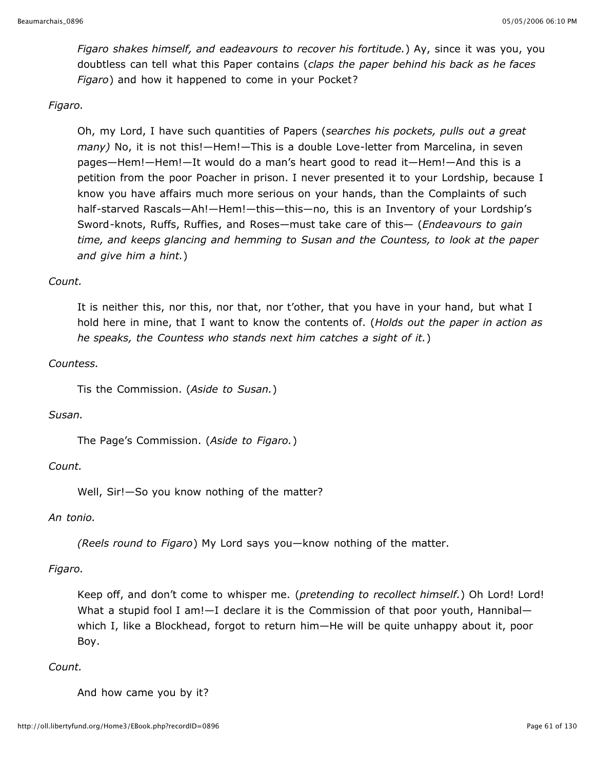*Figaro shakes himself, and eadeavours to recover his fortitude.*) Ay, since it was you, you doubtless can tell what this Paper contains (*claps the paper behind his back as he faces Figaro*) and how it happened to come in your Pocket?

## *Figaro.*

Oh, my Lord, I have such quantities of Papers (*searches his pockets, pulls out a great many)* No, it is not this!—Hem!—This is a double Love-letter from Marcelina, in seven pages—Hem!—Hem!—It would do a man's heart good to read it—Hem!—And this is a petition from the poor Poacher in prison. I never presented it to your Lordship, because I know you have affairs much more serious on your hands, than the Complaints of such half-starved Rascals—Ah!—Hem!—this—this—no, this is an Inventory of your Lordship's Sword-knots, Ruffs, Ruffies, and Roses—must take care of this— (*Endeavours to gain time, and keeps glancing and hemming to Susan and the Countess, to look at the paper and give him a hint.*)

## *Count.*

It is neither this, nor this, nor that, nor t'other, that you have in your hand, but what I hold here in mine, that I want to know the contents of. (*Holds out the paper in action as he speaks, the Countess who stands next him catches a sight of it.*)

## *Countess.*

Tis the Commission. (*Aside to Susan.*)

### *Susan.*

The Page's Commission. (*Aside to Figaro.*)

## *Count.*

Well, Sir!—So you know nothing of the matter?

### *An tonio.*

*(Reels round to Figaro*) My Lord says you—know nothing of the matter.

## *Figaro.*

Keep off, and don't come to whisper me. (*pretending to recollect himself.*) Oh Lord! Lord! What a stupid fool I am! $-I$  declare it is the Commission of that poor youth, Hannibalwhich I, like a Blockhead, forgot to return him—He will be quite unhappy about it, poor Boy.

### *Count.*

And how came you by it?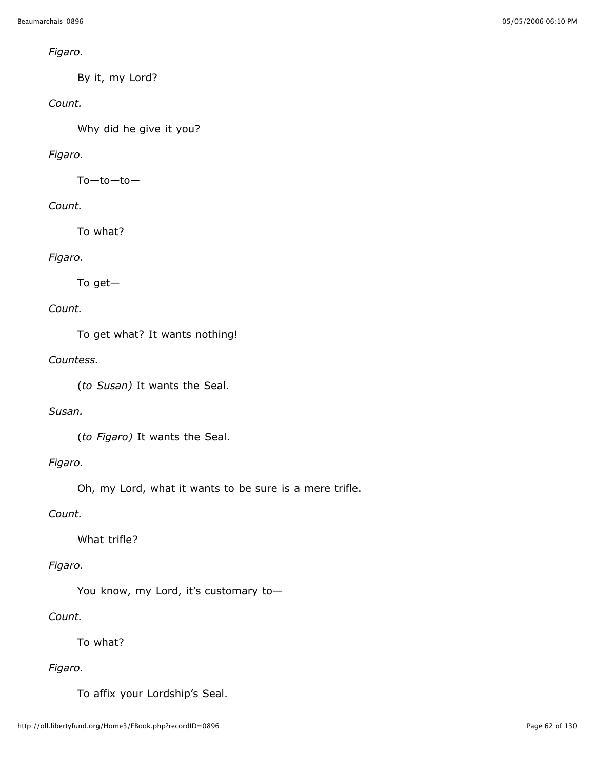## *Figaro.*

By it, my Lord?

# *Count.*

Why did he give it you?

# *Figaro.*

To—to—to—

# *Count.*

To what?

# *Figaro.*

To get—

# *Count.*

To get what? It wants nothing!

# *Countess.*

(*to Susan)* It wants the Seal.

## *Susan.*

(*to Figaro)* It wants the Seal.

# *Figaro.*

Oh, my Lord, what it wants to be sure is a mere trifle.

# *Count.*

What trifle?

# *Figaro.*

You know, my Lord, it's customary to—

# *Count.*

To what?

# *Figaro.*

To affix your Lordship's Seal.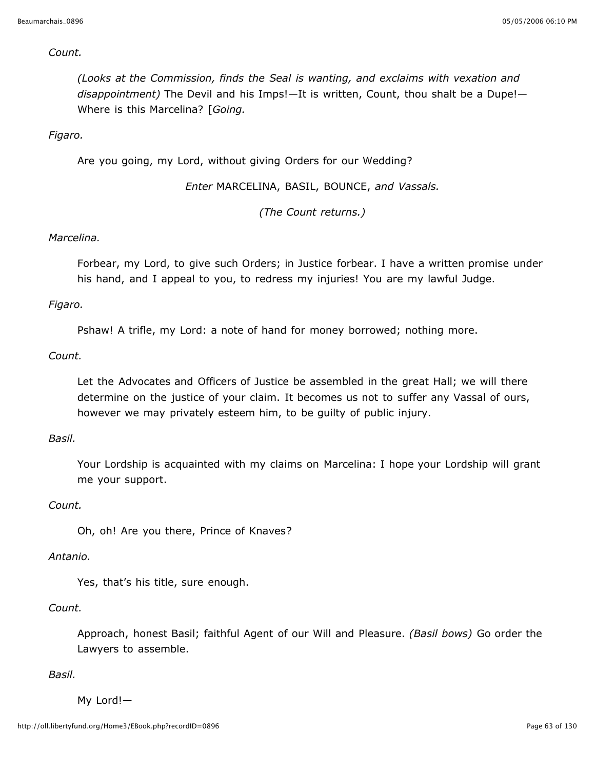#### *Count.*

*(Looks at the Commission, finds the Seal is wanting, and exclaims with vexation and disappointment)* The Devil and his Imps!—It is written, Count, thou shalt be a Dupe!— Where is this Marcelina? [*Going.*

### *Figaro.*

Are you going, my Lord, without giving Orders for our Wedding?

*Enter* MARCELINA, BASIL, BOUNCE, *and Vassals.*

*(The Count returns.)*

### *Marcelina.*

Forbear, my Lord, to give such Orders; in Justice forbear. I have a written promise under his hand, and I appeal to you, to redress my injuries! You are my lawful Judge.

### *Figaro.*

Pshaw! A trifle, my Lord: a note of hand for money borrowed; nothing more.

### *Count.*

Let the Advocates and Officers of Justice be assembled in the great Hall; we will there determine on the justice of your claim. It becomes us not to suffer any Vassal of ours, however we may privately esteem him, to be guilty of public injury.

### *Basil.*

Your Lordship is acquainted with my claims on Marcelina: I hope your Lordship will grant me your support.

#### *Count.*

Oh, oh! Are you there, Prince of Knaves?

#### *Antanio.*

Yes, that's his title, sure enough.

#### *Count.*

Approach, honest Basil; faithful Agent of our Will and Pleasure. *(Basil bows)* Go order the Lawyers to assemble.

*Basil.*

My Lord!—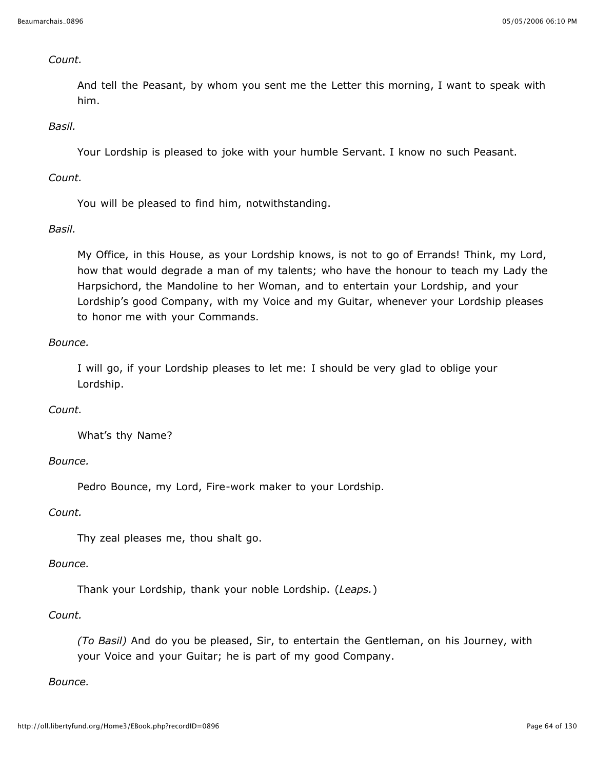### *Count.*

And tell the Peasant, by whom you sent me the Letter this morning, I want to speak with him.

### *Basil.*

Your Lordship is pleased to joke with your humble Servant. I know no such Peasant.

### *Count.*

You will be pleased to find him, notwithstanding.

## *Basil.*

My Office, in this House, as your Lordship knows, is not to go of Errands! Think, my Lord, how that would degrade a man of my talents; who have the honour to teach my Lady the Harpsichord, the Mandoline to her Woman, and to entertain your Lordship, and your Lordship's good Company, with my Voice and my Guitar, whenever your Lordship pleases to honor me with your Commands.

## *Bounce.*

I will go, if your Lordship pleases to let me: I should be very glad to oblige your Lordship.

## *Count.*

What's thy Name?

## *Bounce.*

Pedro Bounce, my Lord, Fire-work maker to your Lordship.

### *Count.*

Thy zeal pleases me, thou shalt go.

### *Bounce.*

Thank your Lordship, thank your noble Lordship. (*Leaps.*)

## *Count.*

*(To Basil)* And do you be pleased, Sir, to entertain the Gentleman, on his Journey, with your Voice and your Guitar; he is part of my good Company.

### *Bounce.*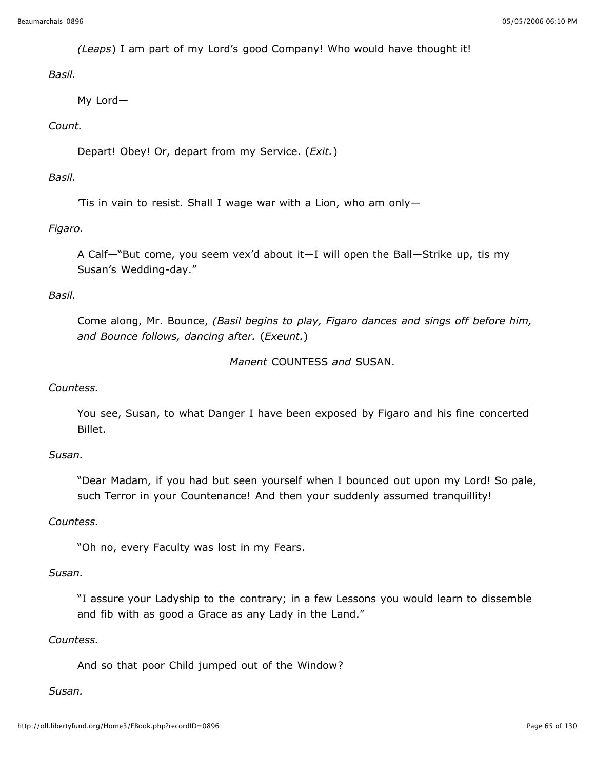*(Leaps*) I am part of my Lord's good Company! Who would have thought it!

*Basil.*

My Lord—

## *Count.*

Depart! Obey! Or, depart from my Service. (*Exit.*)

## *Basil.*

'Tis in vain to resist. Shall I wage war with a Lion, who am only—

# *Figaro.*

A Calf—"But come, you seem vex'd about it—I will open the Ball—Strike up, tis my Susan's Wedding-day."

## *Basil.*

Come along, Mr. Bounce, *(Basil begins to play, Figaro dances and sings off before him, and Bounce follows, dancing after.* (*Exeunt.*)

```
Manent COUNTESS and SUSAN.
```
## *Countess.*

You see, Susan, to what Danger I have been exposed by Figaro and his fine concerted Billet.

## *Susan.*

"Dear Madam, if you had but seen yourself when I bounced out upon my Lord! So pale, such Terror in your Countenance! And then your suddenly assumed tranquillity!

## *Countess.*

"Oh no, every Faculty was lost in my Fears.

### *Susan.*

"I assure your Ladyship to the contrary; in a few Lessons you would learn to dissemble and fib with as good a Grace as any Lady in the Land."

### *Countess.*

And so that poor Child jumped out of the Window?

## *Susan.*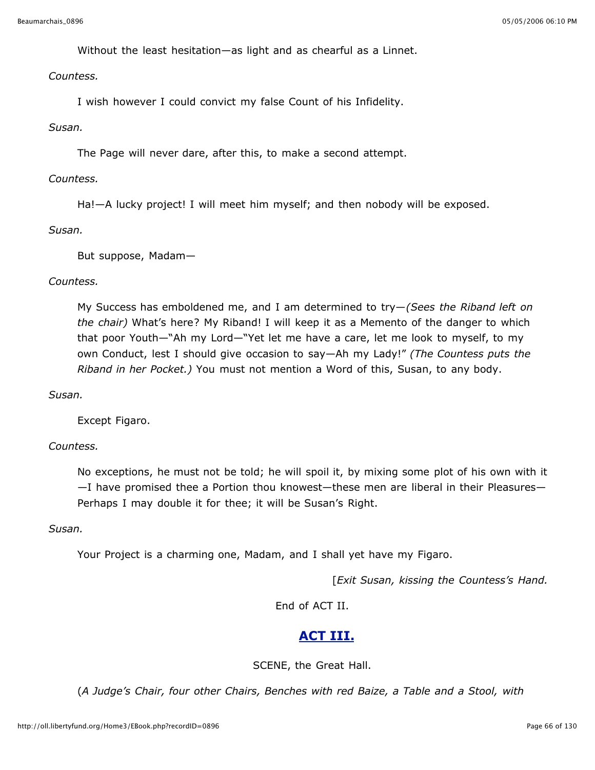Without the least hesitation—as light and as chearful as a Linnet.

*Countess.*

I wish however I could convict my false Count of his Infidelity.

### *Susan.*

The Page will never dare, after this, to make a second attempt.

### *Countess.*

Ha!—A lucky project! I will meet him myself; and then nobody will be exposed.

#### *Susan.*

But suppose, Madam—

### *Countess.*

My Success has emboldened me, and I am determined to try—*(Sees the Riband left on the chair)* What's here? My Riband! I will keep it as a Memento of the danger to which that poor Youth—"Ah my Lord—"Yet let me have a care, let me look to myself, to my own Conduct, lest I should give occasion to say—Ah my Lady!" *(The Countess puts the Riband in her Pocket.)* You must not mention a Word of this, Susan, to any body.

### *Susan.*

Except Figaro.

### *Countess.*

No exceptions, he must not be told; he will spoil it, by mixing some plot of his own with it —I have promised thee a Portion thou knowest—these men are liberal in their Pleasures— Perhaps I may double it for thee; it will be Susan's Right.

### *Susan.*

Your Project is a charming one, Madam, and I shall yet have my Figaro.

[*Exit Susan, kissing the Countess's Hand.*

End of ACT II.

# **ACT III.**

SCENE, the Great Hall.

(*A Judge's Chair, four other Chairs, Benches with red Baize, a Table and a Stool, with*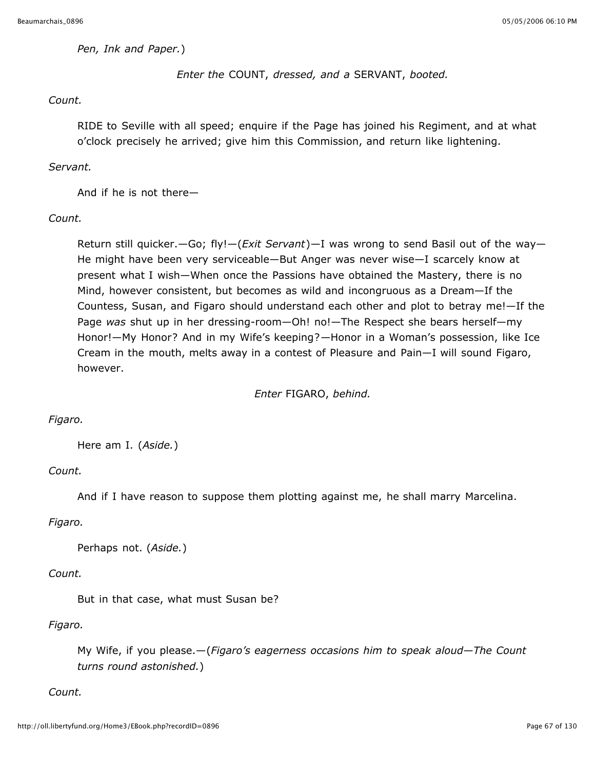#### *Pen, Ink and Paper.*)

## *Enter the* COUNT, *dressed, and a* SERVANT, *booted.*

### *Count.*

RIDE to Seville with all speed; enquire if the Page has joined his Regiment, and at what o'clock precisely he arrived; give him this Commission, and return like lightening.

### *Servant.*

And if he is not there—

### *Count.*

Return still quicker.—Go; fly!—(*Exit Servant*)—I was wrong to send Basil out of the way— He might have been very serviceable—But Anger was never wise—I scarcely know at present what I wish—When once the Passions have obtained the Mastery, there is no Mind, however consistent, but becomes as wild and incongruous as a Dream—If the Countess, Susan, and Figaro should understand each other and plot to betray me!—If the Page *was* shut up in her dressing-room—Oh! no!—The Respect she bears herself—my Honor!—My Honor? And in my Wife's keeping?—Honor in a Woman's possession, like Ice Cream in the mouth, melts away in a contest of Pleasure and Pain—I will sound Figaro, however.

*Enter* FIGARO, *behind.*

### *Figaro.*

Here am I. (*Aside.*)

### *Count.*

And if I have reason to suppose them plotting against me, he shall marry Marcelina.

### *Figaro.*

```
Perhaps not. (Aside.)
```
# *Count.*

But in that case, what must Susan be?

# *Figaro.*

My Wife, if you please.—(*Figaro's eagerness occasions him to speak aloud—The Count turns round astonished.*)

### *Count.*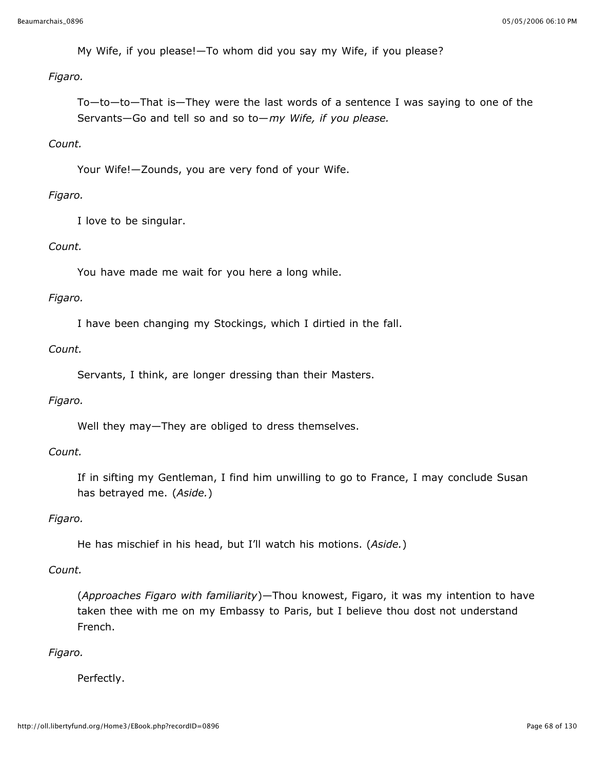My Wife, if you please!—To whom did you say my Wife, if you please?

### *Figaro.*

To—to—to—That is—They were the last words of a sentence I was saying to one of the Servants—Go and tell so and so to—*my Wife, if you please.*

## *Count.*

Your Wife!—Zounds, you are very fond of your Wife.

## *Figaro.*

I love to be singular.

## *Count.*

You have made me wait for you here a long while.

## *Figaro.*

I have been changing my Stockings, which I dirtied in the fall.

## *Count.*

Servants, I think, are longer dressing than their Masters.

### *Figaro.*

Well they may—They are obliged to dress themselves.

### *Count.*

If in sifting my Gentleman, I find him unwilling to go to France, I may conclude Susan has betrayed me. (*Aside.*)

### *Figaro.*

He has mischief in his head, but I'll watch his motions. (*Aside.*)

### *Count.*

(*Approaches Figaro with familiarity*)—Thou knowest, Figaro, it was my intention to have taken thee with me on my Embassy to Paris, but I believe thou dost not understand French.

## *Figaro.*

Perfectly.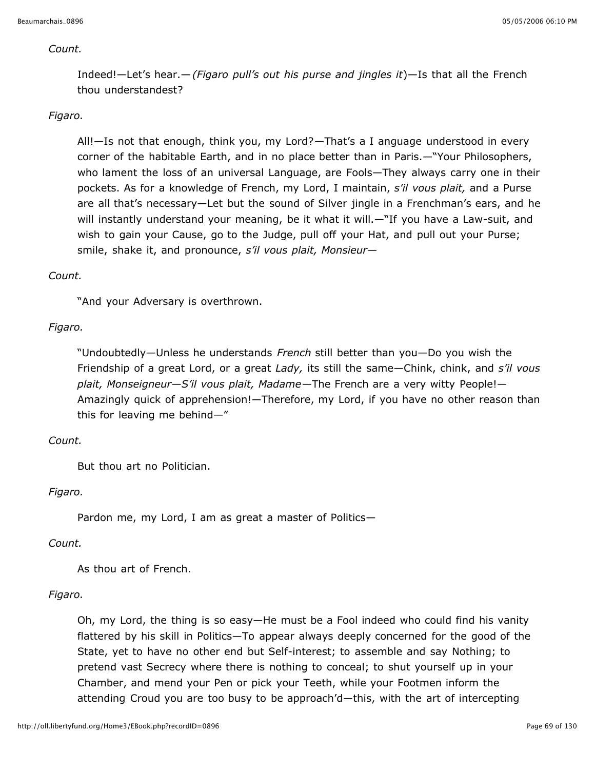### *Count.*

Indeed!—Let's hear.—*(Figaro pull's out his purse and jingles it*)—Is that all the French thou understandest?

## *Figaro.*

All!—Is not that enough, think you, my Lord?—That's a I anguage understood in every corner of the habitable Earth, and in no place better than in Paris.—"Your Philosophers, who lament the loss of an universal Language, are Fools—They always carry one in their pockets. As for a knowledge of French, my Lord, I maintain, *s'il vous plait,* and a Purse are all that's necessary—Let but the sound of Silver jingle in a Frenchman's ears, and he will instantly understand your meaning, be it what it will.—"If you have a Law-suit, and wish to gain your Cause, go to the Judge, pull off your Hat, and pull out your Purse; smile, shake it, and pronounce, *s'il vous plait, Monsieur*—

### *Count.*

"And your Adversary is overthrown.

## *Figaro.*

"Undoubtedly—Unless he understands *French* still better than you—Do you wish the Friendship of a great Lord, or a great *Lady,* its still the same—Chink, chink, and *s'il vous plait, Monseigneur—S'il vous plait, Madame*—The French are a very witty People!— Amazingly quick of apprehension!—Therefore, my Lord, if you have no other reason than this for leaving me behind—"

### *Count.*

But thou art no Politician.

## *Figaro.*

Pardon me, my Lord, I am as great a master of Politics—

### *Count.*

As thou art of French.

### *Figaro.*

Oh, my Lord, the thing is so easy—He must be a Fool indeed who could find his vanity flattered by his skill in Politics—To appear always deeply concerned for the good of the State, yet to have no other end but Self-interest; to assemble and say Nothing; to pretend vast Secrecy where there is nothing to conceal; to shut yourself up in your Chamber, and mend your Pen or pick your Teeth, while your Footmen inform the attending Croud you are too busy to be approach'd—this, with the art of intercepting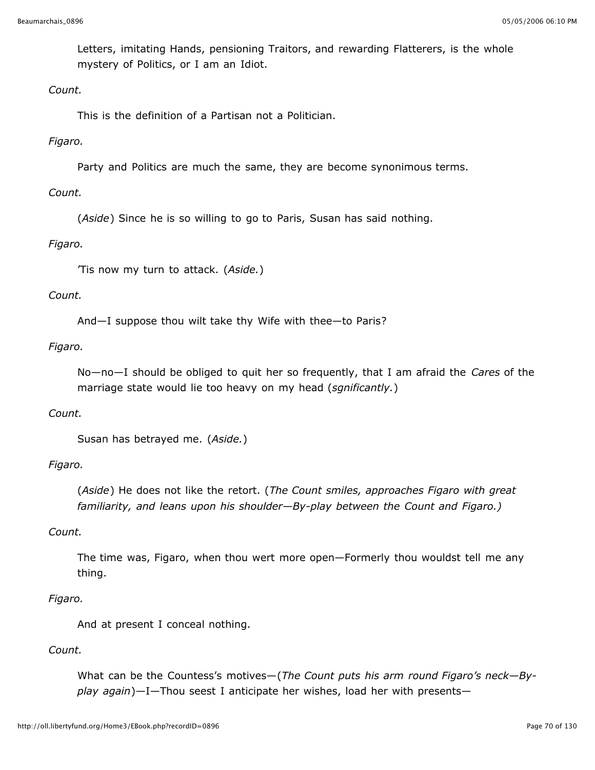Letters, imitating Hands, pensioning Traitors, and rewarding Flatterers, is the whole mystery of Politics, or I am an Idiot.

## *Count.*

This is the definition of a Partisan not a Politician.

## *Figaro.*

Party and Politics are much the same, they are become synonimous terms.

## *Count.*

(*Aside*) Since he is so willing to go to Paris, Susan has said nothing.

## *Figaro.*

'Tis now my turn to attack. (*Aside.*)

## *Count.*

And—I suppose thou wilt take thy Wife with thee—to Paris?

## *Figaro.*

No—no—I should be obliged to quit her so frequently, that I am afraid the *Cares* of the marriage state would lie too heavy on my head (*sgnificantly.*)

### *Count.*

Susan has betrayed me. (*Aside.*)

## *Figaro.*

(*Aside*) He does not like the retort. (*The Count smiles, approaches Figaro with great familiarity, and leans upon his shoulder—By-play between the Count and Figaro.)*

### *Count.*

The time was, Figaro, when thou wert more open—Formerly thou wouldst tell me any thing.

### *Figaro.*

And at present I conceal nothing.

### *Count.*

What can be the Countess's motives—(*The Count puts his arm round Figaro's neck—Byplay again*)—I—Thou seest I anticipate her wishes, load her with presents—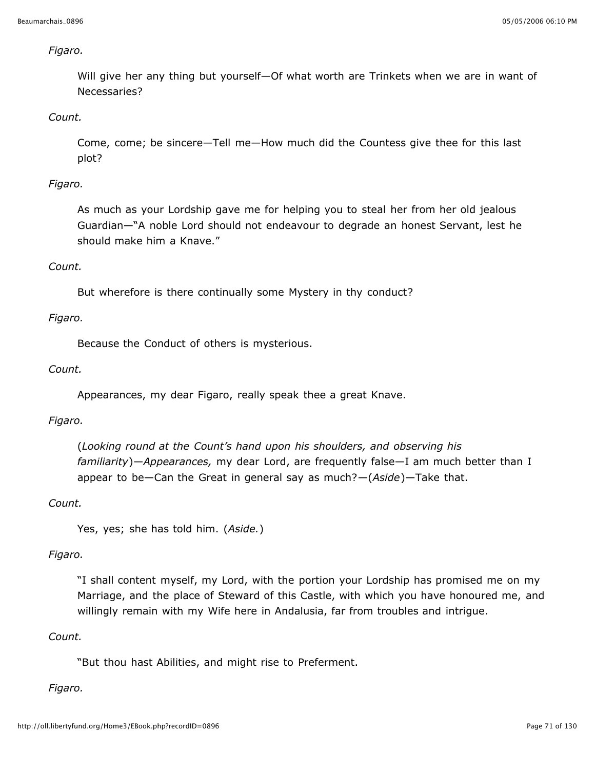### *Figaro.*

Will give her any thing but yourself—Of what worth are Trinkets when we are in want of Necessaries?

## *Count.*

Come, come; be sincere—Tell me—How much did the Countess give thee for this last plot?

## *Figaro.*

As much as your Lordship gave me for helping you to steal her from her old jealous Guardian—"A noble Lord should not endeavour to degrade an honest Servant, lest he should make him a Knave."

## *Count.*

But wherefore is there continually some Mystery in thy conduct?

## *Figaro.*

Because the Conduct of others is mysterious.

## *Count.*

Appearances, my dear Figaro, really speak thee a great Knave.

### *Figaro.*

(*Looking round at the Count's hand upon his shoulders, and observing his familiarity*)—*Appearances,* my dear Lord, are frequently false—I am much better than I appear to be—Can the Great in general say as much?—(*Aside*)—Take that.

### *Count.*

Yes, yes; she has told him. (*Aside.*)

### *Figaro.*

"I shall content myself, my Lord, with the portion your Lordship has promised me on my Marriage, and the place of Steward of this Castle, with which you have honoured me, and willingly remain with my Wife here in Andalusia, far from troubles and intrigue.

## *Count.*

"But thou hast Abilities, and might rise to Preferment.

### *Figaro.*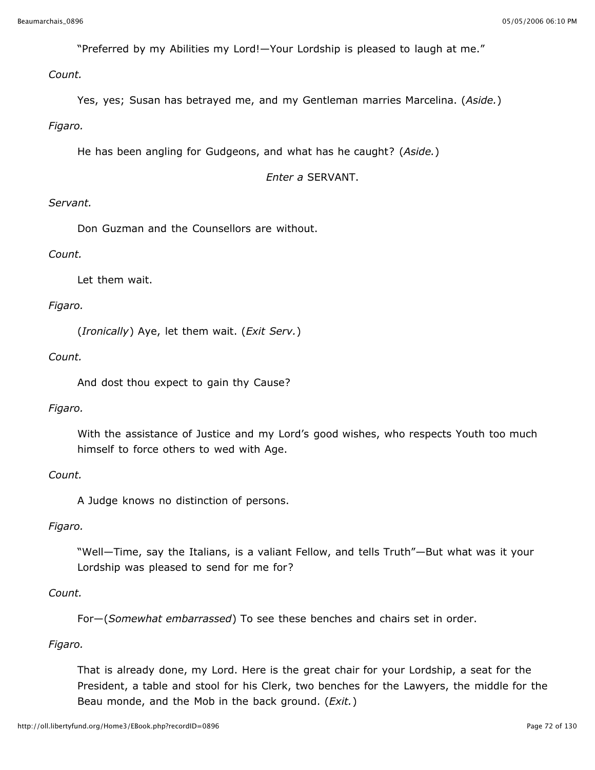"Preferred by my Abilities my Lord!—Your Lordship is pleased to laugh at me."

## *Count.*

Yes, yes; Susan has betrayed me, and my Gentleman marries Marcelina. (*Aside.*)

## *Figaro.*

He has been angling for Gudgeons, and what has he caught? (*Aside.*)

### *Enter a* SERVANT.

## *Servant.*

Don Guzman and the Counsellors are without.

## *Count.*

Let them wait.

## *Figaro.*

(*Ironically*) Aye, let them wait. (*Exit Serv.*)

## *Count.*

And dost thou expect to gain thy Cause?

## *Figaro.*

With the assistance of Justice and my Lord's good wishes, who respects Youth too much himself to force others to wed with Age.

### *Count.*

A Judge knows no distinction of persons.

## *Figaro.*

"Well—Time, say the Italians, is a valiant Fellow, and tells Truth"—But what was it your Lordship was pleased to send for me for?

## *Count.*

For—(*Somewhat embarrassed*) To see these benches and chairs set in order.

## *Figaro.*

That is already done, my Lord. Here is the great chair for your Lordship, a seat for the President, a table and stool for his Clerk, two benches for the Lawyers, the middle for the Beau monde, and the Mob in the back ground. (*Exit.*)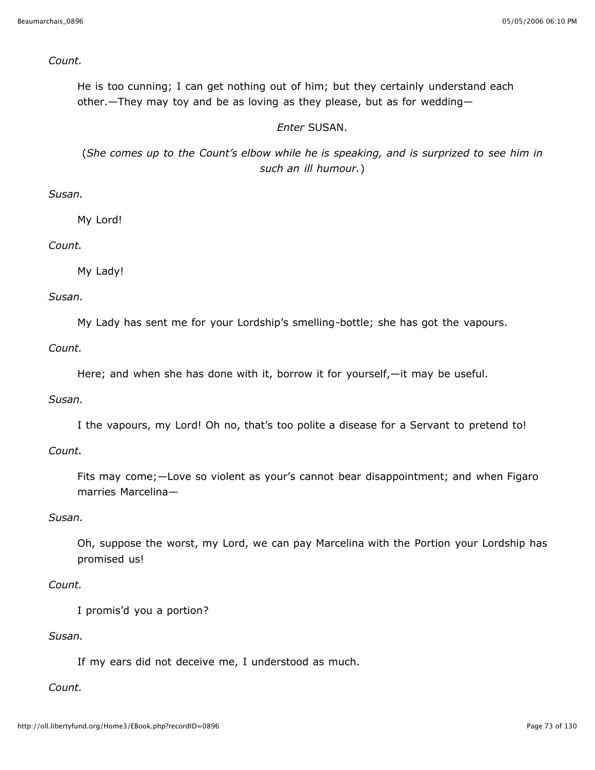#### *Count.*

He is too cunning; I can get nothing out of him; but they certainly understand each other.—They may toy and be as loving as they please, but as for wedding—

## *Enter* SUSAN.

(*She comes up to the Count's elbow while he is speaking, and is surprized to see him in such an ill humour.*)

# *Susan.*

My Lord!

## *Count.*

My Lady!

#### *Susan.*

My Lady has sent me for your Lordship's smelling-bottle; she has got the vapours.

*Count.*

Here; and when she has done with it, borrow it for yourself,—it may be useful.

## *Susan.*

I the vapours, my Lord! Oh no, that's too polite a disease for a Servant to pretend to!

# *Count.*

Fits may come;—Love so violent as your's cannot bear disappointment; and when Figaro marries Marcelina—

## *Susan.*

Oh, suppose the worst, my Lord, we can pay Marcelina with the Portion your Lordship has promised us!

## *Count.*

I promis'd you a portion?

#### *Susan.*

If my ears did not deceive me, I understood as much.

## *Count.*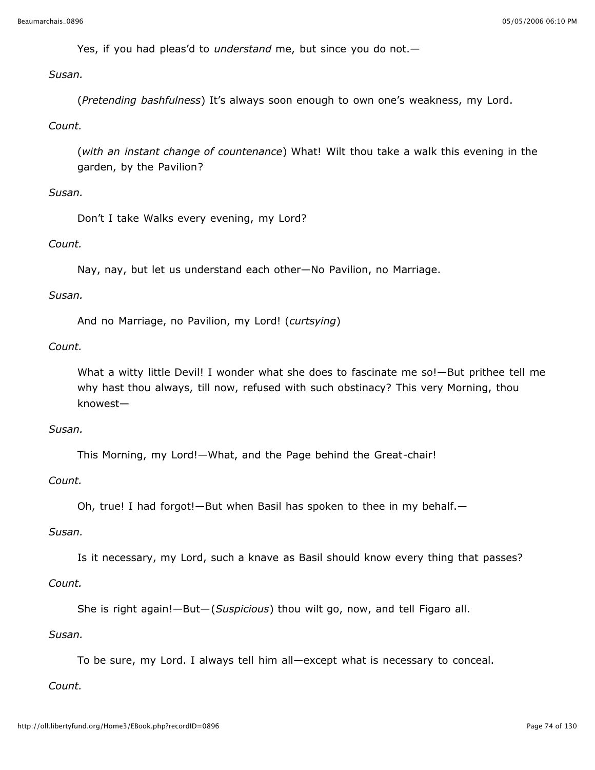Yes, if you had pleas'd to *understand* me, but since you do not.—

# *Susan.*

(*Pretending bashfulness*) It's always soon enough to own one's weakness, my Lord.

# *Count.*

(*with an instant change of countenance*) What! Wilt thou take a walk this evening in the garden, by the Pavilion?

# *Susan.*

Don't I take Walks every evening, my Lord?

# *Count.*

Nay, nay, but let us understand each other—No Pavilion, no Marriage.

## *Susan.*

And no Marriage, no Pavilion, my Lord! (*curtsying*)

## *Count.*

What a witty little Devil! I wonder what she does to fascinate me so!—But prithee tell me why hast thou always, till now, refused with such obstinacy? This very Morning, thou knowest—

## *Susan.*

This Morning, my Lord!—What, and the Page behind the Great-chair!

## *Count.*

Oh, true! I had forgot!—But when Basil has spoken to thee in my behalf.—

## *Susan.*

Is it necessary, my Lord, such a knave as Basil should know every thing that passes?

## *Count.*

She is right again!—But—(*Suspicious*) thou wilt go, now, and tell Figaro all.

## *Susan.*

To be sure, my Lord. I always tell him all—except what is necessary to conceal.

## *Count.*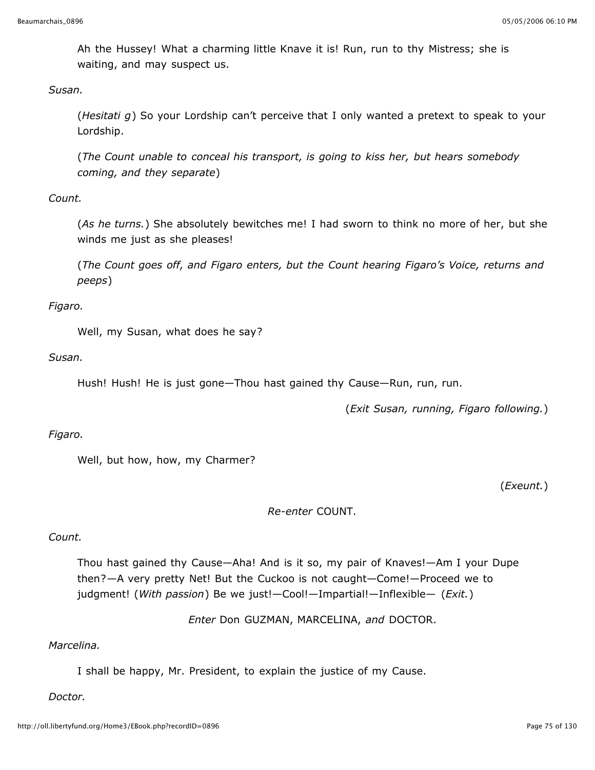Ah the Hussey! What a charming little Knave it is! Run, run to thy Mistress; she is waiting, and may suspect us.

*Susan.*

(*Hesitati g*) So your Lordship can't perceive that I only wanted a pretext to speak to your Lordship.

(*The Count unable to conceal his transport, is going to kiss her, but hears somebody coming, and they separate*)

# *Count.*

(*As he turns.*) She absolutely bewitches me! I had sworn to think no more of her, but she winds me just as she pleases!

(*The Count goes off, and Figaro enters, but the Count hearing Figaro's Voice, returns and peeps*)

*Figaro.*

Well, my Susan, what does he say?

*Susan.*

Hush! Hush! He is just gone—Thou hast gained thy Cause—Run, run, run.

(*Exit Susan, running, Figaro following.*)

# *Figaro.*

Well, but how, how, my Charmer?

(*Exeunt.*)

*Re-enter* COUNT.

# *Count.*

Thou hast gained thy Cause—Aha! And is it so, my pair of Knaves!—Am I your Dupe then?—A very pretty Net! But the Cuckoo is not caught—Come!—Proceed we to judgment! (*With passion*) Be we just!—Cool!—Impartial!—Inflexible— (*Exit.*)

*Enter* Don GUZMAN, MARCELINA, *and* DOCTOR.

# *Marcelina.*

I shall be happy, Mr. President, to explain the justice of my Cause.

*Doctor.*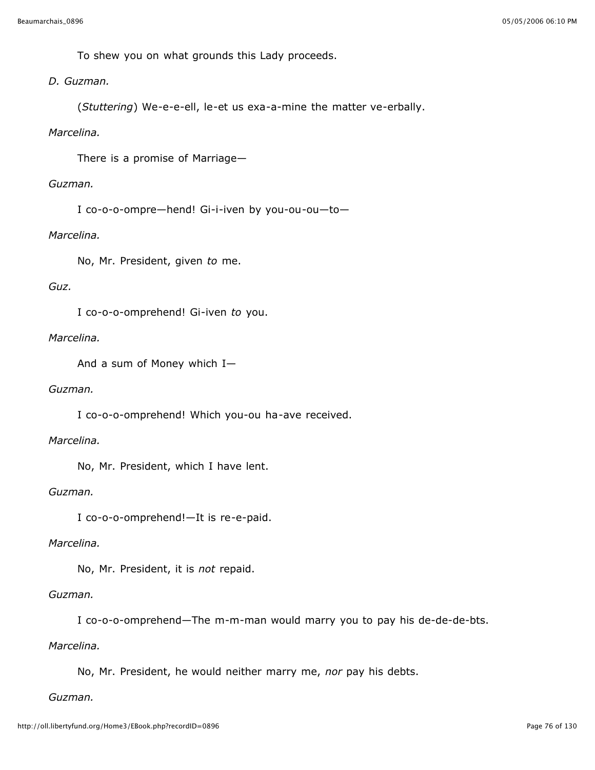To shew you on what grounds this Lady proceeds.

*D. Guzman.*

(*Stuttering*) We-e-e-ell, le-et us exa-a-mine the matter ve-erbally.

#### *Marcelina.*

There is a promise of Marriage—

#### *Guzman.*

I co-o-o-ompre—hend! Gi-i-iven by you-ou-ou—to—

## *Marcelina.*

No, Mr. President, given *to* me.

## *Guz.*

I co-o-o-omprehend! Gi-iven *to* you.

## *Marcelina.*

And a sum of Money which I—

## *Guzman.*

I co-o-o-omprehend! Which you-ou ha-ave received.

## *Marcelina.*

No, Mr. President, which I have lent.

## *Guzman.*

I co-o-o-omprehend!—It is re-e-paid.

#### *Marcelina.*

No, Mr. President, it is *not* repaid.

# *Guzman.*

I co-o-o-omprehend—The m-m-man would marry you to pay his de-de-de-bts.

#### *Marcelina.*

No, Mr. President, he would neither marry me, *nor* pay his debts.

#### *Guzman.*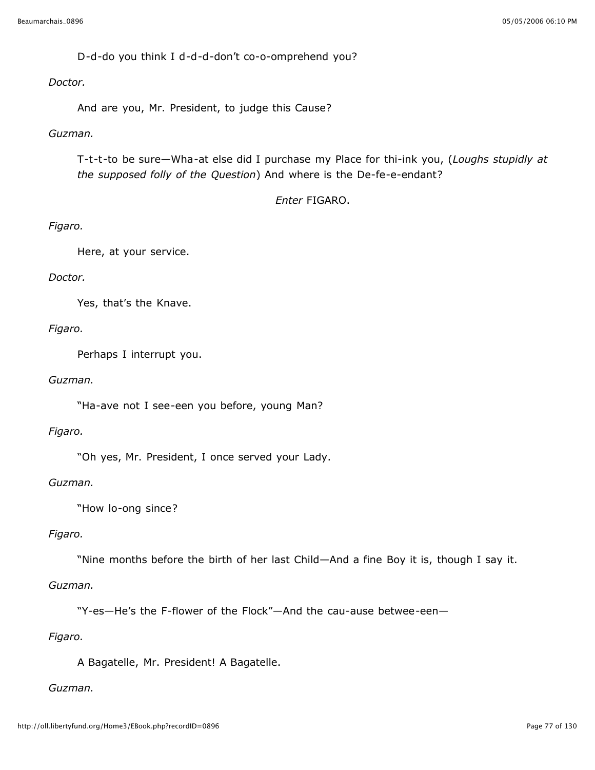D-d-do you think I d-d-d-don't co-o-omprehend you?

#### *Doctor.*

And are you, Mr. President, to judge this Cause?

## *Guzman.*

T-t-t-to be sure—Wha-at else did I purchase my Place for thi-ink you, (*Loughs stupidly at the supposed folly of the Question*) And where is the De-fe-e-endant?

## *Enter* FIGARO.

## *Figaro.*

Here, at your service.

## *Doctor.*

Yes, that's the Knave.

#### *Figaro.*

Perhaps I interrupt you.

## *Guzman.*

"Ha-ave not I see-een you before, young Man?

## *Figaro.*

"Oh yes, Mr. President, I once served your Lady.

#### *Guzman.*

"How lo-ong since?

## *Figaro.*

"Nine months before the birth of her last Child—And a fine Boy it is, though I say it.

## *Guzman.*

"Y-es—He's the F-flower of the Flock"—And the cau-ause betwee-een—

## *Figaro.*

A Bagatelle, Mr. President! A Bagatelle.

# *Guzman.*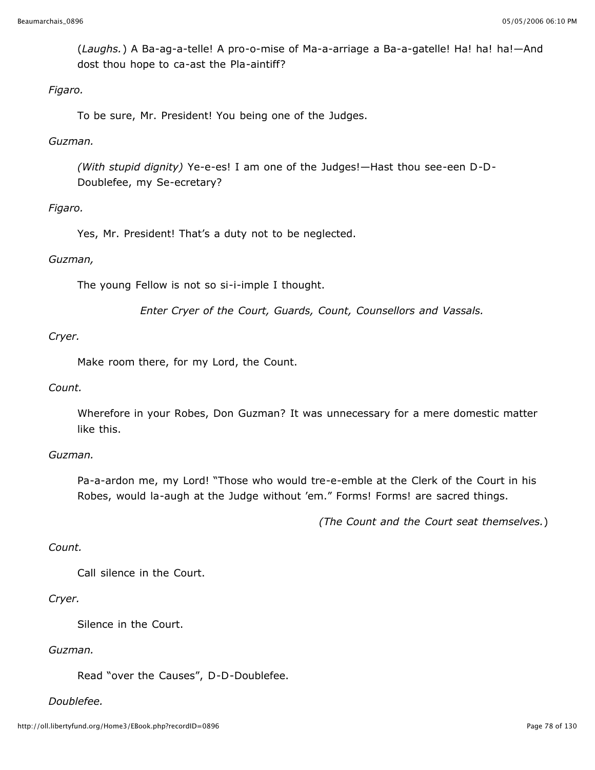(*Laughs.*) A Ba-ag-a-telle! A pro-o-mise of Ma-a-arriage a Ba-a-gatelle! Ha! ha! ha!—And dost thou hope to ca-ast the Pla-aintiff?

## *Figaro.*

To be sure, Mr. President! You being one of the Judges.

## *Guzman.*

*(With stupid dignity)* Ye-e-es! I am one of the Judges!—Hast thou see-een D-D-Doublefee, my Se-ecretary?

## *Figaro.*

Yes, Mr. President! That's a duty not to be neglected.

## *Guzman,*

The young Fellow is not so si-i-imple I thought.

*Enter Cryer of the Court, Guards, Count, Counsellors and Vassals.*

## *Cryer.*

Make room there, for my Lord, the Count.

## *Count.*

Wherefore in your Robes, Don Guzman? It was unnecessary for a mere domestic matter like this.

## *Guzman.*

Pa-a-ardon me, my Lord! "Those who would tre-e-emble at the Clerk of the Court in his Robes, would la-augh at the Judge without 'em." Forms! Forms! are sacred things.

*(The Count and the Court seat themselves.*)

## *Count.*

Call silence in the Court.

## *Cryer.*

Silence in the Court.

## *Guzman.*

Read "over the Causes", D-D-Doublefee.

## *Doublefee.*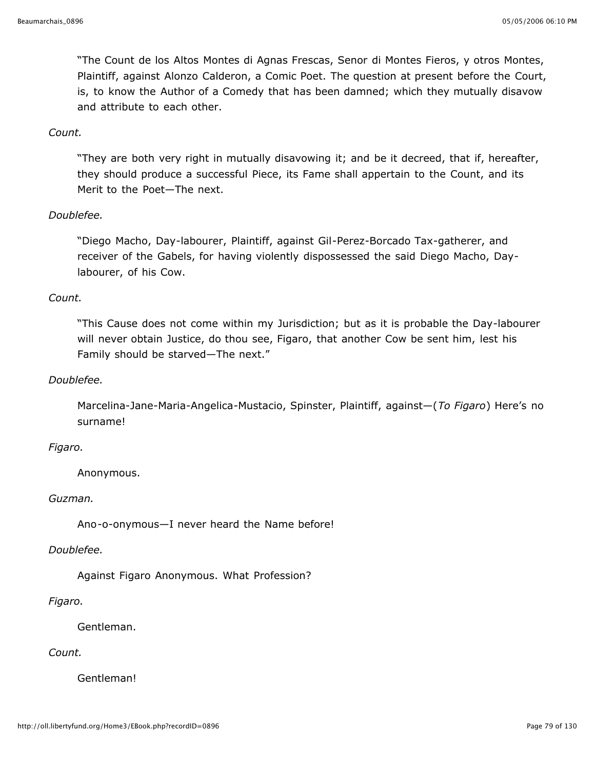"The Count de los Altos Montes di Agnas Frescas, Senor di Montes Fieros, y otros Montes, Plaintiff, against Alonzo Calderon, a Comic Poet. The question at present before the Court, is, to know the Author of a Comedy that has been damned; which they mutually disavow and attribute to each other.

#### *Count.*

"They are both very right in mutually disavowing it; and be it decreed, that if, hereafter, they should produce a successful Piece, its Fame shall appertain to the Count, and its Merit to the Poet—The next.

## *Doublefee.*

"Diego Macho, Day-labourer, Plaintiff, against Gil-Perez-Borcado Tax-gatherer, and receiver of the Gabels, for having violently dispossessed the said Diego Macho, Daylabourer, of his Cow.

#### *Count.*

"This Cause does not come within my Jurisdiction; but as it is probable the Day-labourer will never obtain Justice, do thou see, Figaro, that another Cow be sent him, lest his Family should be starved—The next."

## *Doublefee.*

Marcelina-Jane-Maria-Angelica-Mustacio, Spinster, Plaintiff, against—(*To Figaro*) Here's no surname!

#### *Figaro.*

Anonymous.

#### *Guzman.*

Ano-o-onymous—I never heard the Name before!

#### *Doublefee.*

Against Figaro Anonymous. What Profession?

#### *Figaro.*

Gentleman.

## *Count.*

Gentleman!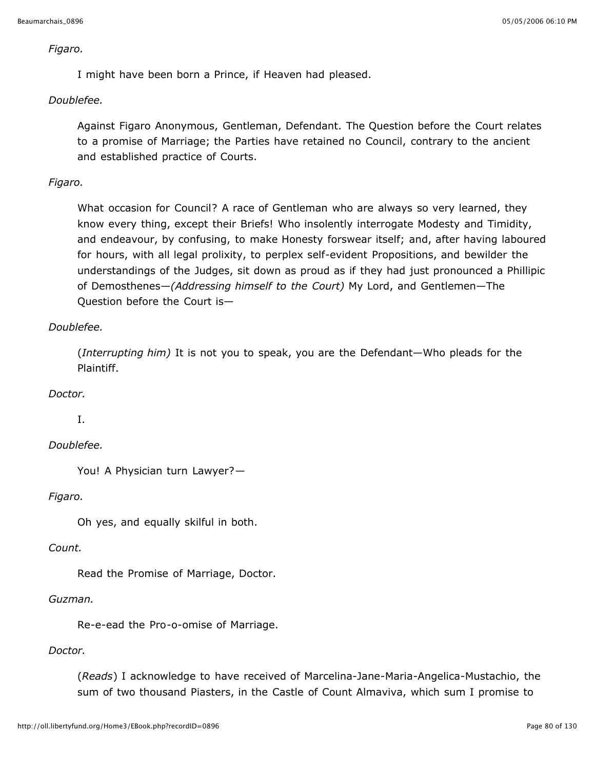#### *Figaro.*

I might have been born a Prince, if Heaven had pleased.

# *Doublefee.*

Against Figaro Anonymous, Gentleman, Defendant. The Question before the Court relates to a promise of Marriage; the Parties have retained no Council, contrary to the ancient and established practice of Courts.

# *Figaro.*

What occasion for Council? A race of Gentleman who are always so very learned, they know every thing, except their Briefs! Who insolently interrogate Modesty and Timidity, and endeavour, by confusing, to make Honesty forswear itself; and, after having laboured for hours, with all legal prolixity, to perplex self-evident Propositions, and bewilder the understandings of the Judges, sit down as proud as if they had just pronounced a Phillipic of Demosthenes—*(Addressing himself to the Court)* My Lord, and Gentlemen—The Question before the Court is—

# *Doublefee.*

(*Interrupting him)* It is not you to speak, you are the Defendant—Who pleads for the Plaintiff.

# *Doctor.*

I.

# *Doublefee.*

You! A Physician turn Lawyer?—

# *Figaro.*

Oh yes, and equally skilful in both.

## *Count.*

Read the Promise of Marriage, Doctor.

## *Guzman.*

Re-e-ead the Pro-o-omise of Marriage.

# *Doctor.*

(*Reads*) I acknowledge to have received of Marcelina-Jane-Maria-Angelica-Mustachio, the sum of two thousand Piasters, in the Castle of Count Almaviva, which sum I promise to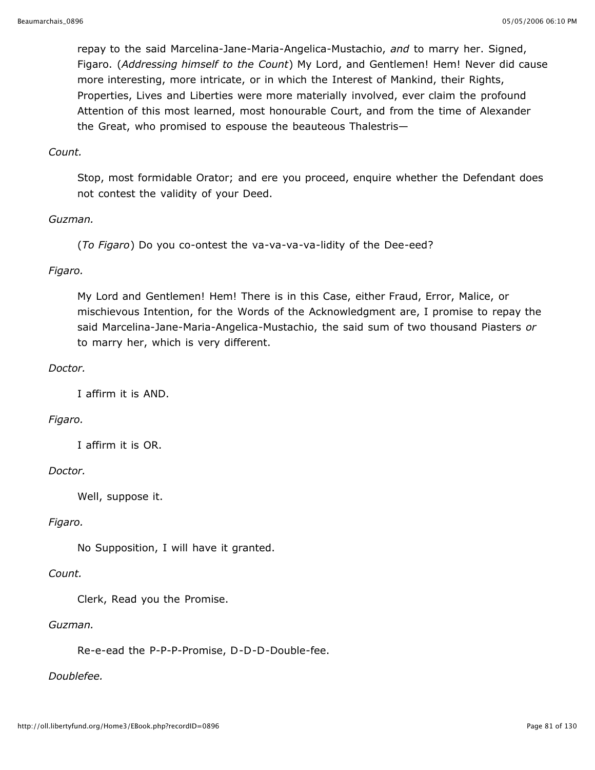repay to the said Marcelina-Jane-Maria-Angelica-Mustachio, *and* to marry her. Signed, Figaro. (*Addressing himself to the Count*) My Lord, and Gentlemen! Hem! Never did cause more interesting, more intricate, or in which the Interest of Mankind, their Rights, Properties, Lives and Liberties were more materially involved, ever claim the profound Attention of this most learned, most honourable Court, and from the time of Alexander the Great, who promised to espouse the beauteous Thalestris—

## *Count.*

Stop, most formidable Orator; and ere you proceed, enquire whether the Defendant does not contest the validity of your Deed.

## *Guzman.*

(*To Figaro*) Do you co-ontest the va-va-va-va-lidity of the Dee-eed?

# *Figaro.*

My Lord and Gentlemen! Hem! There is in this Case, either Fraud, Error, Malice, or mischievous Intention, for the Words of the Acknowledgment are, I promise to repay the said Marcelina-Jane-Maria-Angelica-Mustachio, the said sum of two thousand Piasters *or* to marry her, which is very different.

## *Doctor.*

I affirm it is AND.

## *Figaro.*

I affirm it is OR.

## *Doctor.*

Well, suppose it.

## *Figaro.*

No Supposition, I will have it granted.

## *Count.*

Clerk, Read you the Promise.

## *Guzman.*

Re-e-ead the P-P-P-Promise, D-D-D-Double-fee.

# *Doublefee.*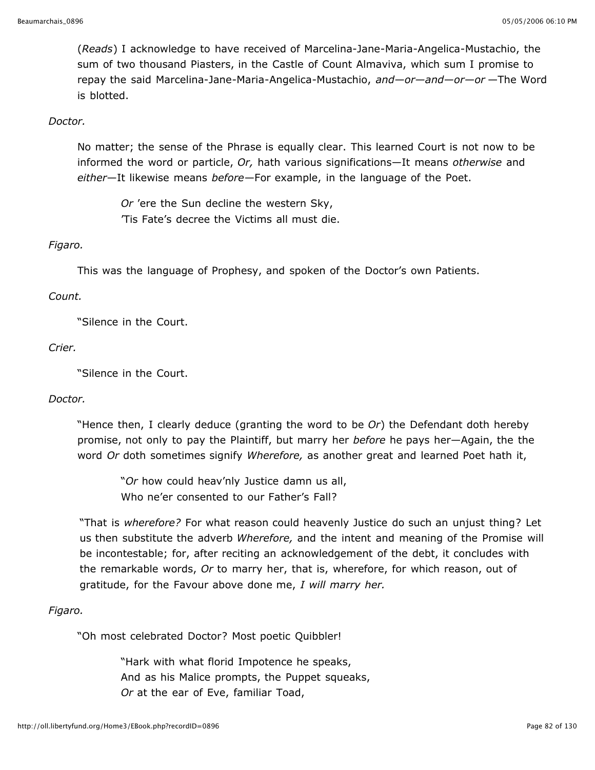(*Reads*) I acknowledge to have received of Marcelina-Jane-Maria-Angelica-Mustachio, the sum of two thousand Piasters, in the Castle of Count Almaviva, which sum I promise to repay the said Marcelina-Jane-Maria-Angelica-Mustachio, *and—or—and—or—or* —The Word is blotted.

#### *Doctor.*

No matter; the sense of the Phrase is equally clear. This learned Court is not now to be informed the word or particle, *Or,* hath various significations—It means *otherwise* and *either*—It likewise means *before*—For example, in the language of the Poet.

*Or* 'ere the Sun decline the western Sky, 'Tis Fate's decree the Victims all must die.

## *Figaro.*

This was the language of Prophesy, and spoken of the Doctor's own Patients.

#### *Count.*

"Silence in the Court.

#### *Crier.*

"Silence in the Court.

#### *Doctor.*

"Hence then, I clearly deduce (granting the word to be *Or*) the Defendant doth hereby promise, not only to pay the Plaintiff, but marry her *before* he pays her—Again, the the word *Or* doth sometimes signify *Wherefore,* as another great and learned Poet hath it,

"*Or* how could heav'nly Justice damn us all, Who ne'er consented to our Father's Fall?

"That is *wherefore?* For what reason could heavenly Justice do such an unjust thing? Let us then substitute the adverb *Wherefore,* and the intent and meaning of the Promise will be incontestable; for, after reciting an acknowledgement of the debt, it concludes with the remarkable words, *Or* to marry her, that is, wherefore, for which reason, out of gratitude, for the Favour above done me, *I will marry her.*

#### *Figaro.*

"Oh most celebrated Doctor? Most poetic Quibbler!

"Hark with what florid Impotence he speaks, And as his Malice prompts, the Puppet squeaks, *Or* at the ear of Eve, familiar Toad,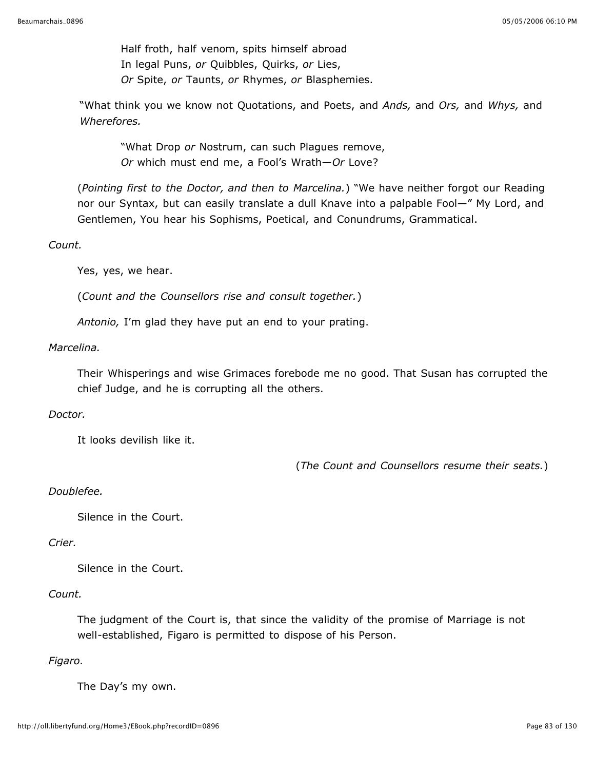Half froth, half venom, spits himself abroad In legal Puns, *or* Quibbles, Quirks, *or* Lies, *Or* Spite, *or* Taunts, *or* Rhymes, *or* Blasphemies.

"What think you we know not Quotations, and Poets, and *Ands,* and *Ors,* and *Whys,* and *Wherefores.*

"What Drop *or* Nostrum, can such Plagues remove, *Or* which must end me, a Fool's Wrath—*Or* Love?

(*Pointing first to the Doctor, and then to Marcelina.*) "We have neither forgot our Reading nor our Syntax, but can easily translate a dull Knave into a palpable Fool—" My Lord, and Gentlemen, You hear his Sophisms, Poetical, and Conundrums, Grammatical.

## *Count.*

Yes, yes, we hear.

(*Count and the Counsellors rise and consult together.*)

*Antonio,* I'm glad they have put an end to your prating.

## *Marcelina.*

Their Whisperings and wise Grimaces forebode me no good. That Susan has corrupted the chief Judge, and he is corrupting all the others.

## *Doctor.*

It looks devilish like it.

(*The Count and Counsellors resume their seats.*)

# *Doublefee.*

Silence in the Court.

## *Crier.*

Silence in the Court.

# *Count.*

The judgment of the Court is, that since the validity of the promise of Marriage is not well-established, Figaro is permitted to dispose of his Person.

# *Figaro.*

The Day's my own.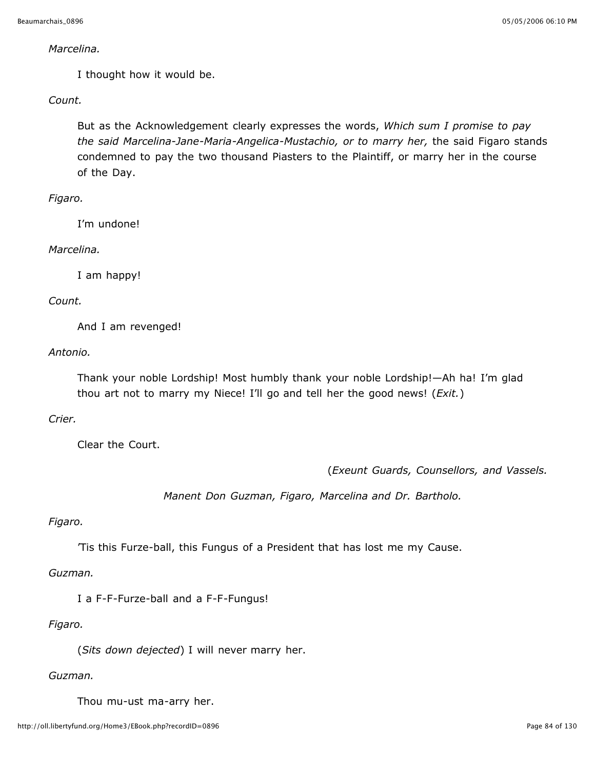#### *Marcelina.*

I thought how it would be.

*Count.*

But as the Acknowledgement clearly expresses the words, *Which sum I promise to pay the said Marcelina-Jane-Maria-Angelica-Mustachio, or to marry her,* the said Figaro stands condemned to pay the two thousand Piasters to the Plaintiff, or marry her in the course of the Day.

## *Figaro.*

I'm undone!

## *Marcelina.*

I am happy!

## *Count.*

And I am revenged!

*Antonio.*

Thank your noble Lordship! Most humbly thank your noble Lordship!—Ah ha! I'm glad thou art not to marry my Niece! I'll go and tell her the good news! (*Exit.*)

# *Crier.*

Clear the Court.

(*Exeunt Guards, Counsellors, and Vassels.*

*Manent Don Guzman, Figaro, Marcelina and Dr. Bartholo.*

## *Figaro.*

'Tis this Furze-ball, this Fungus of a President that has lost me my Cause.

*Guzman.*

I a F-F-Furze-ball and a F-F-Fungus!

# *Figaro.*

(*Sits down dejected*) I will never marry her.

# *Guzman.*

Thou mu-ust ma-arry her.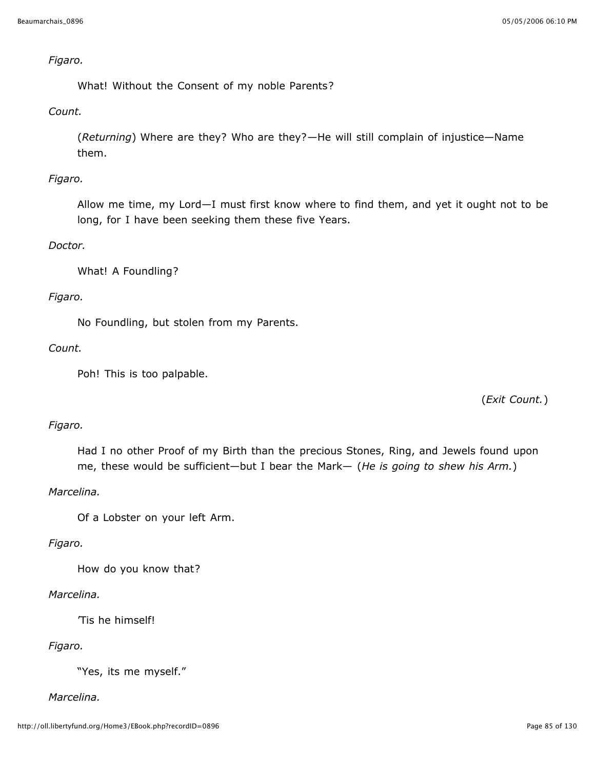## *Figaro.*

What! Without the Consent of my noble Parents?

# *Count.*

(*Returning*) Where are they? Who are they?—He will still complain of injustice—Name them.

# *Figaro.*

Allow me time, my Lord—I must first know where to find them, and yet it ought not to be long, for I have been seeking them these five Years.

# *Doctor.*

What! A Foundling?

## *Figaro.*

No Foundling, but stolen from my Parents.

## *Count.*

Poh! This is too palpable.

(*Exit Count.*)

# *Figaro.*

Had I no other Proof of my Birth than the precious Stones, Ring, and Jewels found upon me, these would be sufficient—but I bear the Mark— (*He is going to shew his Arm.*)

# *Marcelina.*

Of a Lobster on your left Arm.

# *Figaro.*

How do you know that?

## *Marcelina.*

'Tis he himself!

# *Figaro.*

"Yes, its me myself."

## *Marcelina.*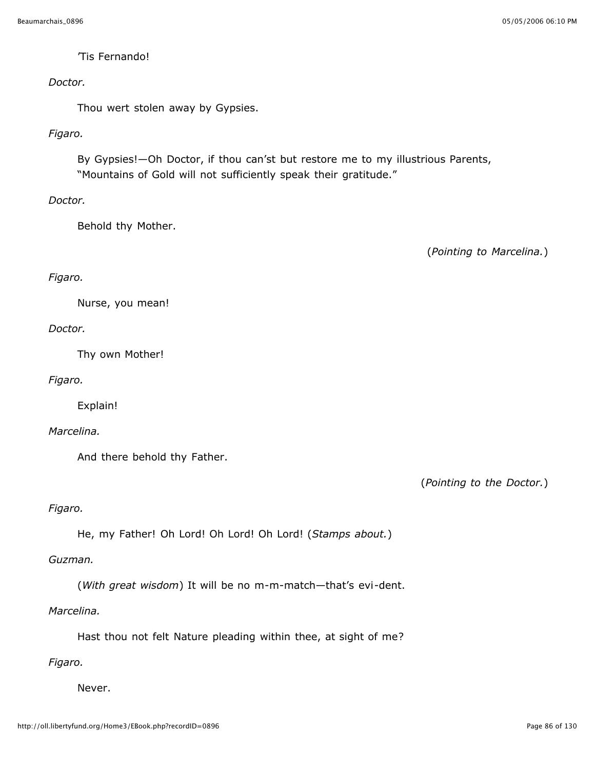#### 'Tis Fernando!

#### *Doctor.*

Thou wert stolen away by Gypsies.

## *Figaro.*

By Gypsies!—Oh Doctor, if thou can'st but restore me to my illustrious Parents, "Mountains of Gold will not sufficiently speak their gratitude."

## *Doctor.*

Behold thy Mother.

(*Pointing to Marcelina.*)

## *Figaro.*

Nurse, you mean!

## *Doctor.*

Thy own Mother!

## *Figaro.*

Explain!

## *Marcelina.*

And there behold thy Father.

(*Pointing to the Doctor.*)

# *Figaro.*

He, my Father! Oh Lord! Oh Lord! Oh Lord! (*Stamps about.*)

## *Guzman.*

(*With great wisdom*) It will be no m-m-match—that's evi-dent.

## *Marcelina.*

Hast thou not felt Nature pleading within thee, at sight of me?

# *Figaro.*

Never.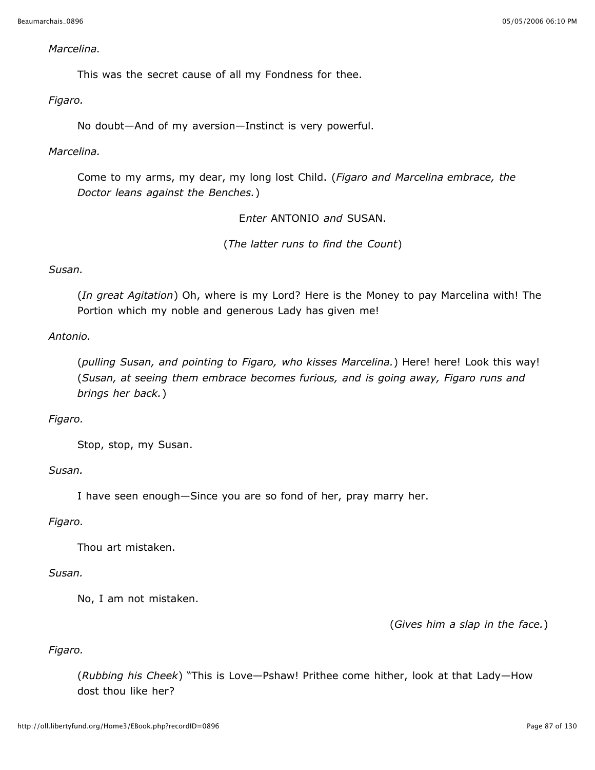#### *Marcelina.*

This was the secret cause of all my Fondness for thee.

*Figaro.*

No doubt—And of my aversion—Instinct is very powerful.

## *Marcelina.*

Come to my arms, my dear, my long lost Child. (*Figaro and Marcelina embrace, the Doctor leans against the Benches.*)

E*nter* ANTONIO *and* SUSAN.

(*The latter runs to find the Count*)

# *Susan.*

(*In great Agitation*) Oh, where is my Lord? Here is the Money to pay Marcelina with! The Portion which my noble and generous Lady has given me!

## *Antonio.*

(*pulling Susan, and pointing to Figaro, who kisses Marcelina.*) Here! here! Look this way! (*Susan, at seeing them embrace becomes furious, and is going away, Figaro runs and brings her back.*)

# *Figaro.*

Stop, stop, my Susan.

## *Susan.*

I have seen enough—Since you are so fond of her, pray marry her.

## *Figaro.*

Thou art mistaken.

## *Susan.*

No, I am not mistaken.

(*Gives him a slap in the face.*)

# *Figaro.*

(*Rubbing his Cheek*) "This is Love—Pshaw! Prithee come hither, look at that Lady—How dost thou like her?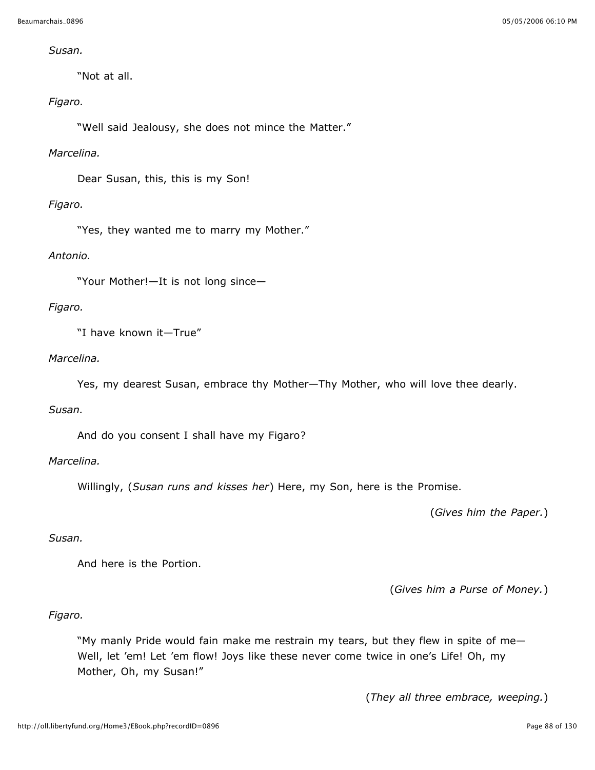## *Susan.*

"Not at all.

## *Figaro.*

"Well said Jealousy, she does not mince the Matter."

## *Marcelina.*

Dear Susan, this, this is my Son!

# *Figaro.*

"Yes, they wanted me to marry my Mother."

## *Antonio.*

"Your Mother!—It is not long since—

## *Figaro.*

"I have known it—True"

# *Marcelina.*

Yes, my dearest Susan, embrace thy Mother—Thy Mother, who will love thee dearly.

## *Susan.*

And do you consent I shall have my Figaro?

## *Marcelina.*

Willingly, (*Susan runs and kisses her*) Here, my Son, here is the Promise.

(*Gives him the Paper.*)

## *Susan.*

And here is the Portion.

(*Gives him a Purse of Money.*)

# *Figaro.*

"My manly Pride would fain make me restrain my tears, but they flew in spite of me— Well, let 'em! Let 'em flow! Joys like these never come twice in one's Life! Oh, my Mother, Oh, my Susan!"

(*They all three embrace, weeping.*)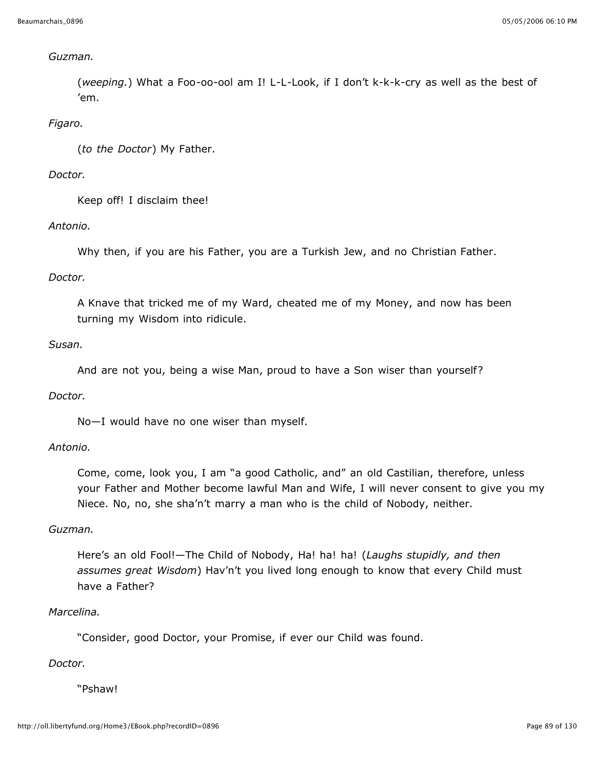## *Guzman.*

(*weeping.*) What a Foo-oo-ool am I! L-L-Look, if I don't k-k-k-cry as well as the best of 'em.

## *Figaro.*

(*to the Doctor*) My Father.

## *Doctor.*

Keep off! I disclaim thee!

## *Antonio.*

Why then, if you are his Father, you are a Turkish Jew, and no Christian Father.

## *Doctor.*

A Knave that tricked me of my Ward, cheated me of my Money, and now has been turning my Wisdom into ridicule.

## *Susan.*

And are not you, being a wise Man, proud to have a Son wiser than yourself?

## *Doctor.*

No—I would have no one wiser than myself.

## *Antonio.*

Come, come, look you, I am "a good Catholic, and" an old Castilian, therefore, unless your Father and Mother become lawful Man and Wife, I will never consent to give you my Niece. No, no, she sha'n't marry a man who is the child of Nobody, neither.

## *Guzman.*

Here's an old Fool!—The Child of Nobody, Ha! ha! ha! (*Laughs stupidly, and then assumes great Wisdom*) Hav'n't you lived long enough to know that every Child must have a Father?

## *Marcelina.*

"Consider, good Doctor, your Promise, if ever our Child was found.

## *Doctor.*

"Pshaw!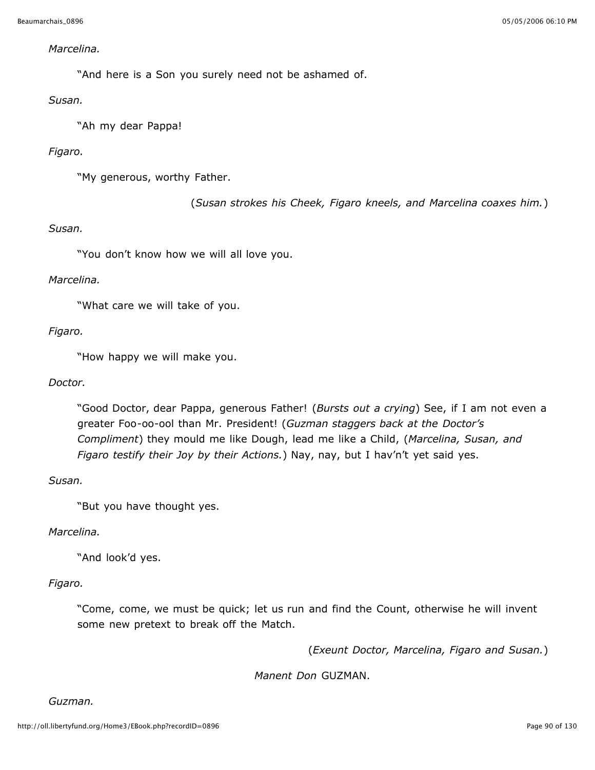#### *Marcelina.*

"And here is a Son you surely need not be ashamed of.

## *Susan.*

"Ah my dear Pappa!

# *Figaro.*

"My generous, worthy Father.

(*Susan strokes his Cheek, Figaro kneels, and Marcelina coaxes him.*)

## *Susan.*

"You don't know how we will all love you.

## *Marcelina.*

"What care we will take of you.

## *Figaro.*

"How happy we will make you.

## *Doctor.*

"Good Doctor, dear Pappa, generous Father! (*Bursts out a crying*) See, if I am not even a greater Foo-oo-ool than Mr. President! (*Guzman staggers back at the Doctor's Compliment*) they mould me like Dough, lead me like a Child, (*Marcelina, Susan, and Figaro testify their Joy by their Actions.*) Nay, nay, but I hav'n't yet said yes.

*Susan.*

"But you have thought yes.

## *Marcelina.*

"And look'd yes.

# *Figaro.*

"Come, come, we must be quick; let us run and find the Count, otherwise he will invent some new pretext to break off the Match.

(*Exeunt Doctor, Marcelina, Figaro and Susan.*)

*Manent Don* GUZMAN.

*Guzman.*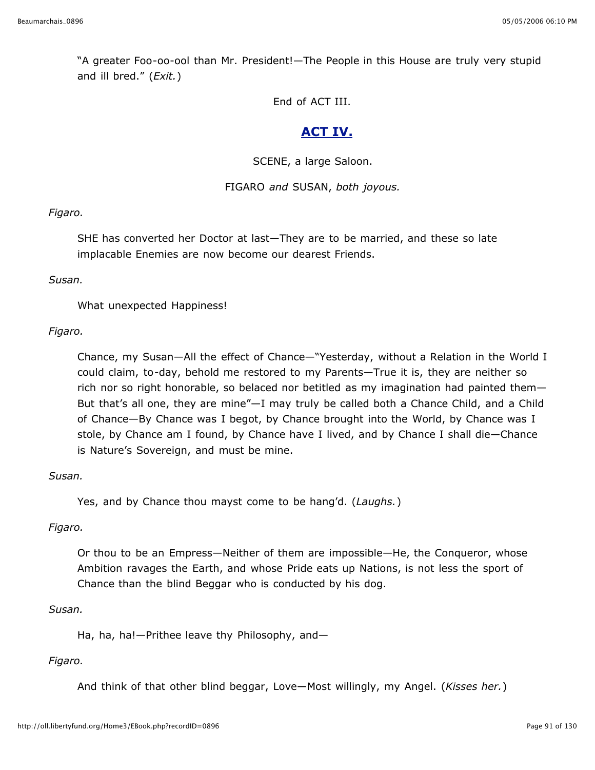"A greater Foo-oo-ool than Mr. President!—The People in this House are truly very stupid and ill bred." (*Exit.*)

End of ACT III.

# **ACT IV.**

SCENE, a large Saloon.

# FIGARO *and* SUSAN, *both joyous.*

*Figaro.*

SHE has converted her Doctor at last—They are to be married, and these so late implacable Enemies are now become our dearest Friends.

## *Susan.*

What unexpected Happiness!

# *Figaro.*

Chance, my Susan—All the effect of Chance—"Yesterday, without a Relation in the World I could claim, to-day, behold me restored to my Parents—True it is, they are neither so rich nor so right honorable, so belaced nor betitled as my imagination had painted them— But that's all one, they are mine"—I may truly be called both a Chance Child, and a Child of Chance—By Chance was I begot, by Chance brought into the World, by Chance was I stole, by Chance am I found, by Chance have I lived, and by Chance I shall die—Chance is Nature's Sovereign, and must be mine.

# *Susan.*

Yes, and by Chance thou mayst come to be hang'd. (*Laughs.*)

# *Figaro.*

Or thou to be an Empress—Neither of them are impossible—He, the Conqueror, whose Ambition ravages the Earth, and whose Pride eats up Nations, is not less the sport of Chance than the blind Beggar who is conducted by his dog.

## *Susan.*

Ha, ha, ha!—Prithee leave thy Philosophy, and—

# *Figaro.*

And think of that other blind beggar, Love—Most willingly, my Angel. (*Kisses her.*)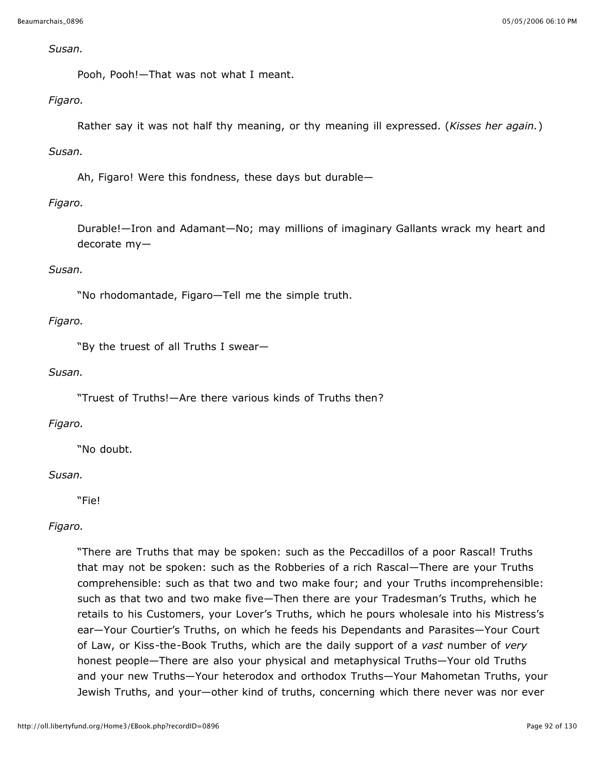#### *Susan.*

Pooh, Pooh!—That was not what I meant.

## *Figaro.*

Rather say it was not half thy meaning, or thy meaning ill expressed. (*Kisses her again.*)

# *Susan.*

Ah, Figaro! Were this fondness, these days but durable—

# *Figaro.*

Durable!—Iron and Adamant—No; may millions of imaginary Gallants wrack my heart and decorate my—

# *Susan.*

"No rhodomantade, Figaro—Tell me the simple truth.

## *Figaro.*

"By the truest of all Truths I swear—

## *Susan.*

"Truest of Truths!—Are there various kinds of Truths then?

# *Figaro.*

"No doubt.

## *Susan.*

"Fie!

# *Figaro.*

"There are Truths that may be spoken: such as the Peccadillos of a poor Rascal! Truths that may not be spoken: such as the Robberies of a rich Rascal—There are your Truths comprehensible: such as that two and two make four; and your Truths incomprehensible: such as that two and two make five—Then there are your Tradesman's Truths, which he retails to his Customers, your Lover's Truths, which he pours wholesale into his Mistress's ear—Your Courtier's Truths, on which he feeds his Dependants and Parasites—Your Court of Law, or Kiss-the-Book Truths, which are the daily support of a *vast* number of *very* honest people—There are also your physical and metaphysical Truths—Your old Truths and your new Truths—Your heterodox and orthodox Truths—Your Mahometan Truths, your Jewish Truths, and your—other kind of truths, concerning which there never was nor ever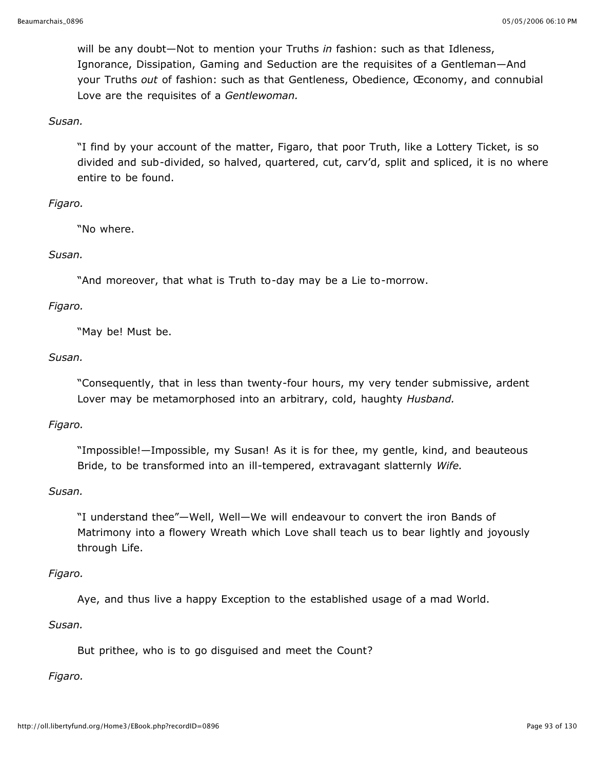will be any doubt—Not to mention your Truths *in* fashion: such as that Idleness, Ignorance, Dissipation, Gaming and Seduction are the requisites of a Gentleman—And your Truths *out* of fashion: such as that Gentleness, Obedience, Œconomy, and connubial Love are the requisites of a *Gentlewoman.*

#### *Susan.*

"I find by your account of the matter, Figaro, that poor Truth, like a Lottery Ticket, is so divided and sub-divided, so halved, quartered, cut, carv'd, split and spliced, it is no where entire to be found.

## *Figaro.*

"No where.

## *Susan.*

"And moreover, that what is Truth to-day may be a Lie to-morrow.

## *Figaro.*

"May be! Must be.

## *Susan.*

"Consequently, that in less than twenty-four hours, my very tender submissive, ardent Lover may be metamorphosed into an arbitrary, cold, haughty *Husband.*

## *Figaro.*

"Impossible!—Impossible, my Susan! As it is for thee, my gentle, kind, and beauteous Bride, to be transformed into an ill-tempered, extravagant slatternly *Wife.*

# *Susan.*

"I understand thee"—Well, Well—We will endeavour to convert the iron Bands of Matrimony into a flowery Wreath which Love shall teach us to bear lightly and joyously through Life.

## *Figaro.*

Aye, and thus live a happy Exception to the established usage of a mad World.

# *Susan.*

But prithee, who is to go disguised and meet the Count?

# *Figaro.*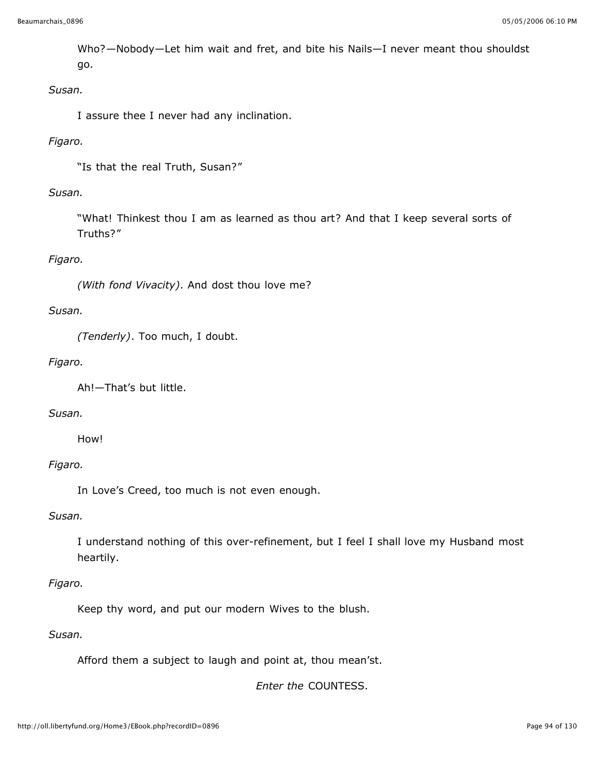Who?—Nobody—Let him wait and fret, and bite his Nails—I never meant thou shouldst go.

## *Susan.*

I assure thee I never had any inclination.

# *Figaro.*

"Is that the real Truth, Susan?"

# *Susan.*

"What! Thinkest thou I am as learned as thou art? And that I keep several sorts of Truths?"

# *Figaro.*

*(With fond Vivacity)*. And dost thou love me?

# *Susan.*

*(Tenderly)*. Too much, I doubt.

## *Figaro.*

Ah!—That's but little.

## *Susan.*

How!

# *Figaro.*

In Love's Creed, too much is not even enough.

## *Susan.*

I understand nothing of this over-refinement, but I feel I shall love my Husband most heartily.

## *Figaro.*

Keep thy word, and put our modern Wives to the blush.

## *Susan.*

Afford them a subject to laugh and point at, thou mean'st.

*Enter the* COUNTESS.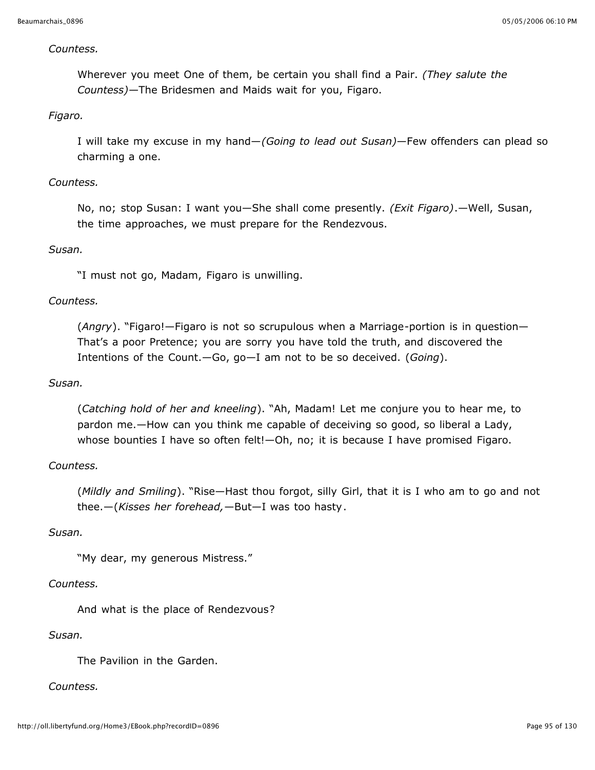#### *Countess.*

Wherever you meet One of them, be certain you shall find a Pair. *(They salute the Countess)*—The Bridesmen and Maids wait for you, Figaro.

## *Figaro.*

I will take my excuse in my hand—*(Going to lead out Susan)*—Few offenders can plead so charming a one.

## *Countess.*

No, no; stop Susan: I want you—She shall come presently. *(Exit Figaro)*.—Well, Susan, the time approaches, we must prepare for the Rendezvous.

## *Susan.*

"I must not go, Madam, Figaro is unwilling.

## *Countess.*

(*Angry*). "Figaro!—Figaro is not so scrupulous when a Marriage-portion is in question— That's a poor Pretence; you are sorry you have told the truth, and discovered the Intentions of the Count.—Go, go—I am not to be so deceived. (*Going*).

#### *Susan.*

(*Catching hold of her and kneeling*). "Ah, Madam! Let me conjure you to hear me, to pardon me.—How can you think me capable of deceiving so good, so liberal a Lady, whose bounties I have so often felt!—Oh, no; it is because I have promised Figaro.

## *Countess.*

(*Mildly and Smiling*). "Rise—Hast thou forgot, silly Girl, that it is I who am to go and not thee.—(*Kisses her forehead,*—But—I was too hasty.

## *Susan.*

"My dear, my generous Mistress."

## *Countess.*

And what is the place of Rendezvous?

#### *Susan.*

The Pavilion in the Garden.

## *Countess.*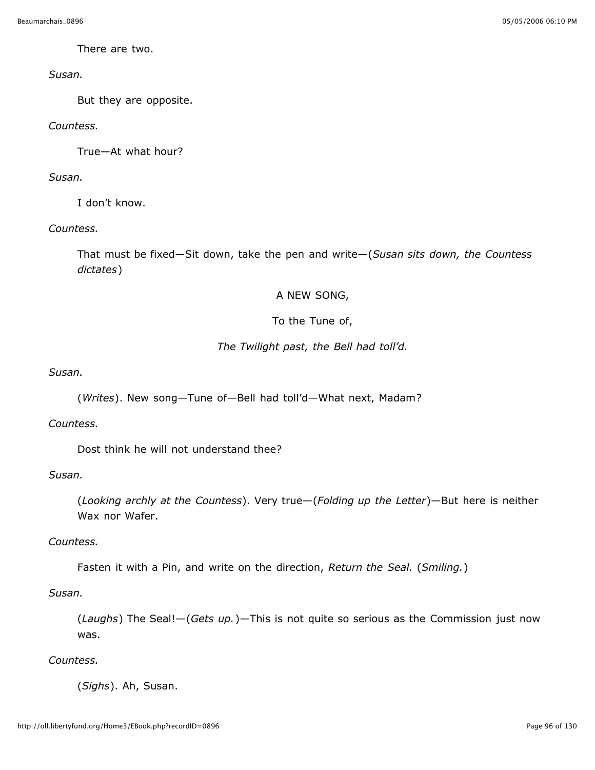There are two.

## *Susan.*

But they are opposite.

# *Countess.*

True—At what hour?

# *Susan.*

I don't know.

# *Countess.*

That must be fixed—Sit down, take the pen and write—(*Susan sits down, the Countess dictates*)

# A NEW SONG,

# To the Tune of,

# *The Twilight past, the Bell had toll'd.*

*Susan.*

(*Writes*). New song—Tune of—Bell had toll'd—What next, Madam?

## *Countess.*

Dost think he will not understand thee?

## *Susan.*

(*Looking archly at the Countess*). Very true—(*Folding up the Letter*)—But here is neither Wax nor Wafer.

# *Countess.*

Fasten it with a Pin, and write on the direction, *Return the Seal.* (*Smiling.*)

# *Susan.*

(*Laughs*) The Seal!—(*Gets up.*)—This is not quite so serious as the Commission just now was.

# *Countess.*

(*Sighs*). Ah, Susan.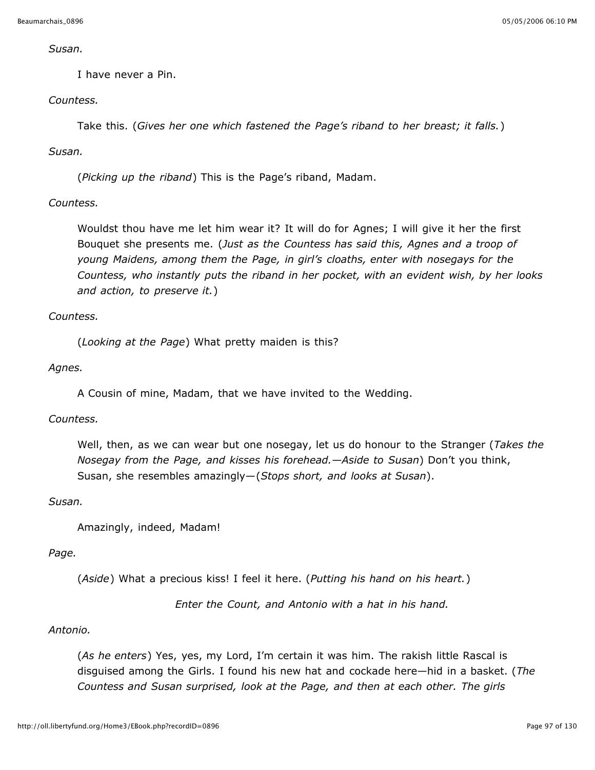*Susan.*

I have never a Pin.

## *Countess.*

Take this. (*Gives her one which fastened the Page's riband to her breast; it falls.*)

# *Susan.*

(*Picking up the riband*) This is the Page's riband, Madam.

## *Countess.*

Wouldst thou have me let him wear it? It will do for Agnes; I will give it her the first Bouquet she presents me. (*Just as the Countess has said this, Agnes and a troop of young Maidens, among them the Page, in girl's cloaths, enter with nosegays for the Countess, who instantly puts the riband in her pocket, with an evident wish, by her looks and action, to preserve it.*)

## *Countess.*

(*Looking at the Page*) What pretty maiden is this?

## *Agnes.*

A Cousin of mine, Madam, that we have invited to the Wedding.

## *Countess.*

Well, then, as we can wear but one nosegay, let us do honour to the Stranger (*Takes the Nosegay from the Page, and kisses his forehead.—Aside to Susan*) Don't you think, Susan, she resembles amazingly—(*Stops short, and looks at Susan*).

## *Susan.*

Amazingly, indeed, Madam!

## *Page.*

(*Aside*) What a precious kiss! I feel it here. (*Putting his hand on his heart.*)

*Enter the Count, and Antonio with a hat in his hand.*

## *Antonio.*

(*As he enters*) Yes, yes, my Lord, I'm certain it was him. The rakish little Rascal is disguised among the Girls. I found his new hat and cockade here—hid in a basket. (*The Countess and Susan surprised, look at the Page, and then at each other. The girls*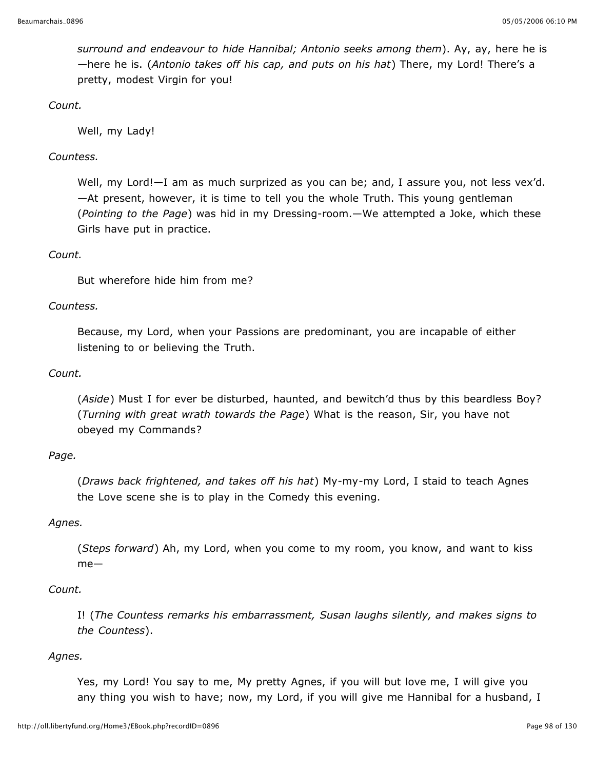*surround and endeavour to hide Hannibal; Antonio seeks among them*). Ay, ay, here he is —here he is. (*Antonio takes off his cap, and puts on his hat*) There, my Lord! There's a pretty, modest Virgin for you!

*Count.*

Well, my Lady!

## *Countess.*

Well, my Lord!—I am as much surprized as you can be; and, I assure you, not less vex'd. —At present, however, it is time to tell you the whole Truth. This young gentleman (*Pointing to the Page*) was hid in my Dressing-room.—We attempted a Joke, which these Girls have put in practice.

## *Count.*

But wherefore hide him from me?

## *Countess.*

Because, my Lord, when your Passions are predominant, you are incapable of either listening to or believing the Truth.

## *Count.*

(*Aside*) Must I for ever be disturbed, haunted, and bewitch'd thus by this beardless Boy? (*Turning with great wrath towards the Page*) What is the reason, Sir, you have not obeyed my Commands?

## *Page.*

(*Draws back frightened, and takes off his hat*) My-my-my Lord, I staid to teach Agnes the Love scene she is to play in the Comedy this evening.

## *Agnes.*

(*Steps forward*) Ah, my Lord, when you come to my room, you know, and want to kiss me—

## *Count.*

I! (*The Countess remarks his embarrassment, Susan laughs silently, and makes signs to the Countess*).

#### *Agnes.*

Yes, my Lord! You say to me, My pretty Agnes, if you will but love me, I will give you any thing you wish to have; now, my Lord, if you will give me Hannibal for a husband, I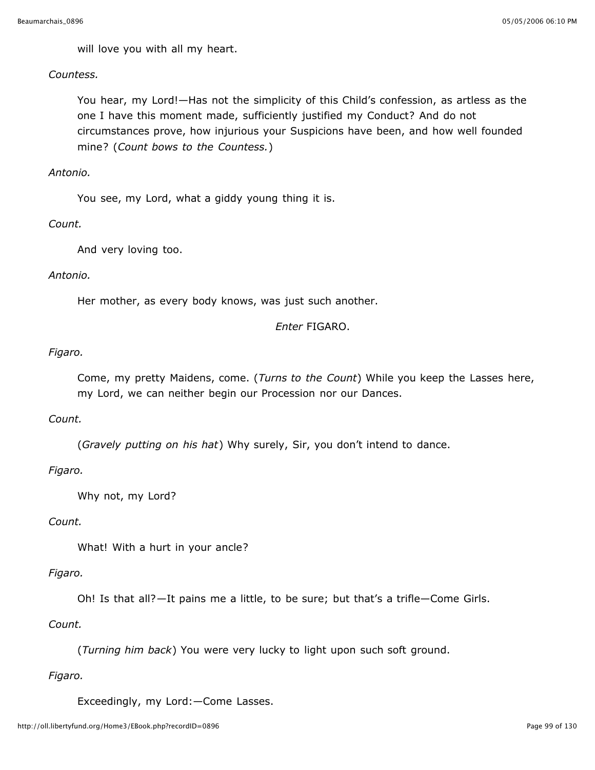will love you with all my heart.

## *Countess.*

You hear, my Lord!—Has not the simplicity of this Child's confession, as artless as the one I have this moment made, sufficiently justified my Conduct? And do not circumstances prove, how injurious your Suspicions have been, and how well founded mine? (*Count bows to the Countess.*)

## *Antonio.*

You see, my Lord, what a giddy young thing it is.

## *Count.*

And very loving too.

## *Antonio.*

Her mother, as every body knows, was just such another.

## *Enter* FIGARO.

# *Figaro.*

Come, my pretty Maidens, come. (*Turns to the Count*) While you keep the Lasses here, my Lord, we can neither begin our Procession nor our Dances.

## *Count.*

(*Gravely putting on his hat*) Why surely, Sir, you don't intend to dance.

# *Figaro.*

Why not, my Lord?

# *Count.*

What! With a hurt in your ancle?

# *Figaro.*

Oh! Is that all?—It pains me a little, to be sure; but that's a trifle—Come Girls.

# *Count.*

(*Turning him back*) You were very lucky to light upon such soft ground.

# *Figaro.*

Exceedingly, my Lord:—Come Lasses.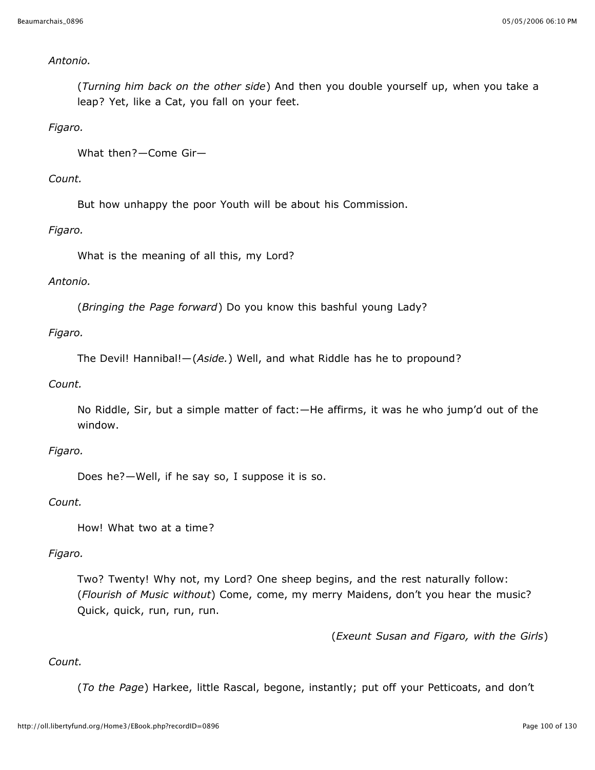## *Antonio.*

(*Turning him back on the other side*) And then you double yourself up, when you take a leap? Yet, like a Cat, you fall on your feet.

## *Figaro.*

What then?—Come Gir—

## *Count.*

But how unhappy the poor Youth will be about his Commission.

## *Figaro.*

What is the meaning of all this, my Lord?

## *Antonio.*

(*Bringing the Page forward*) Do you know this bashful young Lady?

## *Figaro.*

The Devil! Hannibal!—(*Aside.*) Well, and what Riddle has he to propound?

## *Count.*

No Riddle, Sir, but a simple matter of fact:—He affirms, it was he who jump'd out of the window.

## *Figaro.*

Does he?—Well, if he say so, I suppose it is so.

## *Count.*

How! What two at a time?

## *Figaro.*

Two? Twenty! Why not, my Lord? One sheep begins, and the rest naturally follow: (*Flourish of Music without*) Come, come, my merry Maidens, don't you hear the music? Quick, quick, run, run, run.

(*Exeunt Susan and Figaro, with the Girls*)

# *Count.*

(*To the Page*) Harkee, little Rascal, begone, instantly; put off your Petticoats, and don't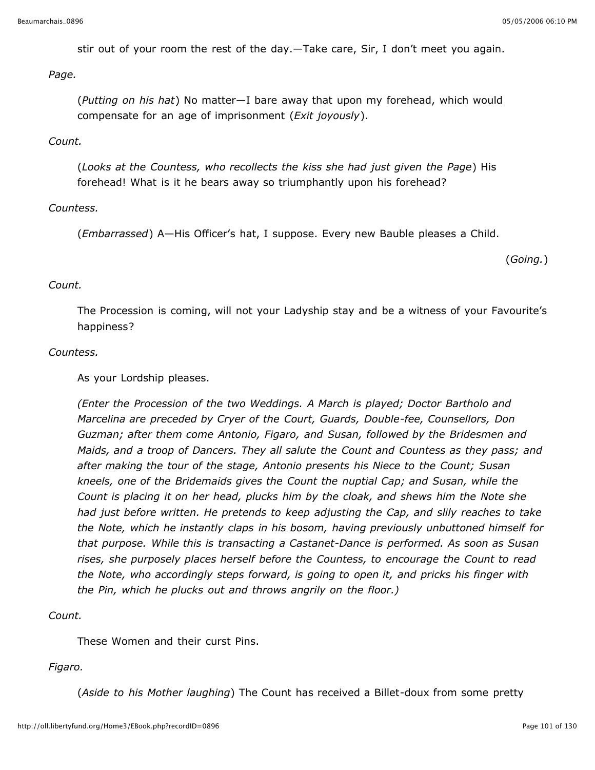stir out of your room the rest of the day.—Take care, Sir, I don't meet you again.

*Page.*

(*Putting on his hat*) No matter—I bare away that upon my forehead, which would compensate for an age of imprisonment (*Exit joyously*).

## *Count.*

(*Looks at the Countess, who recollects the kiss she had just given the Page*) His forehead! What is it he bears away so triumphantly upon his forehead?

## *Countess.*

(*Embarrassed*) A—His Officer's hat, I suppose. Every new Bauble pleases a Child.

(*Going.*)

## *Count.*

The Procession is coming, will not your Ladyship stay and be a witness of your Favourite's happiness?

## *Countess.*

As your Lordship pleases.

*(Enter the Procession of the two Weddings. A March is played; Doctor Bartholo and Marcelina are preceded by Cryer of the Court, Guards, Double-fee, Counsellors, Don Guzman; after them come Antonio, Figaro, and Susan, followed by the Bridesmen and Maids, and a troop of Dancers. They all salute the Count and Countess as they pass; and after making the tour of the stage, Antonio presents his Niece to the Count; Susan kneels, one of the Bridemaids gives the Count the nuptial Cap; and Susan, while the Count is placing it on her head, plucks him by the cloak, and shews him the Note she had just before written. He pretends to keep adjusting the Cap, and slily reaches to take the Note, which he instantly claps in his bosom, having previously unbuttoned himself for that purpose. While this is transacting a Castanet-Dance is performed. As soon as Susan rises, she purposely places herself before the Countess, to encourage the Count to read the Note, who accordingly steps forward, is going to open it, and pricks his finger with the Pin, which he plucks out and throws angrily on the floor.)*

## *Count.*

These Women and their curst Pins.

## *Figaro.*

(*Aside to his Mother laughing*) The Count has received a Billet-doux from some pretty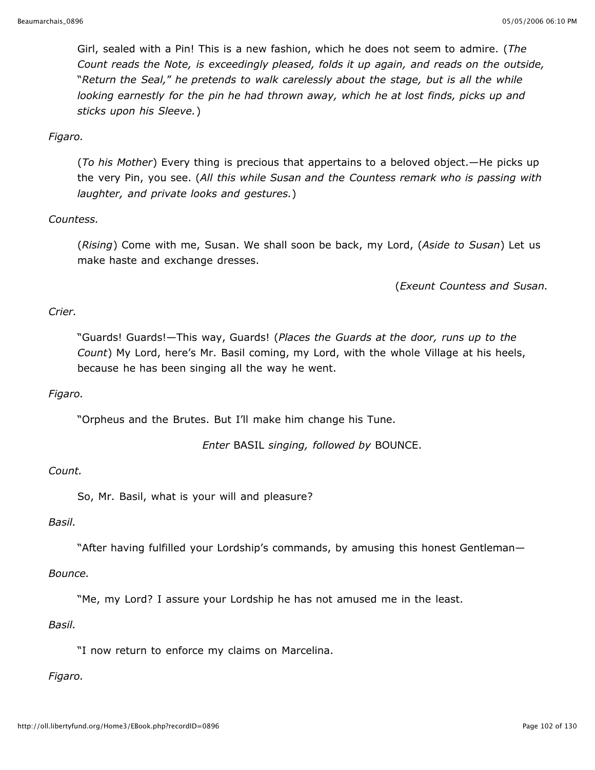Girl, sealed with a Pin! This is a new fashion, which he does not seem to admire. (*The Count reads the Note, is exceedingly pleased, folds it up again, and reads on the outside,* "*Return the Seal,*" *he pretends to walk carelessly about the stage, but is all the while looking earnestly for the pin he had thrown away, which he at lost finds, picks up and sticks upon his Sleeve.*)

# *Figaro.*

(*To his Mother*) Every thing is precious that appertains to a beloved object.—He picks up the very Pin, you see. (*All this while Susan and the Countess remark who is passing with laughter, and private looks and gestures.*)

## *Countess.*

(*Rising*) Come with me, Susan. We shall soon be back, my Lord, (*Aside to Susan*) Let us make haste and exchange dresses.

(*Exeunt Countess and Susan.*

# *Crier.*

"Guards! Guards!—This way, Guards! (*Places the Guards at the door, runs up to the Count*) My Lord, here's Mr. Basil coming, my Lord, with the whole Village at his heels, because he has been singing all the way he went.

## *Figaro.*

"Orpheus and the Brutes. But I'll make him change his Tune.

*Enter* BASIL *singing, followed by* BOUNCE.

## *Count.*

So, Mr. Basil, what is your will and pleasure?

## *Basil.*

"After having fulfilled your Lordship's commands, by amusing this honest Gentleman—

## *Bounce.*

"Me, my Lord? I assure your Lordship he has not amused me in the least.

## *Basil.*

"I now return to enforce my claims on Marcelina.

## *Figaro.*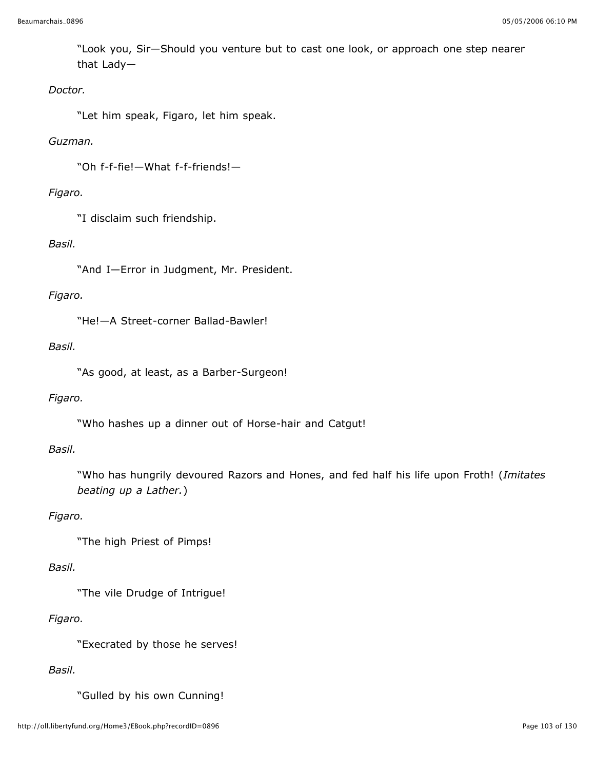"Look you, Sir—Should you venture but to cast one look, or approach one step nearer that Lady—

## *Doctor.*

"Let him speak, Figaro, let him speak.

## *Guzman.*

"Oh f-f-fie!—What f-f-friends!—

## *Figaro.*

"I disclaim such friendship.

## *Basil.*

"And I—Error in Judgment, Mr. President.

## *Figaro.*

"He!—A Street-corner Ballad-Bawler!

## *Basil.*

"As good, at least, as a Barber-Surgeon!

## *Figaro.*

"Who hashes up a dinner out of Horse-hair and Catgut!

## *Basil.*

"Who has hungrily devoured Razors and Hones, and fed half his life upon Froth! (*Imitates beating up a Lather.*)

# *Figaro.*

"The high Priest of Pimps!

## *Basil.*

"The vile Drudge of Intrigue!

# *Figaro.*

"Execrated by those he serves!

# *Basil.*

"Gulled by his own Cunning!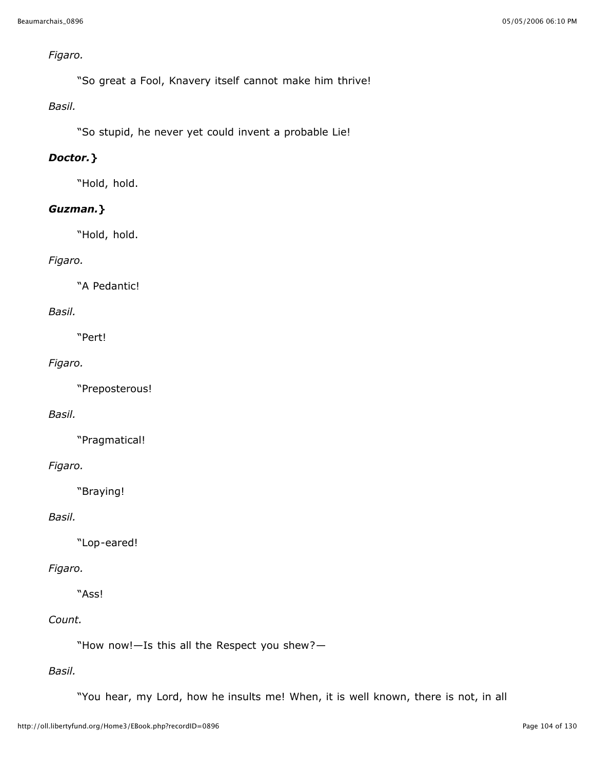# *Figaro.*

"So great a Fool, Knavery itself cannot make him thrive!

## *Basil.*

"So stupid, he never yet could invent a probable Lie!

# *Doctor.***}**

"Hold, hold.

# *Guzman.***}**

"Hold, hold.

# *Figaro.*

"A Pedantic!

# *Basil.*

"Pert!

# *Figaro.*

"Preposterous!

## *Basil.*

"Pragmatical!

# *Figaro.*

"Braying!

# *Basil.*

"Lop-eared!

# *Figaro.*

"Ass!

# *Count.*

"How now!—Is this all the Respect you shew?—

# *Basil.*

"You hear, my Lord, how he insults me! When, it is well known, there is not, in all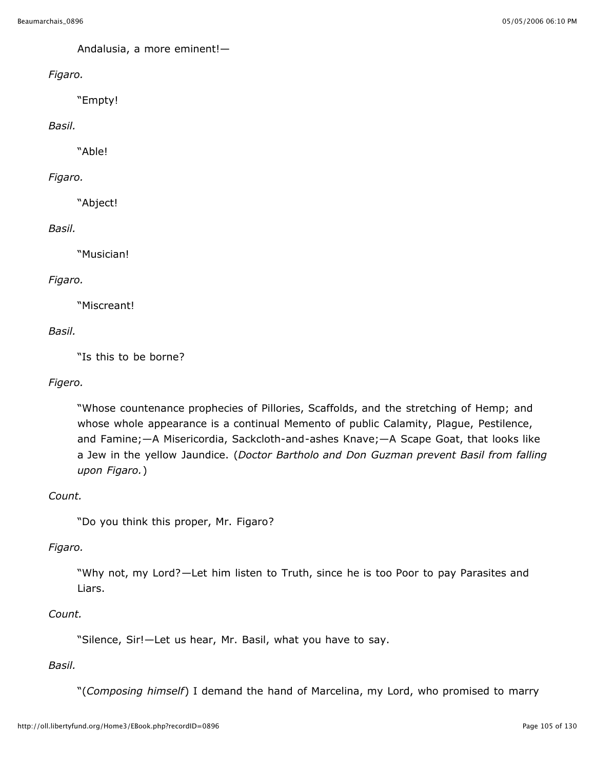Andalusia, a more eminent!—

*Figaro.*

"Empty!

*Basil.*

"Able!

*Figaro.*

"Abject!

## *Basil.*

"Musician!

## *Figaro.*

"Miscreant!

## *Basil.*

"Is this to be borne?

# *Figero.*

"Whose countenance prophecies of Pillories, Scaffolds, and the stretching of Hemp; and whose whole appearance is a continual Memento of public Calamity, Plague, Pestilence, and Famine;—A Misericordia, Sackcloth-and-ashes Knave;—A Scape Goat, that looks like a Jew in the yellow Jaundice. (*Doctor Bartholo and Don Guzman prevent Basil from falling upon Figaro.*)

## *Count.*

"Do you think this proper, Mr. Figaro?

## *Figaro.*

"Why not, my Lord?—Let him listen to Truth, since he is too Poor to pay Parasites and Liars.

## *Count.*

"Silence, Sir!—Let us hear, Mr. Basil, what you have to say.

## *Basil.*

"(*Composing himself*) I demand the hand of Marcelina, my Lord, who promised to marry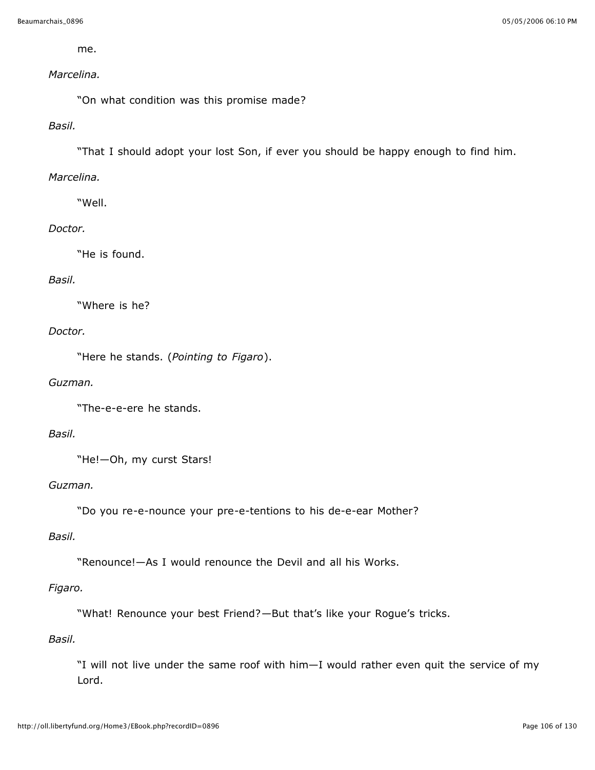me.

## *Marcelina.*

"On what condition was this promise made?

## *Basil.*

"That I should adopt your lost Son, if ever you should be happy enough to find him.

## *Marcelina.*

"Well.

#### *Doctor.*

"He is found.

#### *Basil.*

"Where is he?

#### *Doctor.*

"Here he stands. (*Pointing to Figaro*).

## *Guzman.*

"The-e-e-ere he stands.

## *Basil.*

"He!—Oh, my curst Stars!

#### *Guzman.*

"Do you re-e-nounce your pre-e-tentions to his de-e-ear Mother?

#### *Basil.*

"Renounce!—As I would renounce the Devil and all his Works.

## *Figaro.*

"What! Renounce your best Friend?—But that's like your Rogue's tricks.

#### *Basil.*

"I will not live under the same roof with him—I would rather even quit the service of my Lord.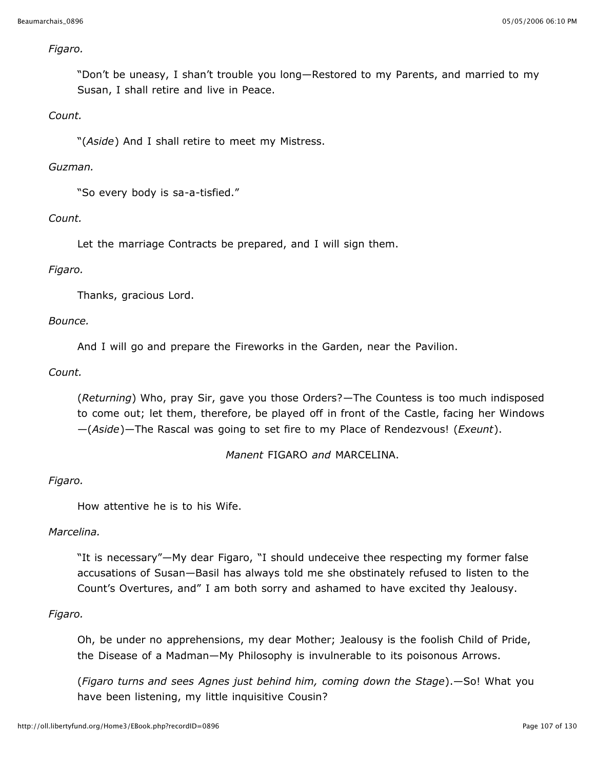#### *Figaro.*

"Don't be uneasy, I shan't trouble you long—Restored to my Parents, and married to my Susan, I shall retire and live in Peace.

## *Count.*

"(*Aside*) And I shall retire to meet my Mistress.

## *Guzman.*

"So every body is sa-a-tisfied."

## *Count.*

Let the marriage Contracts be prepared, and I will sign them.

## *Figaro.*

Thanks, gracious Lord.

## *Bounce.*

And I will go and prepare the Fireworks in the Garden, near the Pavilion.

## *Count.*

(*Returning*) Who, pray Sir, gave you those Orders?—The Countess is too much indisposed to come out; let them, therefore, be played off in front of the Castle, facing her Windows —(*Aside*)—The Rascal was going to set fire to my Place of Rendezvous! (*Exeunt*).

*Manent* FIGARO *and* MARCELINA.

## *Figaro.*

How attentive he is to his Wife.

## *Marcelina.*

"It is necessary"—My dear Figaro, "I should undeceive thee respecting my former false accusations of Susan—Basil has always told me she obstinately refused to listen to the Count's Overtures, and" I am both sorry and ashamed to have excited thy Jealousy.

## *Figaro.*

Oh, be under no apprehensions, my dear Mother; Jealousy is the foolish Child of Pride, the Disease of a Madman—My Philosophy is invulnerable to its poisonous Arrows.

(*Figaro turns and sees Agnes just behind him, coming down the Stage*).—So! What you have been listening, my little inquisitive Cousin?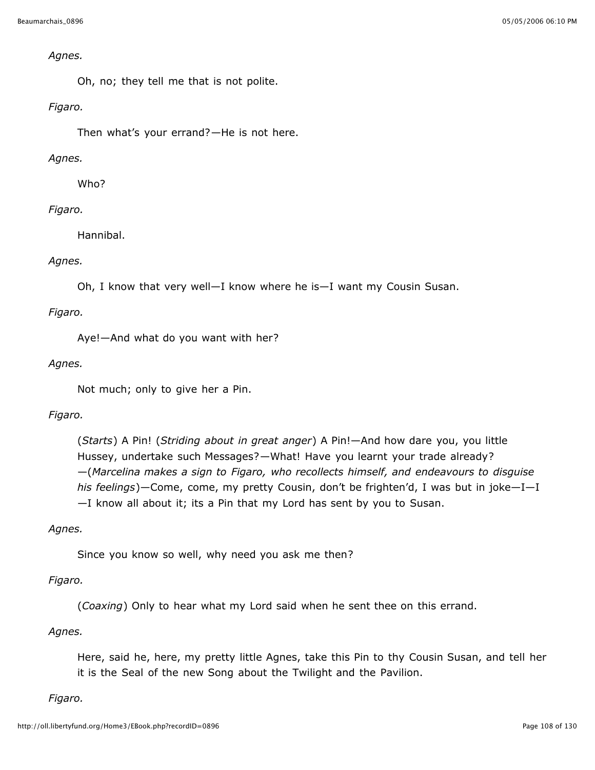#### *Agnes.*

Oh, no; they tell me that is not polite.

## *Figaro.*

Then what's your errand?—He is not here.

# *Agnes.*

Who?

# *Figaro.*

Hannibal.

# *Agnes.*

Oh, I know that very well—I know where he is—I want my Cousin Susan.

# *Figaro.*

Aye!—And what do you want with her?

## *Agnes.*

Not much; only to give her a Pin.

# *Figaro.*

(*Starts*) A Pin! (*Striding about in great anger*) A Pin!—And how dare you, you little Hussey, undertake such Messages?—What! Have you learnt your trade already? —(*Marcelina makes a sign to Figaro, who recollects himself, and endeavours to disguise his feelings*)—Come, come, my pretty Cousin, don't be frighten'd, I was but in joke—I—I —I know all about it; its a Pin that my Lord has sent by you to Susan.

# *Agnes.*

Since you know so well, why need you ask me then?

# *Figaro.*

(*Coaxing*) Only to hear what my Lord said when he sent thee on this errand.

## *Agnes.*

Here, said he, here, my pretty little Agnes, take this Pin to thy Cousin Susan, and tell her it is the Seal of the new Song about the Twilight and the Pavilion.

## *Figaro.*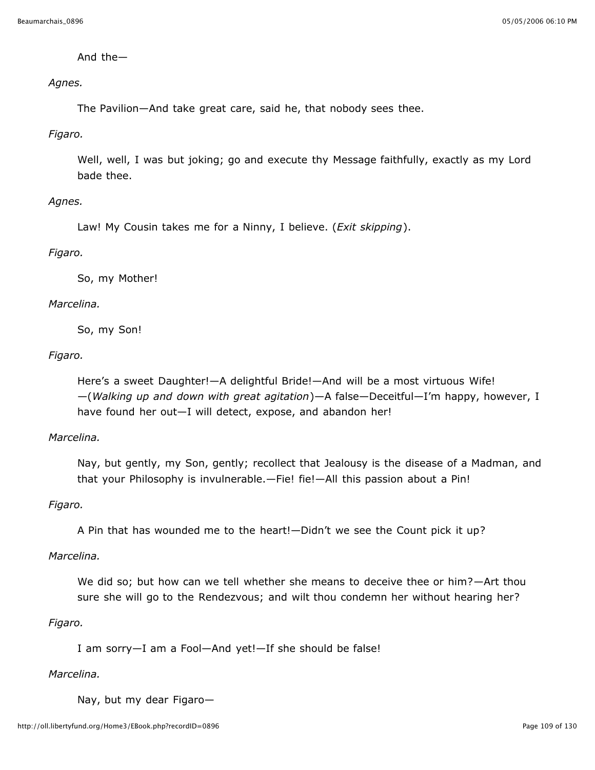And the—

*Agnes.*

The Pavilion—And take great care, said he, that nobody sees thee.

#### *Figaro.*

Well, well, I was but joking; go and execute thy Message faithfully, exactly as my Lord bade thee.

### *Agnes.*

Law! My Cousin takes me for a Ninny, I believe. (*Exit skipping*).

### *Figaro.*

So, my Mother!

### *Marcelina.*

So, my Son!

### *Figaro.*

Here's a sweet Daughter!—A delightful Bride!—And will be a most virtuous Wife! —(*Walking up and down with great agitation*)—A false—Deceitful—I'm happy, however, I have found her out—I will detect, expose, and abandon her!

#### *Marcelina.*

Nay, but gently, my Son, gently; recollect that Jealousy is the disease of a Madman, and that your Philosophy is invulnerable.—Fie! fie!—All this passion about a Pin!

#### *Figaro.*

A Pin that has wounded me to the heart!—Didn't we see the Count pick it up?

#### *Marcelina.*

We did so; but how can we tell whether she means to deceive thee or him?—Art thou sure she will go to the Rendezvous; and wilt thou condemn her without hearing her?

## *Figaro.*

I am sorry—I am a Fool—And yet!—If she should be false!

#### *Marcelina.*

Nay, but my dear Figaro—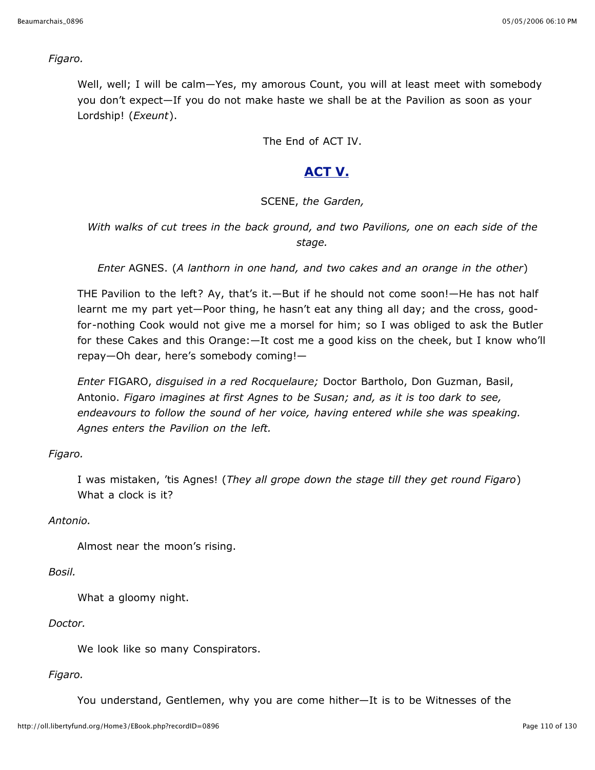*Figaro.*

Well, well; I will be calm—Yes, my amorous Count, you will at least meet with somebody you don't expect—If you do not make haste we shall be at the Pavilion as soon as your Lordship! (*Exeunt*).

The End of ACT IV.

# **ACT V.**

## SCENE, *the Garden,*

*With walks of cut trees in the back ground, and two Pavilions, one on each side of the stage.*

*Enter* AGNES. (*A lanthorn in one hand, and two cakes and an orange in the other*)

THE Pavilion to the left? Ay, that's it.—But if he should not come soon!—He has not half learnt me my part yet—Poor thing, he hasn't eat any thing all day; and the cross, goodfor-nothing Cook would not give me a morsel for him; so I was obliged to ask the Butler for these Cakes and this Orange:—It cost me a good kiss on the cheek, but I know who'll repay—Oh dear, here's somebody coming!—

*Enter* FIGARO, *disguised in a red Rocquelaure;* Doctor Bartholo, Don Guzman, Basil, Antonio. *Figaro imagines at first Agnes to be Susan; and, as it is too dark to see, endeavours to follow the sound of her voice, having entered while she was speaking. Agnes enters the Pavilion on the left.*

*Figaro.*

I was mistaken, 'tis Agnes! (*They all grope down the stage till they get round Figaro*) What a clock is it?

*Antonio.*

Almost near the moon's rising.

*Bosil.*

What a gloomy night.

*Doctor.*

We look like so many Conspirators.

*Figaro.*

You understand, Gentlemen, why you are come hither—It is to be Witnesses of the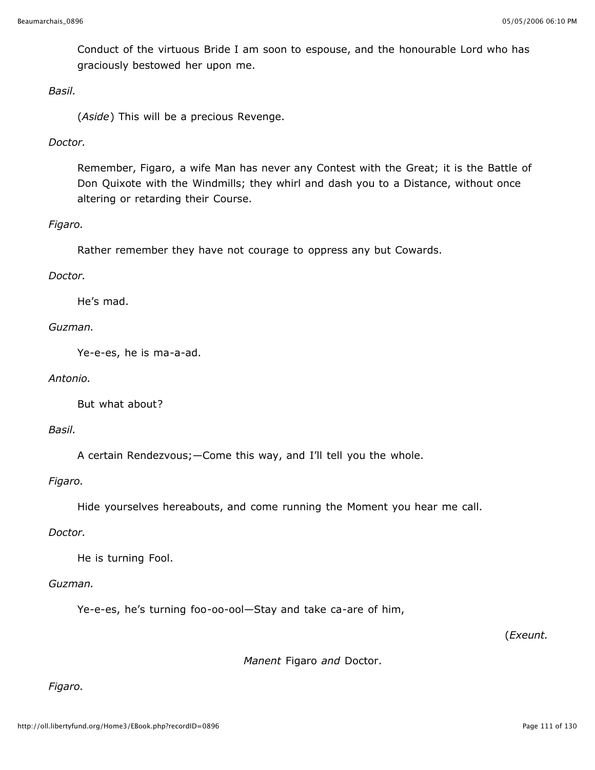Conduct of the virtuous Bride I am soon to espouse, and the honourable Lord who has graciously bestowed her upon me.

#### *Basil.*

(*Aside*) This will be a precious Revenge.

### *Doctor.*

Remember, Figaro, a wife Man has never any Contest with the Great; it is the Battle of Don Quixote with the Windmills; they whirl and dash you to a Distance, without once altering or retarding their Course.

#### *Figaro.*

Rather remember they have not courage to oppress any but Cowards.

### *Doctor.*

He's mad.

### *Guzman.*

Ye-e-es, he is ma-a-ad.

#### *Antonio.*

But what about?

#### *Basil.*

A certain Rendezvous;—Come this way, and I'll tell you the whole.

#### *Figaro.*

Hide yourselves hereabouts, and come running the Moment you hear me call.

#### *Doctor.*

He is turning Fool.

#### *Guzman.*

Ye-e-es, he's turning foo-oo-ool—Stay and take ca-are of him,

(*Exeunt.*

*Manent* Figaro *and* Doctor.

## *Figaro.*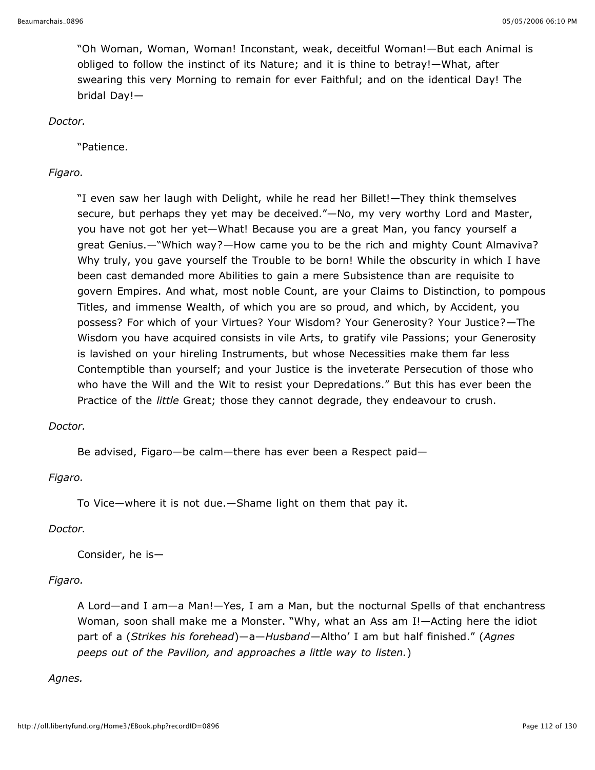"Oh Woman, Woman, Woman! Inconstant, weak, deceitful Woman!—But each Animal is obliged to follow the instinct of its Nature; and it is thine to betray!—What, after swearing this very Morning to remain for ever Faithful; and on the identical Day! The bridal Day!—

*Doctor.*

"Patience.

### *Figaro.*

"I even saw her laugh with Delight, while he read her Billet!—They think themselves secure, but perhaps they yet may be deceived."—No, my very worthy Lord and Master, you have not got her yet—What! Because you are a great Man, you fancy yourself a great Genius.—"Which way?—How came you to be the rich and mighty Count Almaviva? Why truly, you gave yourself the Trouble to be born! While the obscurity in which I have been cast demanded more Abilities to gain a mere Subsistence than are requisite to govern Empires. And what, most noble Count, are your Claims to Distinction, to pompous Titles, and immense Wealth, of which you are so proud, and which, by Accident, you possess? For which of your Virtues? Your Wisdom? Your Generosity? Your Justice?—The Wisdom you have acquired consists in vile Arts, to gratify vile Passions; your Generosity is lavished on your hireling Instruments, but whose Necessities make them far less Contemptible than yourself; and your Justice is the inveterate Persecution of those who who have the Will and the Wit to resist your Depredations." But this has ever been the Practice of the *little* Great; those they cannot degrade, they endeavour to crush.

#### *Doctor.*

Be advised, Figaro—be calm—there has ever been a Respect paid—

*Figaro.*

To Vice—where it is not due.—Shame light on them that pay it.

#### *Doctor.*

Consider, he is—

## *Figaro.*

A Lord—and I am—a Man!—Yes, I am a Man, but the nocturnal Spells of that enchantress Woman, soon shall make me a Monster. "Why, what an Ass am I!—Acting here the idiot part of a (*Strikes his forehead*)—a—*Husband*—Altho' I am but half finished." (*Agnes peeps out of the Pavilion, and approaches a little way to listen.*)

#### *Agnes.*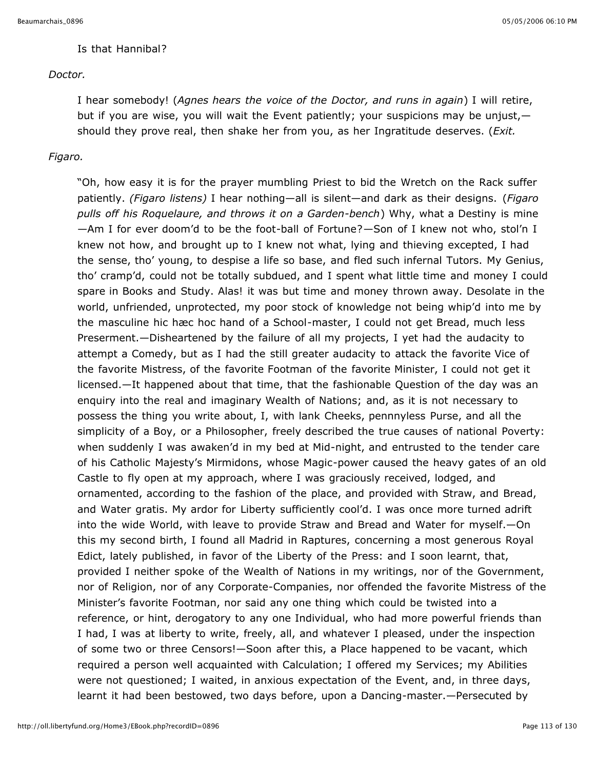#### Is that Hannibal?

#### *Doctor.*

I hear somebody! (*Agnes hears the voice of the Doctor, and runs in again*) I will retire, but if you are wise, you will wait the Event patiently; your suspicions may be unjust, should they prove real, then shake her from you, as her Ingratitude deserves. (*Exit.*

#### *Figaro.*

"Oh, how easy it is for the prayer mumbling Priest to bid the Wretch on the Rack suffer patiently. *(Figaro listens)* I hear nothing—all is silent—and dark as their designs. (*Figaro pulls off his Roquelaure, and throws it on a Garden-bench*) Why, what a Destiny is mine —Am I for ever doom'd to be the foot-ball of Fortune?—Son of I knew not who, stol'n I knew not how, and brought up to I knew not what, lying and thieving excepted, I had the sense, tho' young, to despise a life so base, and fled such infernal Tutors. My Genius, tho' cramp'd, could not be totally subdued, and I spent what little time and money I could spare in Books and Study. Alas! it was but time and money thrown away. Desolate in the world, unfriended, unprotected, my poor stock of knowledge not being whip'd into me by the masculine hic hæc hoc hand of a School-master, I could not get Bread, much less Preserment.—Disheartened by the failure of all my projects, I yet had the audacity to attempt a Comedy, but as I had the still greater audacity to attack the favorite Vice of the favorite Mistress, of the favorite Footman of the favorite Minister, I could not get it licensed.—It happened about that time, that the fashionable Question of the day was an enquiry into the real and imaginary Wealth of Nations; and, as it is not necessary to possess the thing you write about, I, with lank Cheeks, pennnyless Purse, and all the simplicity of a Boy, or a Philosopher, freely described the true causes of national Poverty: when suddenly I was awaken'd in my bed at Mid-night, and entrusted to the tender care of his Catholic Majesty's Mirmidons, whose Magic-power caused the heavy gates of an old Castle to fly open at my approach, where I was graciously received, lodged, and ornamented, according to the fashion of the place, and provided with Straw, and Bread, and Water gratis. My ardor for Liberty sufficiently cool'd. I was once more turned adrift into the wide World, with leave to provide Straw and Bread and Water for myself.—On this my second birth, I found all Madrid in Raptures, concerning a most generous Royal Edict, lately published, in favor of the Liberty of the Press: and I soon learnt, that, provided I neither spoke of the Wealth of Nations in my writings, nor of the Government, nor of Religion, nor of any Corporate-Companies, nor offended the favorite Mistress of the Minister's favorite Footman, nor said any one thing which could be twisted into a reference, or hint, derogatory to any one Individual, who had more powerful friends than I had, I was at liberty to write, freely, all, and whatever I pleased, under the inspection of some two or three Censors!—Soon after this, a Place happened to be vacant, which required a person well acquainted with Calculation; I offered my Services; my Abilities were not questioned; I waited, in anxious expectation of the Event, and, in three days, learnt it had been bestowed, two days before, upon a Dancing-master.—Persecuted by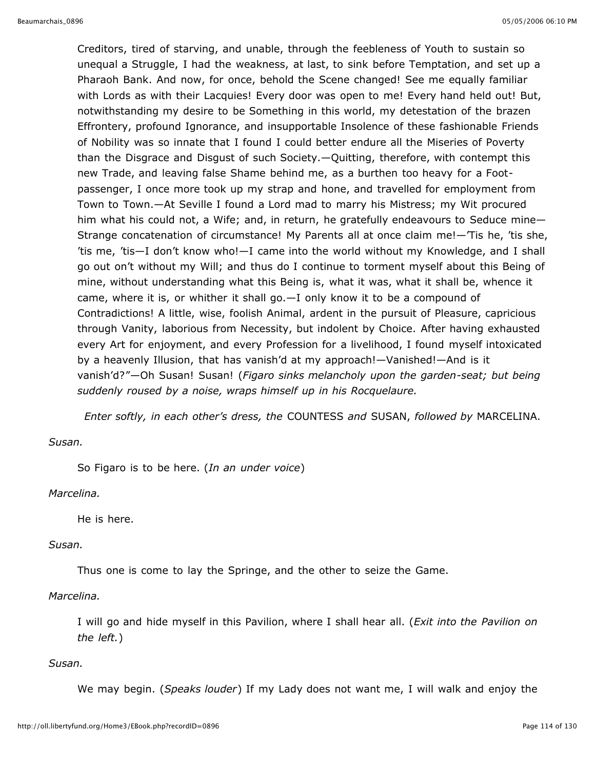Creditors, tired of starving, and unable, through the feebleness of Youth to sustain so unequal a Struggle, I had the weakness, at last, to sink before Temptation, and set up a Pharaoh Bank. And now, for once, behold the Scene changed! See me equally familiar with Lords as with their Lacquies! Every door was open to me! Every hand held out! But, notwithstanding my desire to be Something in this world, my detestation of the brazen Effrontery, profound Ignorance, and insupportable Insolence of these fashionable Friends of Nobility was so innate that I found I could better endure all the Miseries of Poverty than the Disgrace and Disgust of such Society.—Quitting, therefore, with contempt this new Trade, and leaving false Shame behind me, as a burthen too heavy for a Footpassenger, I once more took up my strap and hone, and travelled for employment from Town to Town.—At Seville I found a Lord mad to marry his Mistress; my Wit procured him what his could not, a Wife; and, in return, he gratefully endeavours to Seduce mine— Strange concatenation of circumstance! My Parents all at once claim me!—'Tis he, 'tis she, 'tis me, 'tis—I don't know who!—I came into the world without my Knowledge, and I shall go out on't without my Will; and thus do I continue to torment myself about this Being of mine, without understanding what this Being is, what it was, what it shall be, whence it came, where it is, or whither it shall go.—I only know it to be a compound of Contradictions! A little, wise, foolish Animal, ardent in the pursuit of Pleasure, capricious through Vanity, laborious from Necessity, but indolent by Choice. After having exhausted every Art for enjoyment, and every Profession for a livelihood, I found myself intoxicated by a heavenly Illusion, that has vanish'd at my approach!—Vanished!—And is it vanish'd?"—Oh Susan! Susan! (*Figaro sinks melancholy upon the garden-seat; but being suddenly roused by a noise, wraps himself up in his Rocquelaure.*

*Enter softly, in each other's dress, the* COUNTESS *and* SUSAN, *followed by* MARCELINA.

#### *Susan.*

So Figaro is to be here. (*In an under voice*)

#### *Marcelina.*

He is here.

#### *Susan.*

Thus one is come to lay the Springe, and the other to seize the Game.

#### *Marcelina.*

I will go and hide myself in this Pavilion, where I shall hear all. (*Exit into the Pavilion on the left.*)

#### *Susan.*

We may begin. (*Speaks louder*) If my Lady does not want me, I will walk and enjoy the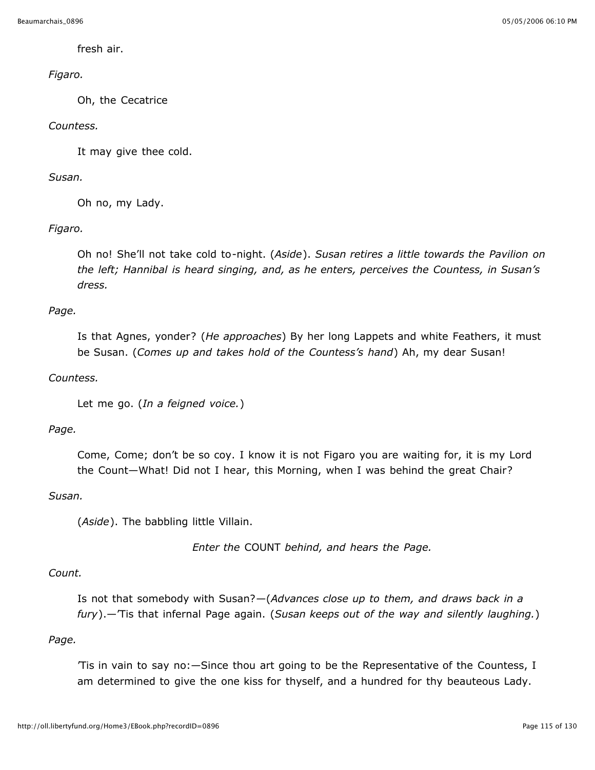fresh air.

## *Figaro.*

Oh, the Cecatrice

### *Countess.*

It may give thee cold.

#### *Susan.*

Oh no, my Lady.

## *Figaro.*

Oh no! She'll not take cold to-night. (*Aside*). *Susan retires a little towards the Pavilion on the left; Hannibal is heard singing, and, as he enters, perceives the Countess, in Susan's dress.*

## *Page.*

Is that Agnes, yonder? (*He approaches*) By her long Lappets and white Feathers, it must be Susan. (*Comes up and takes hold of the Countess's hand*) Ah, my dear Susan!

### *Countess.*

Let me go. (*In a feigned voice.*)

## *Page.*

Come, Come; don't be so coy. I know it is not Figaro you are waiting for, it is my Lord the Count—What! Did not I hear, this Morning, when I was behind the great Chair?

#### *Susan.*

(*Aside*). The babbling little Villain.

*Enter the* COUNT *behind, and hears the Page.*

#### *Count.*

Is not that somebody with Susan?—(*Advances close up to them, and draws back in a fury*).—'Tis that infernal Page again. (*Susan keeps out of the way and silently laughing.*)

#### *Page.*

'Tis in vain to say no:—Since thou art going to be the Representative of the Countess, I am determined to give the one kiss for thyself, and a hundred for thy beauteous Lady.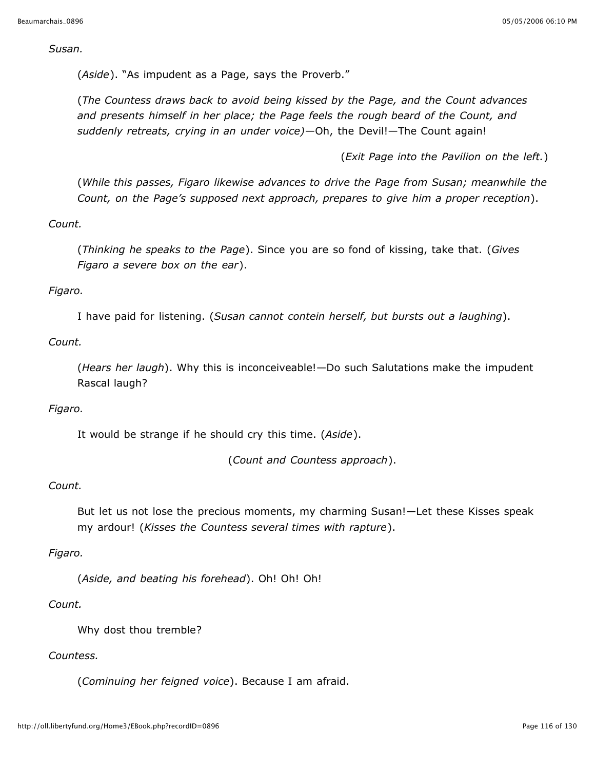*Susan.*

(*Aside*). "As impudent as a Page, says the Proverb."

(*The Countess draws back to avoid being kissed by the Page, and the Count advances and presents himself in her place; the Page feels the rough beard of the Count, and suddenly retreats, crying in an under voice)*—Oh, the Devil!—The Count again!

(*Exit Page into the Pavilion on the left.*)

(*While this passes, Figaro likewise advances to drive the Page from Susan; meanwhile the Count, on the Page's supposed next approach, prepares to give him a proper reception*).

*Count.*

(*Thinking he speaks to the Page*). Since you are so fond of kissing, take that. (*Gives Figaro a severe box on the ear*).

*Figaro.*

I have paid for listening. (*Susan cannot contein herself, but bursts out a laughing*).

*Count.*

(*Hears her laugh*). Why this is inconceiveable!—Do such Salutations make the impudent Rascal laugh?

#### *Figaro.*

It would be strange if he should cry this time. (*Aside*).

(*Count and Countess approach*).

#### *Count.*

But let us not lose the precious moments, my charming Susan!—Let these Kisses speak my ardour! (*Kisses the Countess several times with rapture*).

## *Figaro.*

(*Aside, and beating his forehead*). Oh! Oh! Oh!

#### *Count.*

Why dost thou tremble?

## *Countess.*

(*Cominuing her feigned voice*). Because I am afraid.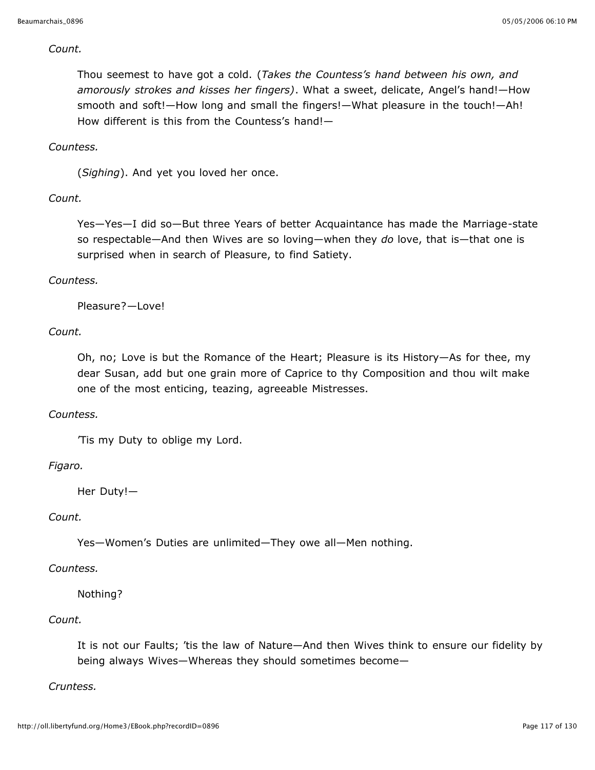#### *Count.*

Thou seemest to have got a cold. (*Takes the Countess's hand between his own, and amorously strokes and kisses her fingers)*. What a sweet, delicate, Angel's hand!—How smooth and soft!—How long and small the fingers!—What pleasure in the touch!—Ah! How different is this from the Countess's hand!—

#### *Countess.*

(*Sighing*). And yet you loved her once.

#### *Count.*

Yes—Yes—I did so—But three Years of better Acquaintance has made the Marriage-state so respectable—And then Wives are so loving—when they *do* love, that is—that one is surprised when in search of Pleasure, to find Satiety.

#### *Countess.*

Pleasure?—Love!

#### *Count.*

Oh, no; Love is but the Romance of the Heart; Pleasure is its History—As for thee, my dear Susan, add but one grain more of Caprice to thy Composition and thou wilt make one of the most enticing, teazing, agreeable Mistresses.

#### *Countess.*

'Tis my Duty to oblige my Lord.

#### *Figaro.*

Her Duty!—

#### *Count.*

Yes—Women's Duties are unlimited—They owe all—Men nothing.

#### *Countess.*

#### Nothing?

#### *Count.*

It is not our Faults; 'tis the law of Nature—And then Wives think to ensure our fidelity by being always Wives—Whereas they should sometimes become—

#### *Cruntess.*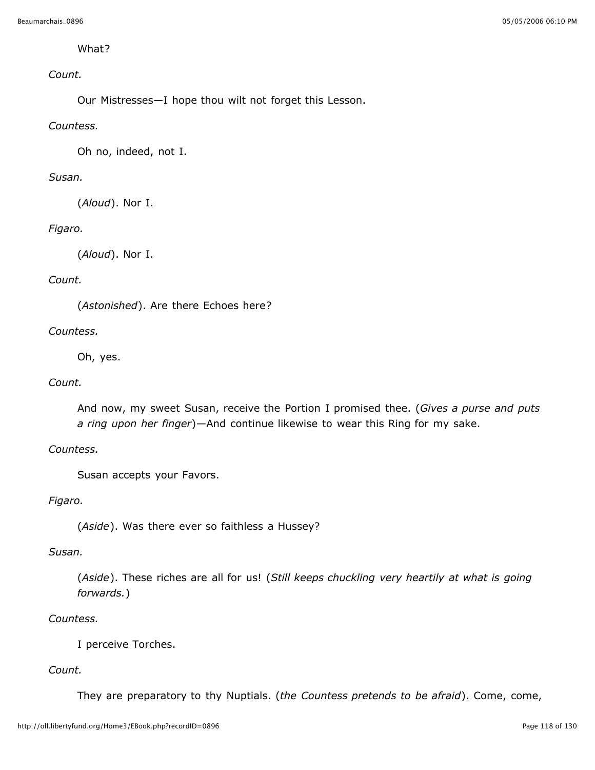### What?

## *Count.*

Our Mistresses—I hope thou wilt not forget this Lesson.

### *Countess.*

Oh no, indeed, not I.

#### *Susan.*

(*Aloud*). Nor I.

## *Figaro.*

(*Aloud*). Nor I.

### *Count.*

(*Astonished*). Are there Echoes here?

### *Countess.*

Oh, yes.

#### *Count.*

And now, my sweet Susan, receive the Portion I promised thee. (*Gives a purse and puts a ring upon her finger*)—And continue likewise to wear this Ring for my sake.

## *Countess.*

Susan accepts your Favors.

#### *Figaro.*

(*Aside*). Was there ever so faithless a Hussey?

### *Susan.*

(*Aside*). These riches are all for us! (*Still keeps chuckling very heartily at what is going forwards.*)

#### *Countess.*

I perceive Torches.

#### *Count.*

They are preparatory to thy Nuptials. (*the Countess pretends to be afraid*). Come, come,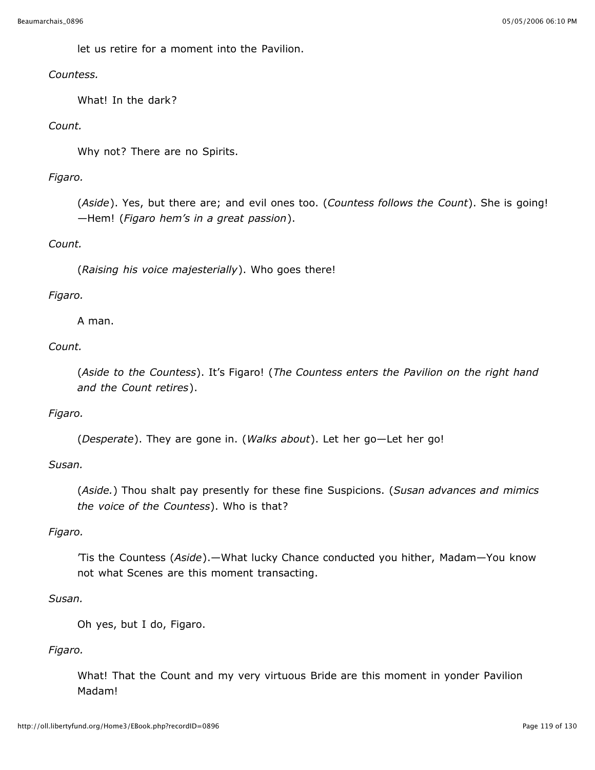let us retire for a moment into the Pavilion.

### *Countess.*

What! In the dark?

## *Count.*

Why not? There are no Spirits.

## *Figaro.*

(*Aside*). Yes, but there are; and evil ones too. (*Countess follows the Count*). She is going! —Hem! (*Figaro hem's in a great passion*).

## *Count.*

(*Raising his voice majesterially*). Who goes there!

## *Figaro.*

A man.

## *Count.*

(*Aside to the Countess*). It's Figaro! (*The Countess enters the Pavilion on the right hand and the Count retires*).

## *Figaro.*

(*Desperate*). They are gone in. (*Walks about*). Let her go—Let her go!

## *Susan.*

(*Aside.*) Thou shalt pay presently for these fine Suspicions. (*Susan advances and mimics the voice of the Countess*). Who is that?

## *Figaro.*

'Tis the Countess (*Aside*).—What lucky Chance conducted you hither, Madam—You know not what Scenes are this moment transacting.

## *Susan.*

Oh yes, but I do, Figaro.

## *Figaro.*

What! That the Count and my very virtuous Bride are this moment in yonder Pavilion Madam!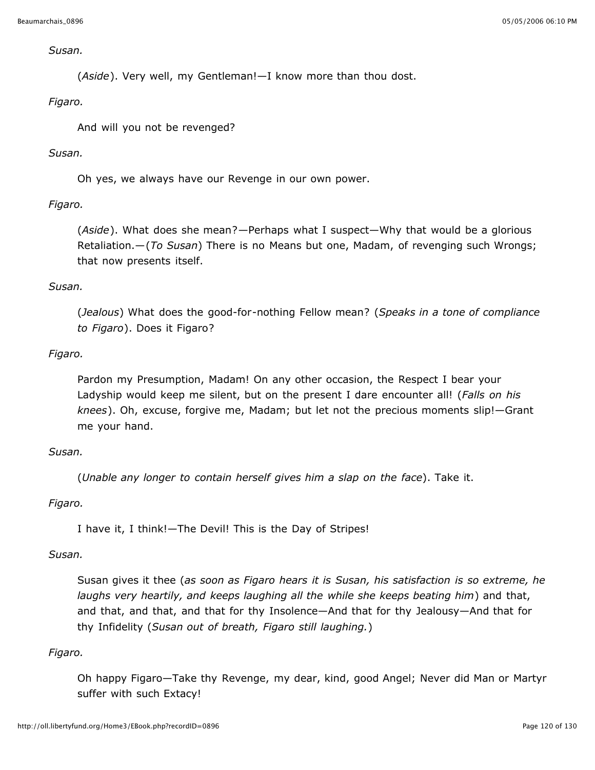#### *Susan.*

(*Aside*). Very well, my Gentleman!—I know more than thou dost.

#### *Figaro.*

And will you not be revenged?

#### *Susan.*

Oh yes, we always have our Revenge in our own power.

## *Figaro.*

(*Aside*). What does she mean?—Perhaps what I suspect—Why that would be a glorious Retaliation.—(*To Susan*) There is no Means but one, Madam, of revenging such Wrongs; that now presents itself.

### *Susan.*

(*Jealous*) What does the good-for-nothing Fellow mean? (*Speaks in a tone of compliance to Figaro*). Does it Figaro?

### *Figaro.*

Pardon my Presumption, Madam! On any other occasion, the Respect I bear your Ladyship would keep me silent, but on the present I dare encounter all! (*Falls on his knees*). Oh, excuse, forgive me, Madam; but let not the precious moments slip!—Grant me your hand.

#### *Susan.*

(*Unable any longer to contain herself gives him a slap on the face*). Take it.

#### *Figaro.*

I have it, I think!—The Devil! This is the Day of Stripes!

#### *Susan.*

Susan gives it thee (*as soon as Figaro hears it is Susan, his satisfaction is so extreme, he laughs very heartily, and keeps laughing all the while she keeps beating him*) and that, and that, and that, and that for thy Insolence—And that for thy Jealousy—And that for thy Infidelity (*Susan out of breath, Figaro still laughing.*)

## *Figaro.*

Oh happy Figaro—Take thy Revenge, my dear, kind, good Angel; Never did Man or Martyr suffer with such Extacy!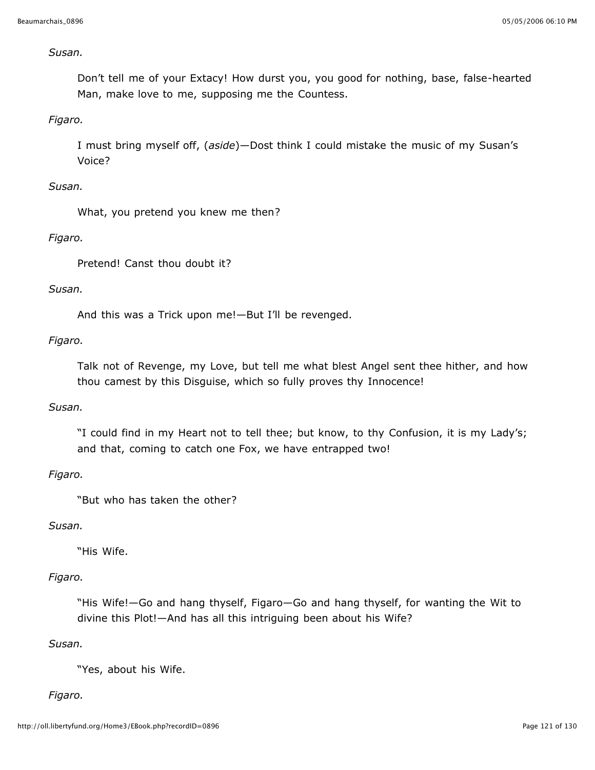#### *Susan.*

Don't tell me of your Extacy! How durst you, you good for nothing, base, false-hearted Man, make love to me, supposing me the Countess.

#### *Figaro.*

I must bring myself off, (*aside*)—Dost think I could mistake the music of my Susan's Voice?

#### *Susan.*

What, you pretend you knew me then?

#### *Figaro.*

Pretend! Canst thou doubt it?

#### *Susan.*

And this was a Trick upon me!—But I'll be revenged.

#### *Figaro.*

Talk not of Revenge, my Love, but tell me what blest Angel sent thee hither, and how thou camest by this Disguise, which so fully proves thy Innocence!

#### *Susan.*

"I could find in my Heart not to tell thee; but know, to thy Confusion, it is my Lady's; and that, coming to catch one Fox, we have entrapped two!

#### *Figaro.*

"But who has taken the other?

#### *Susan.*

"His Wife.

#### *Figaro.*

"His Wife!—Go and hang thyself, Figaro—Go and hang thyself, for wanting the Wit to divine this Plot!—And has all this intriguing been about his Wife?

#### *Susan.*

"Yes, about his Wife.

#### *Figaro.*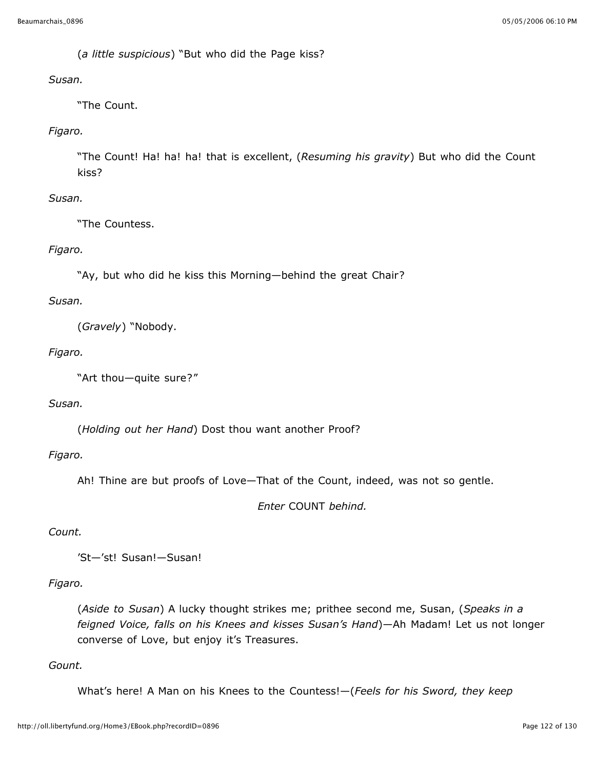(*a little suspicious*) "But who did the Page kiss?

#### *Susan.*

"The Count.

### *Figaro.*

"The Count! Ha! ha! ha! that is excellent, (*Resuming his gravity*) But who did the Count kiss?

### *Susan.*

"The Countess.

### *Figaro.*

"Ay, but who did he kiss this Morning—behind the great Chair?

#### *Susan.*

(*Gravely*) "Nobody.

### *Figaro.*

"Art thou—quite sure?"

#### *Susan.*

(*Holding out her Hand*) Dost thou want another Proof?

#### *Figaro.*

Ah! Thine are but proofs of Love—That of the Count, indeed, was not so gentle.

*Enter* COUNT *behind.*

#### *Count.*

'St—'st! Susan!—Susan!

#### *Figaro.*

(*Aside to Susan*) A lucky thought strikes me; prithee second me, Susan, (*Speaks in a feigned Voice, falls on his Knees and kisses Susan's Hand*)—Ah Madam! Let us not longer converse of Love, but enjoy it's Treasures.

#### *Gount.*

What's here! A Man on his Knees to the Countess!—(*Feels for his Sword, they keep*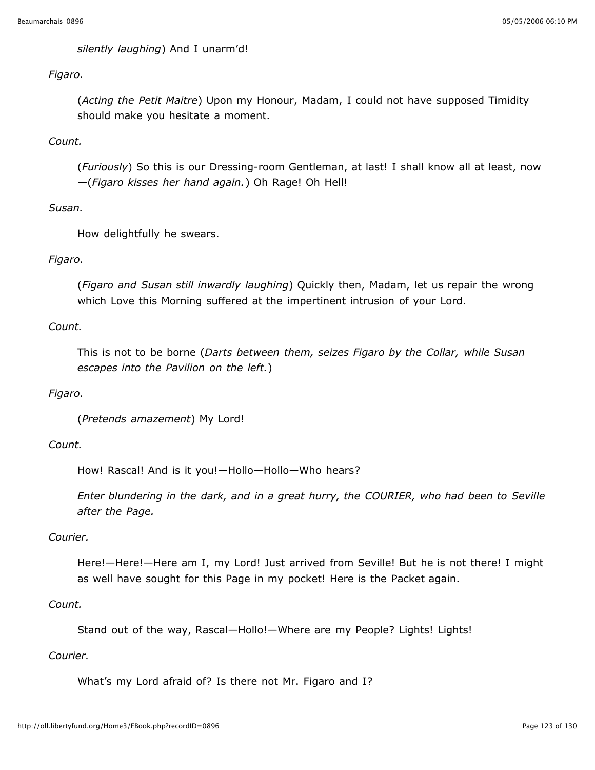*silently laughing*) And I unarm'd!

### *Figaro.*

(*Acting the Petit Maitre*) Upon my Honour, Madam, I could not have supposed Timidity should make you hesitate a moment.

## *Count.*

(*Furiously*) So this is our Dressing-room Gentleman, at last! I shall know all at least, now —(*Figaro kisses her hand again.*) Oh Rage! Oh Hell!

## *Susan.*

How delightfully he swears.

## *Figaro.*

(*Figaro and Susan still inwardly laughing*) Quickly then, Madam, let us repair the wrong which Love this Morning suffered at the impertinent intrusion of your Lord.

## *Count.*

This is not to be borne (*Darts between them, seizes Figaro by the Collar, while Susan escapes into the Pavilion on the left.*)

## *Figaro.*

(*Pretends amazement*) My Lord!

#### *Count.*

How! Rascal! And is it you!—Hollo—Hollo—Who hears?

*Enter blundering in the dark, and in a great hurry, the COURIER, who had been to Seville after the Page.*

#### *Courier.*

Here!—Here!—Here am I, my Lord! Just arrived from Seville! But he is not there! I might as well have sought for this Page in my pocket! Here is the Packet again.

## *Count.*

Stand out of the way, Rascal—Hollo!—Where are my People? Lights! Lights!

## *Courier.*

What's my Lord afraid of? Is there not Mr. Figaro and I?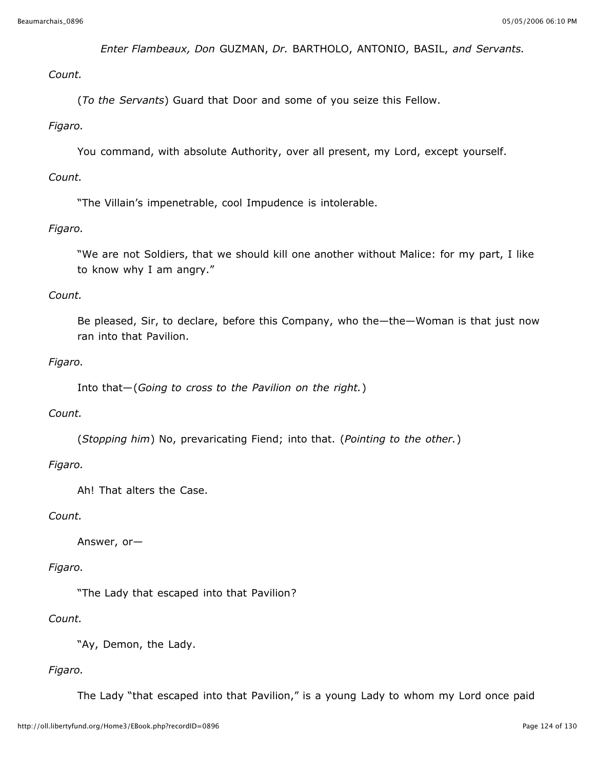*Enter Flambeaux, Don* GUZMAN, *Dr.* BARTHOLO, ANTONIO, BASIL, *and Servants.*

*Count.*

(*To the Servants*) Guard that Door and some of you seize this Fellow.

#### *Figaro.*

You command, with absolute Authority, over all present, my Lord, except yourself.

#### *Count.*

"The Villain's impenetrable, cool Impudence is intolerable.

## *Figaro.*

"We are not Soldiers, that we should kill one another without Malice: for my part, I like to know why I am angry."

### *Count.*

Be pleased, Sir, to declare, before this Company, who the—the—Woman is that just now ran into that Pavilion.

### *Figaro.*

Into that—(*Going to cross to the Pavilion on the right.*)

#### *Count.*

(*Stopping him*) No, prevaricating Fiend; into that. (*Pointing to the other.*)

## *Figaro.*

Ah! That alters the Case.

## *Count.*

Answer, or—

## *Figaro.*

"The Lady that escaped into that Pavilion?

#### *Count.*

"Ay, Demon, the Lady.

## *Figaro.*

The Lady "that escaped into that Pavilion," is a young Lady to whom my Lord once paid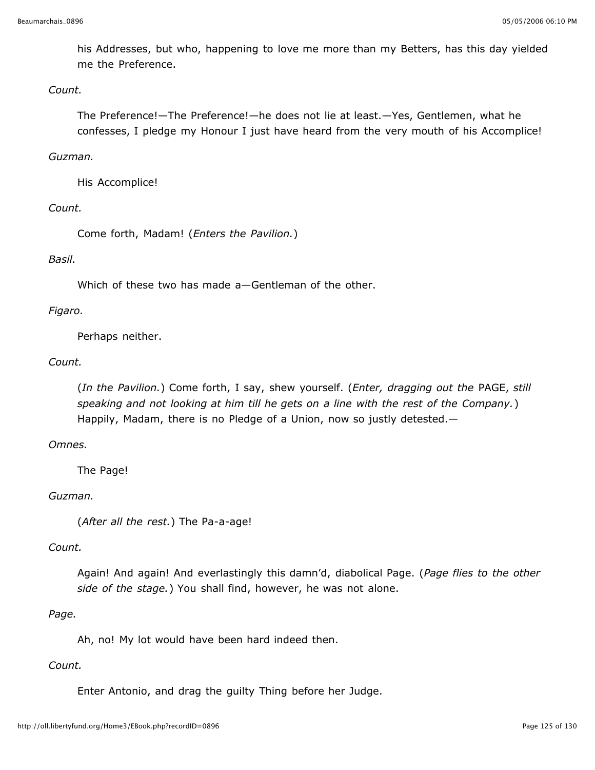his Addresses, but who, happening to love me more than my Betters, has this day yielded me the Preference.

#### *Count.*

The Preference!—The Preference!—he does not lie at least.—Yes, Gentlemen, what he confesses, I pledge my Honour I just have heard from the very mouth of his Accomplice!

#### *Guzman.*

His Accomplice!

#### *Count.*

Come forth, Madam! (*Enters the Pavilion.*)

#### *Basil.*

Which of these two has made a—Gentleman of the other.

#### *Figaro.*

Perhaps neither.

#### *Count.*

(*In the Pavilion.*) Come forth, I say, shew yourself. (*Enter, dragging out the* PAGE, *still speaking and not looking at him till he gets on a line with the rest of the Company.*) Happily, Madam, there is no Pledge of a Union, now so justly detested.—

#### *Omnes.*

The Page!

#### *Guzman.*

(*After all the rest.*) The Pa-a-age!

#### *Count.*

Again! And again! And everlastingly this damn'd, diabolical Page. (*Page flies to the other side of the stage.*) You shall find, however, he was not alone.

#### *Page.*

Ah, no! My lot would have been hard indeed then.

#### *Count.*

Enter Antonio, and drag the guilty Thing before her Judge.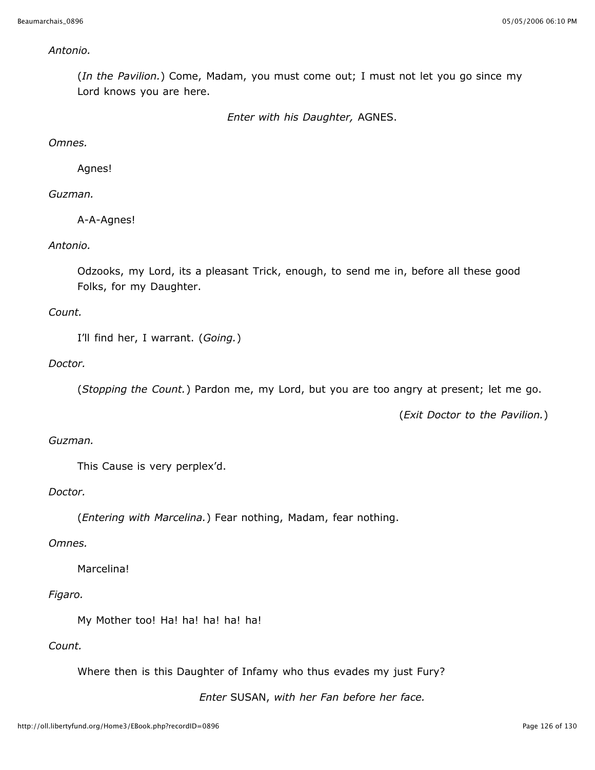#### *Antonio.*

(*In the Pavilion.*) Come, Madam, you must come out; I must not let you go since my Lord knows you are here.

*Enter with his Daughter,* AGNES.

#### *Omnes.*

Agnes!

### *Guzman.*

A-A-Agnes!

### *Antonio.*

Odzooks, my Lord, its a pleasant Trick, enough, to send me in, before all these good Folks, for my Daughter.

### *Count.*

I'll find her, I warrant. (*Going.*)

### *Doctor.*

(*Stopping the Count.*) Pardon me, my Lord, but you are too angry at present; let me go.

(*Exit Doctor to the Pavilion.*)

### *Guzman.*

This Cause is very perplex'd.

#### *Doctor.*

(*Entering with Marcelina.*) Fear nothing, Madam, fear nothing.

#### *Omnes.*

Marcelina!

#### *Figaro.*

My Mother too! Ha! ha! ha! ha! ha!

### *Count.*

Where then is this Daughter of Infamy who thus evades my just Fury?

*Enter* SUSAN, *with her Fan before her face.*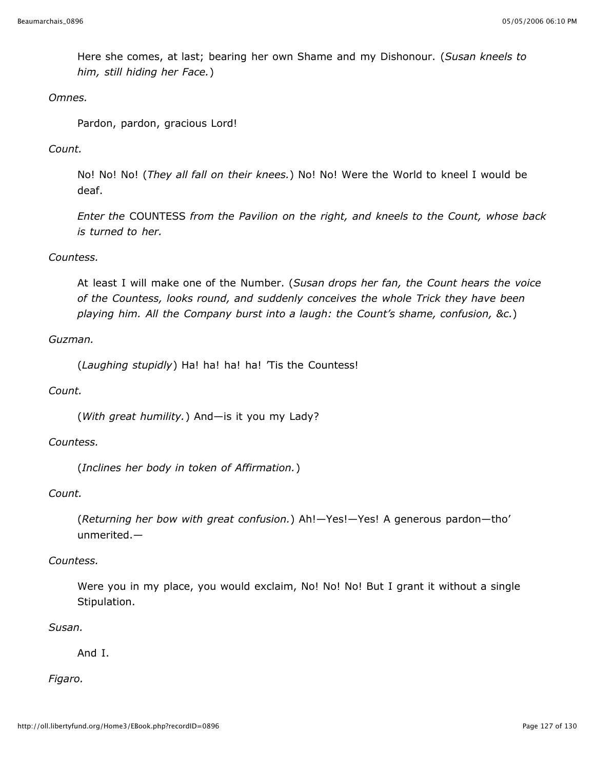Here she comes, at last; bearing her own Shame and my Dishonour. (*Susan kneels to him, still hiding her Face.*)

#### *Omnes.*

Pardon, pardon, gracious Lord!

#### *Count.*

No! No! No! (*They all fall on their knees.*) No! No! Were the World to kneel I would be deaf.

*Enter the* COUNTESS *from the Pavilion on the right, and kneels to the Count, whose back is turned to her.*

### *Countess.*

At least I will make one of the Number. (*Susan drops her fan, the Count hears the voice of the Countess, looks round, and suddenly conceives the whole Trick they have been playing him. All the Company burst into a laugh: the Count's shame, confusion, &c.*)

### *Guzman.*

(*Laughing stupidly*) Ha! ha! ha! ha! 'Tis the Countess!

#### *Count.*

(*With great humility.*) And—is it you my Lady?

#### *Countess.*

(*Inclines her body in token of Affirmation.*)

#### *Count.*

(*Returning her bow with great confusion.*) Ah!—Yes!—Yes! A generous pardon—tho' unmerited.—

#### *Countess.*

Were you in my place, you would exclaim, No! No! No! But I grant it without a single Stipulation.

#### *Susan.*

And I.

#### *Figaro.*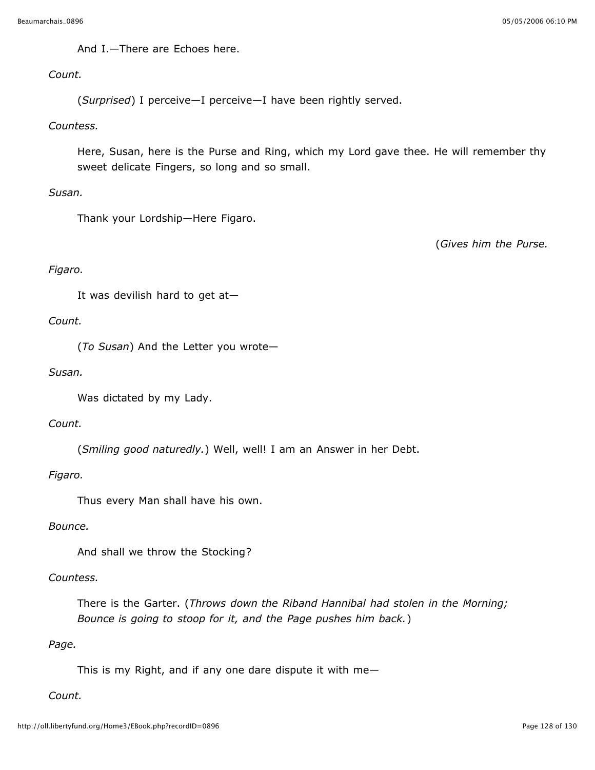And I.—There are Echoes here.

### *Count.*

(*Surprised*) I perceive—I perceive—I have been rightly served.

#### *Countess.*

Here, Susan, here is the Purse and Ring, which my Lord gave thee. He will remember thy sweet delicate Fingers, so long and so small.

### *Susan.*

Thank your Lordship—Here Figaro.

(*Gives him the Purse.*

## *Figaro.*

It was devilish hard to get at—

### *Count.*

(*To Susan*) And the Letter you wrote—

#### *Susan.*

Was dictated by my Lady.

#### *Count.*

(*Smiling good naturedly.*) Well, well! I am an Answer in her Debt.

#### *Figaro.*

Thus every Man shall have his own.

#### *Bounce.*

And shall we throw the Stocking?

### *Countess.*

There is the Garter. (*Throws down the Riband Hannibal had stolen in the Morning; Bounce is going to stoop for it, and the Page pushes him back.*)

## *Page.*

This is my Right, and if any one dare dispute it with me—

## *Count.*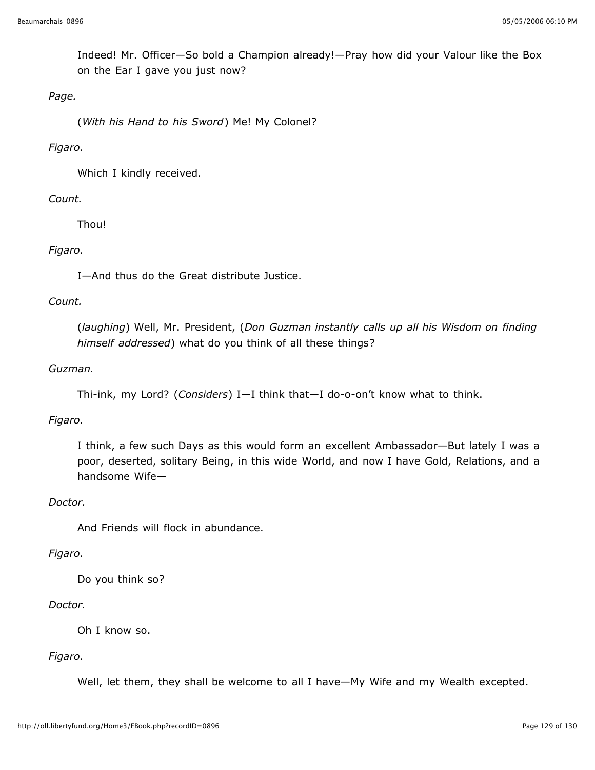Indeed! Mr. Officer—So bold a Champion already!—Pray how did your Valour like the Box on the Ear I gave you just now?

## *Page.*

(*With his Hand to his Sword*) Me! My Colonel?

#### *Figaro.*

Which I kindly received.

### *Count.*

Thou!

### *Figaro.*

I—And thus do the Great distribute Justice.

### *Count.*

(*laughing*) Well, Mr. President, (*Don Guzman instantly calls up all his Wisdom on finding himself addressed*) what do you think of all these things?

### *Guzman.*

```
Thi-ink, my Lord? (Considers) I—I think that—I do-o-on't know what to think.
```
#### *Figaro.*

I think, a few such Days as this would form an excellent Ambassador—But lately I was a poor, deserted, solitary Being, in this wide World, and now I have Gold, Relations, and a handsome Wife—

#### *Doctor.*

And Friends will flock in abundance.

#### *Figaro.*

Do you think so?

#### *Doctor.*

Oh I know so.

## *Figaro.*

Well, let them, they shall be welcome to all I have—My Wife and my Wealth excepted.